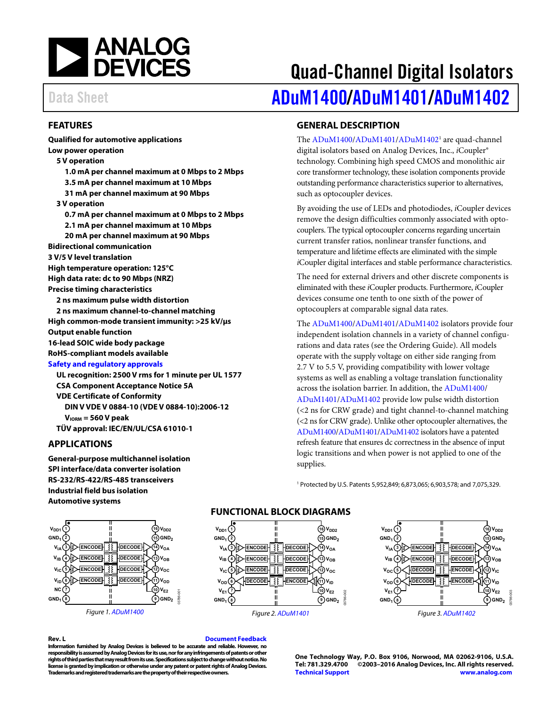

# Quad-Channel Digital Isolators Data Sheet **[ADuM1400](http://www.analog.com/ADuM1400?doc=ADuM1400_1401_1402.pdf)[/ADuM1401/](http://www.analog.com/ADuM1401?doc=ADuM1400_1401_1402.pdf)[ADuM1402](http://www.analog.com/ADuM1402?doc=ADuM1400_1401_1402.pdf)**

### <span id="page-0-0"></span>**FEATURES**

**Qualified for automotive applications Low power operation 5 V operation 1.0 mA per channel maximum at 0 Mbps to 2 Mbps 3.5 mA per channel maximum at 10 Mbps 31 mA per channel maximum at 90 Mbps 3 V operation 0.7 mA per channel maximum at 0 Mbps to 2 Mbps 2.1 mA per channel maximum at 10 Mbps 20 mA per channel maximum at 90 Mbps Bidirectional communication 3 V/5 V level translation High temperature operation: 125°C High data rate: dc to 90 Mbps (NRZ) Precise timing characteristics 2 ns maximum pulse width distortion 2 ns maximum channel-to-channel matching High common-mode transient immunity: >25 kV/μs Output enable function 16-lead SOIC wide body package RoHS-compliant models available [Safety and regulatory approvals](http://www.analog.com/icouplersafety?doc=ADuM1400_1401_1402.pdf) UL recognition: 2500 V rms for 1 minute per UL 1577 CSA Component Acceptance Notice 5A VDE Certificate of Conformity DIN V VDE V 0884-10 (VDE V 0884-10):2006-12 VIORM = 560 V peak**

**TÜV approval: IEC/EN/UL/CSA 61010-1**

#### <span id="page-0-1"></span>**APPLICATIONS**

**General-purpose multichannel isolation SPI interface/data converter isolation RS-232/RS-422/RS-485 transceivers Industrial field bus isolation Automotive systems**

<span id="page-0-3"></span>

*Figure 1[. ADuM1400](http://www.analog.com/ADuM1400?doc=ADuM1400_1401_1402.pdf)*

### **FUNCTIONAL BLOCK DIAGRAMS**





#### **Rev. L [Document Feedback](https://form.analog.com/Form_Pages/feedback/documentfeedback.aspx?doc=ADuM1400_1401_1402.pdf&product=ADuM1400%20ADuM1401%20ADuM1402&rev=L)**

**Information furnished by Analog Devices is believed to be accurate and reliable. However, no responsibility is assumed by Analog Devices for its use, nor for any infringements of patents or other rights of third parties that may result from its use. Specifications subject to change without notice. No license is granted by implication or otherwise under any patent or patent rights of Analog Devices. Trademarks and registered trademarks are the property of their respective owners.**

**One Technology Way, P.O. Box 9106, Norwood, MA 02062-9106, U.S.A. Tel: 781.329.4700 ©2003–2016 Analog Devices, Inc. All rights reserved. [Technical Support](http://www.analog.com/en/content/technical_support_page/fca.html) [www.analog.com](http://www.analog.com/)**

### <span id="page-0-2"></span>**GENERAL DESCRIPTION**

The [ADuM1400/](http://www.analog.com/ADuM1400?doc=ADuM1400_1401_1402.pdf)[ADuM1401/](http://www.analog.com/ADuM1401?doc=ADuM1400_1401_1402.pdf)ADuM1402<sup>1</sup> are quad-channel digital isolators based on Analog Devices, Inc., *i*Coupler® technology. Combining high speed CMOS and monolithic air core transformer technology, these isolation components provide outstanding performance characteristics superior to alternatives, such as optocoupler devices.

By avoiding the use of LEDs and photodiodes, *i*Coupler devices remove the design difficulties commonly associated with optocouplers. The typical optocoupler concerns regarding uncertain current transfer ratios, nonlinear transfer functions, and temperature and lifetime effects are eliminated with the simple *i*Coupler digital interfaces and stable performance characteristics.

The need for external drivers and other discrete components is eliminated with these *i*Coupler products. Furthermore, *i*Coupler devices consume one tenth to one sixth of the power of optocouplers at comparable signal data rates.

The [ADuM1400/](http://www.analog.com/ADuM1400?doc=ADuM1400_1401_1402.pdf)[ADuM1401/](http://www.analog.com/ADuM1401?doc=ADuM1400_1401_1402.pdf)[ADuM1402](http://www.analog.com/ADuM1402?doc=ADuM1400_1401_1402.pdf) isolators provide four independent isolation channels in a variety of channel configurations and data rates (see th[e Ordering Guide\)](#page-29-0). All models operate with the supply voltage on either side ranging from 2.7 V to 5.5 V, providing compatibility with lower voltage systems as well as enabling a voltage translation functionality across the isolation barrier. In addition, th[e ADuM1400/](http://www.analog.com/ADuM1400?doc=ADuM1400_1401_1402.pdf) [ADuM1401/](http://www.analog.com/ADuM1401?doc=ADuM1400_1401_1402.pdf)[ADuM1402](http://www.analog.com/ADuM1402?doc=ADuM1400_1401_1402.pdf) provide low pulse width distortion (<2 ns for CRW grade) and tight channel-to-channel matching (<2 ns for CRW grade). Unlike other optocoupler alternatives, the [ADuM1400](http://www.analog.com/ADuM1400?doc=ADuM1400_1401_1402.pdf)[/ADuM1401/](http://www.analog.com/ADuM1401?doc=ADuM1400_1401_1402.pdf)[ADuM1402](http://www.analog.com/ADuM1402?doc=ADuM1400_1401_1402.pdf) isolators have a patented refresh feature that ensures dc correctness in the absence of input logic transitions and when power is not applied to one of the supplies.

<sup>1</sup> Protected by U.S. Patents 5,952,849; 6,873,065; 6,903,578; and 7,075,329.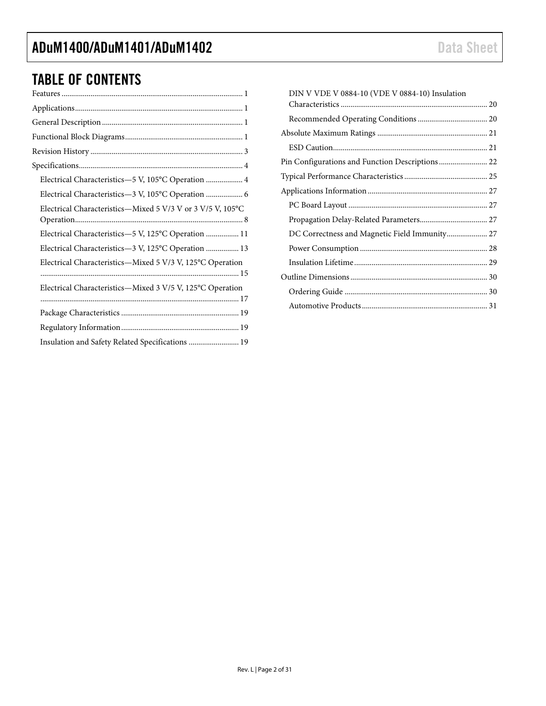### TABLE OF CONTENTS

| Electrical Characteristics-5 V, 105°C Operation  4         |
|------------------------------------------------------------|
| Electrical Characteristics-3 V, 105°C Operation  6         |
| Electrical Characteristics-Mixed 5 V/3 V or 3 V/5 V, 105°C |
| Electrical Characteristics-5 V, 125°C Operation  11        |
| Electrical Characteristics-3 V, 125°C Operation  13        |
| Electrical Characteristics-Mixed 5 V/3 V, 125°C Operation  |
| Electrical Characteristics-Mixed 3 V/5 V, 125°C Operation  |
|                                                            |
|                                                            |
| Insulation and Safety Related Specifications  19           |

| DIN V VDE V 0884-10 (VDE V 0884-10) Insulation  |  |
|-------------------------------------------------|--|
|                                                 |  |
|                                                 |  |
|                                                 |  |
|                                                 |  |
| Pin Configurations and Function Descriptions 22 |  |
|                                                 |  |
|                                                 |  |
|                                                 |  |
|                                                 |  |
| DC Correctness and Magnetic Field Immunity 27   |  |
|                                                 |  |
|                                                 |  |
|                                                 |  |
|                                                 |  |
|                                                 |  |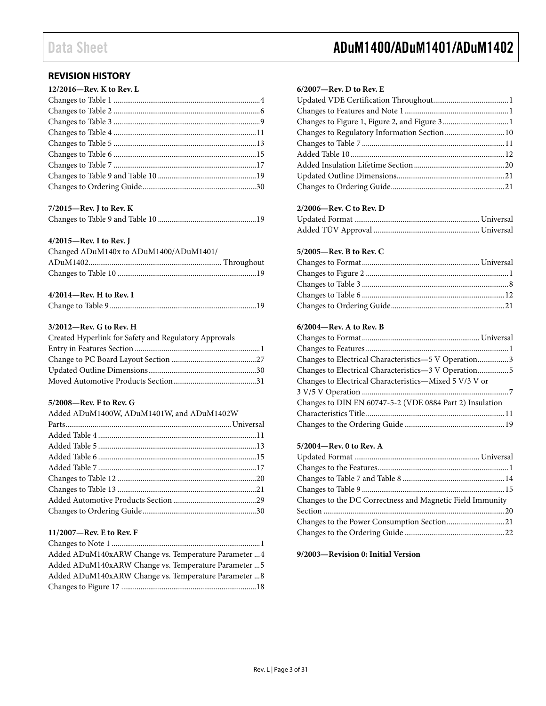### <span id="page-2-0"></span>**REVISION HISTORY**

| 12/2016–Rev. K to Rev. L |  |
|--------------------------|--|
|                          |  |
|                          |  |
|                          |  |
|                          |  |
|                          |  |
|                          |  |
|                          |  |
|                          |  |
|                          |  |
|                          |  |

### **7/2015—Rev. J to Rev. K**

#### **4/2015—Rev. I to Rev. J**

| Changed ADuM140x to ADuM1400/ADuM1401/ |  |
|----------------------------------------|--|
|                                        |  |
|                                        |  |
|                                        |  |

### **4/2014—Rev. H to Rev. I**

|--|

#### **3/2012—Rev. G to Rev. H**

| Created Hyperlink for Safety and Regulatory Approvals |  |
|-------------------------------------------------------|--|
|                                                       |  |
|                                                       |  |
|                                                       |  |
|                                                       |  |

#### **5/2008—Rev. F to Rev. G**

| Added ADuM1400W, ADuM1401W, and ADuM1402W |  |
|-------------------------------------------|--|
|                                           |  |
|                                           |  |
|                                           |  |
|                                           |  |
|                                           |  |
|                                           |  |
|                                           |  |
|                                           |  |
|                                           |  |
|                                           |  |

### **11/2007—Rev. E to Rev. F**

| Added ADuM140xARW Change vs. Temperature Parameter  4 |
|-------------------------------------------------------|
| Added ADuM140xARW Change vs. Temperature Parameter  5 |
| Added ADuM140xARW Change vs. Temperature Parameter  8 |
|                                                       |
|                                                       |

### Data Sheet **ADuM1400/ADuM1401/ADuM1402**

#### **6/2007—Rev. D to Rev. E**

| Changes to Regulatory Information Section 10 |  |
|----------------------------------------------|--|
|                                              |  |
|                                              |  |
|                                              |  |
|                                              |  |
|                                              |  |
|                                              |  |

#### **2/2006—Rev. C to Rev. D**

#### **5/2005—Rev. B to Rev. C**

#### **6/2004—Rev. A to Rev. B**

| Changes to Electrical Characteristics-5 V Operation3     |  |
|----------------------------------------------------------|--|
| Changes to Electrical Characteristics-3 V Operation5     |  |
| Changes to Electrical Characteristics-Mixed 5 V/3 V or   |  |
|                                                          |  |
| Changes to DIN EN 60747-5-2 (VDE 0884 Part 2) Insulation |  |
|                                                          |  |
|                                                          |  |

#### **5/2004—Rev. 0 to Rev. A**

| Changes to the DC Correctness and Magnetic Field Immunity |  |
|-----------------------------------------------------------|--|
|                                                           |  |
|                                                           |  |
|                                                           |  |

### **9/2003—Revision 0: Initial Version**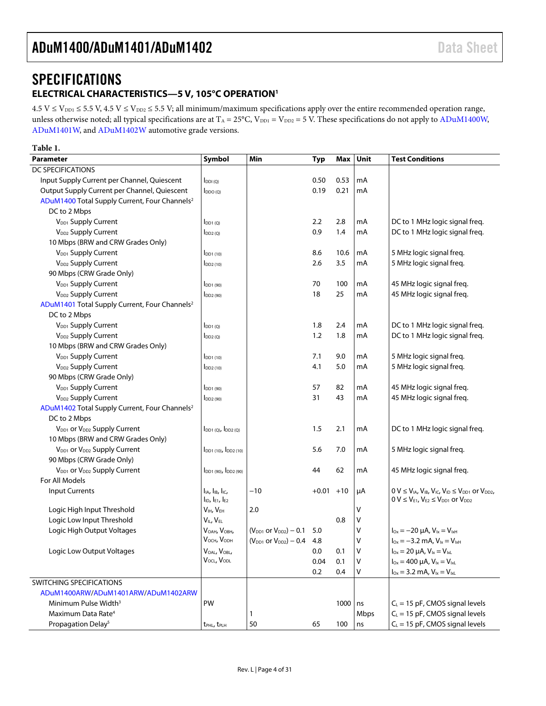## <span id="page-3-0"></span>**SPECIFICATIONS**

### <span id="page-3-1"></span>**ELECTRICAL CHARACTERISTICS—5 V, 105°C OPERATIO[N1](#page-4-0)**

 $4.5$  V  $\le$  V<sub>DD1</sub>  $\le$  5.5 V, 4.5 V  $\le$  V<sub>DD2</sub>  $\le$  5.5 V; all minimum/maximum specifications apply over the entire recommended operation range, unless otherwise noted; all typical specifications are at  $T_A = 25^{\circ}C$ ,  $V_{DD1} = V_{DD2} = 5$  V. These specifications do not apply to ADuM1400W, [ADuM1401W,](http://www.analog.com/ADuM1401?doc=ADuM1400_1401_1402.pdf) and [ADuM1402W](http://www.analog.com/ADuM1402?doc=ADuM1400_1401_1402.pdf) automotive grade versions.

### <span id="page-3-2"></span>**Table 1.**

| Parameter                                                 | Symbol                                       | Min                                 | <b>Typ</b> | Max   | Unit    | <b>Test Conditions</b>                                                       |
|-----------------------------------------------------------|----------------------------------------------|-------------------------------------|------------|-------|---------|------------------------------------------------------------------------------|
| DC SPECIFICATIONS                                         |                                              |                                     |            |       |         |                                                                              |
| Input Supply Current per Channel, Quiescent               | $I_{DDI(Q)}$                                 |                                     | 0.50       | 0.53  | mA      |                                                                              |
| Output Supply Current per Channel, Quiescent              | $I_{DDO (Q)}$                                |                                     | 0.19       | 0.21  | mA      |                                                                              |
| ADuM1400 Total Supply Current, Four Channels <sup>2</sup> |                                              |                                     |            |       |         |                                                                              |
| DC to 2 Mbps                                              |                                              |                                     |            |       |         |                                                                              |
| V <sub>DD1</sub> Supply Current                           | $I_{DD1(Q)}$                                 |                                     | 2.2        | 2.8   | mA      | DC to 1 MHz logic signal freq.                                               |
| V <sub>DD2</sub> Supply Current                           | $I_{DD2(Q)}$                                 |                                     | 0.9        | 1.4   | mA      | DC to 1 MHz logic signal freg.                                               |
| 10 Mbps (BRW and CRW Grades Only)                         |                                              |                                     |            |       |         |                                                                              |
| V <sub>DD1</sub> Supply Current                           | $IDD1$ (10)                                  |                                     | 8.6        | 10.6  | mA      | 5 MHz logic signal freq.                                                     |
| V <sub>DD2</sub> Supply Current                           | DD <sub>2</sub> (10)                         |                                     | 2.6        | 3.5   | mA      | 5 MHz logic signal freq.                                                     |
| 90 Mbps (CRW Grade Only)                                  |                                              |                                     |            |       |         |                                                                              |
| V <sub>DD1</sub> Supply Current                           | DD1 (90)                                     |                                     | 70         | 100   | mA      | 45 MHz logic signal freq.                                                    |
| V <sub>DD2</sub> Supply Current                           | $I_{DD2(90)}$                                |                                     | 18         | 25    | mA      | 45 MHz logic signal freq.                                                    |
| ADuM1401 Total Supply Current, Four Channels <sup>2</sup> |                                              |                                     |            |       |         |                                                                              |
| DC to 2 Mbps                                              |                                              |                                     |            |       |         |                                                                              |
| V <sub>DD1</sub> Supply Current                           | $I_{DD1(Q)}$                                 |                                     | 1.8        | 2.4   | mA      | DC to 1 MHz logic signal freq.                                               |
| V <sub>DD2</sub> Supply Current                           | $I_{DD2(Q)}$                                 |                                     | 1.2        | 1.8   | mA      | DC to 1 MHz logic signal freq.                                               |
| 10 Mbps (BRW and CRW Grades Only)                         |                                              |                                     |            |       |         |                                                                              |
| V <sub>DD1</sub> Supply Current                           | $I_{DD1(10)}$                                |                                     | 7.1        | 9.0   | mA      | 5 MHz logic signal freq.                                                     |
| V <sub>DD2</sub> Supply Current                           | $I_{DD2(10)}$                                |                                     | 4.1        | 5.0   | mA      | 5 MHz logic signal freq.                                                     |
| 90 Mbps (CRW Grade Only)                                  |                                              |                                     |            |       |         |                                                                              |
| V <sub>DD1</sub> Supply Current                           | DD1 (90)                                     |                                     | 57         | 82    | mA      | 45 MHz logic signal freq.                                                    |
| V <sub>DD2</sub> Supply Current                           | $I_{DD2(90)}$                                |                                     | 31         | 43    | mA      | 45 MHz logic signal freq.                                                    |
| ADuM1402 Total Supply Current, Four Channels <sup>2</sup> |                                              |                                     |            |       |         |                                                                              |
| DC to 2 Mbps                                              |                                              |                                     |            |       |         |                                                                              |
| V <sub>DD1</sub> or V <sub>DD2</sub> Supply Current       | $I_{DD1 (Q)}$ , $I_{DD2 (Q)}$                |                                     | 1.5        | 2.1   | mA      | DC to 1 MHz logic signal freq.                                               |
| 10 Mbps (BRW and CRW Grades Only)                         |                                              |                                     |            |       |         |                                                                              |
| V <sub>DD1</sub> or V <sub>DD2</sub> Supply Current       | l <sub>DD1</sub> (10), l <sub>DD2</sub> (10) |                                     | 5.6        | 7.0   | mA      | 5 MHz logic signal freq.                                                     |
| 90 Mbps (CRW Grade Only)                                  |                                              |                                     |            |       |         |                                                                              |
| V <sub>DD1</sub> or V <sub>DD2</sub> Supply Current       | $I_{DD1(90)}$ , $I_{DD2(90)}$                |                                     | 44         | 62    | mA      | 45 MHz logic signal freq.                                                    |
| For All Models                                            |                                              |                                     |            |       |         |                                                                              |
| <b>Input Currents</b>                                     | $I_{IA}$ , $I_{IB}$ , $I_{IC}$ ,             | $-10$                               | $+0.01$    | $+10$ | μA      | $0 V \le V_{IA}$ , $V_{IB}$ , $V_{IC}$ , $V_{ID} \le V_{DD1}$ or $V_{DD2}$ , |
|                                                           | $I_{ID}$ , $I_{E1}$ , $I_{E2}$               |                                     |            |       |         | $0 V \leq V_{E1}$ , $V_{E2} \leq V_{DD1}$ or $V_{DD2}$                       |
| Logic High Input Threshold                                | V <sub>IH</sub> , V <sub>EH</sub>            | 2.0                                 |            |       | V       |                                                                              |
| Logic Low Input Threshold                                 | VIL, VEL                                     |                                     |            | 0.8   | $\sf V$ |                                                                              |
| Logic High Output Voltages                                | VOAH, VOBH,                                  | $(V_{DD1}$ or $V_{DD2}) - 0.1$      | 5.0        |       | ٧       | $I_{\text{Ox}} = -20 \mu A$ , $V_{\text{lx}} = V_{\text{lxH}}$               |
|                                                           | V <sub>осн</sub> , V <sub>орн</sub>          | $(V_{DD1}$ or $V_{DD2}$ ) – 0.4 4.8 |            |       | ٧       | $I_{0x} = -3.2$ mA, $V_{1x} = V_{1xH}$                                       |
| Logic Low Output Voltages                                 | VOAL, VOBL,                                  |                                     | 0.0        | 0.1   | V       | $I_{\text{Ox}} = 20 \mu A$ , $V_{\text{lx}} = V_{\text{lx}}$                 |
|                                                           | VOCL, VODL                                   |                                     | 0.04       | 0.1   | V       | $I_{0x} = 400 \mu A$ , $V_{1x} = V_{1xL}$                                    |
|                                                           |                                              |                                     | 0.2        | 0.4   | V       | $I_{0x} = 3.2$ mA, $V_{1x} = V_{1xL}$                                        |
| <b>SWITCHING SPECIFICATIONS</b>                           |                                              |                                     |            |       |         |                                                                              |
| ADuM1400ARW/ADuM1401ARW/ADuM1402ARW                       |                                              |                                     |            |       |         |                                                                              |
| Minimum Pulse Width <sup>3</sup>                          | PW                                           |                                     |            | 1000  | ns      | $C_L$ = 15 pF, CMOS signal levels                                            |
| Maximum Data Rate <sup>4</sup>                            |                                              | 1                                   |            |       | Mbps    | $C_L = 15$ pF, CMOS signal levels                                            |
| Propagation Delay <sup>5</sup>                            | t <sub>PHL</sub> , t <sub>PLH</sub>          | 50                                  | 65         | 100   | ns      | $C_L = 15$ pF, CMOS signal levels                                            |
|                                                           |                                              |                                     |            |       |         |                                                                              |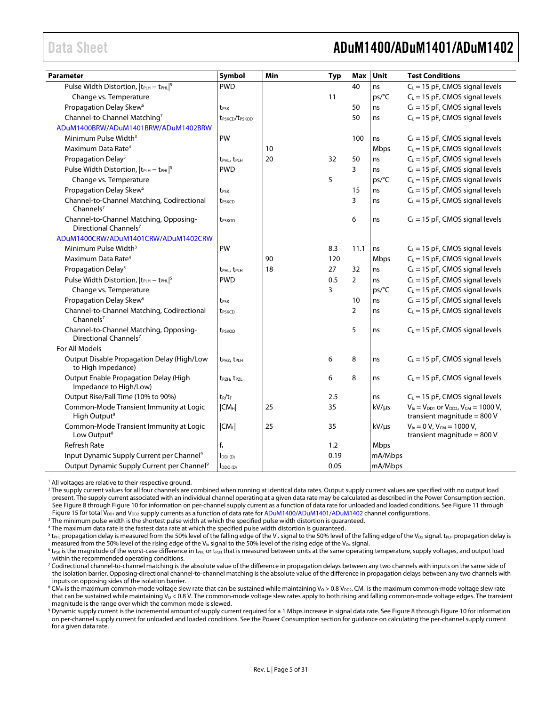### <span id="page-4-0"></span>Data Sheet **ADuM1400/ADuM1401/ADuM1402**

| Parameter                                                                   | Symbol                                 | Min | <b>Typ</b> | Max            | Unit       | <b>Test Conditions</b>                                                                |
|-----------------------------------------------------------------------------|----------------------------------------|-----|------------|----------------|------------|---------------------------------------------------------------------------------------|
| Pulse Width Distortion,  t <sub>PLH</sub> - t <sub>PHL</sub>   <sup>5</sup> | <b>PWD</b>                             |     |            | 40             | ns         | $\overline{C_L}$ = 15 pF, CMOS signal levels                                          |
| Change vs. Temperature                                                      |                                        |     | 11         |                | ps/°C      | $C_L$ = 15 pF, CMOS signal levels                                                     |
| Propagation Delay Skew <sup>6</sup>                                         | t <sub>PSK</sub>                       |     |            | 50             | ns         | $C_L$ = 15 pF, CMOS signal levels                                                     |
| Channel-to-Channel Matching7                                                | t <sub>PSKCD</sub> /t <sub>PSKOD</sub> |     |            | 50             | ns         | $C_L = 15$ pF, CMOS signal levels                                                     |
| ADuM1400BRW/ADuM1401BRW/ADuM1402BRW                                         |                                        |     |            |                |            |                                                                                       |
| Minimum Pulse Width <sup>3</sup>                                            | PW                                     |     |            | 100            | ns         | $C_L$ = 15 pF, CMOS signal levels                                                     |
| Maximum Data Rate <sup>4</sup>                                              |                                        | 10  |            |                | Mbps       | $C_L$ = 15 pF, CMOS signal levels                                                     |
| Propagation Delay <sup>5</sup>                                              | t <sub>PHL</sub> , t <sub>PLH</sub>    | 20  | 32         | 50             | ns         | $C_L = 15$ pF, CMOS signal levels                                                     |
| Pulse Width Distortion, $ t_{PLH} - t_{PHL} ^5$                             | <b>PWD</b>                             |     |            | 3              | ns         | $C_L$ = 15 pF, CMOS signal levels                                                     |
| Change vs. Temperature                                                      |                                        |     | 5          |                | ps/°C      | $C_L$ = 15 pF, CMOS signal levels                                                     |
| Propagation Delay Skew <sup>6</sup>                                         | t <sub>PSK</sub>                       |     |            | 15             | ns         | $C_L$ = 15 pF, CMOS signal levels                                                     |
| Channel-to-Channel Matching, Codirectional<br>Channels <sup>7</sup>         | t <sub>PSKCD</sub>                     |     |            | 3              | ns         | $C_L$ = 15 pF, CMOS signal levels                                                     |
| Channel-to-Channel Matching, Opposing-<br>Directional Channels <sup>7</sup> | t <sub>PSKOD</sub>                     |     |            | 6              | ns         | $C_L$ = 15 pF, CMOS signal levels                                                     |
| ADuM1400CRW/ADuM1401CRW/ADuM1402CRW                                         |                                        |     |            |                |            |                                                                                       |
| Minimum Pulse Width <sup>3</sup>                                            | PW                                     |     | 8.3        | 11.1           | ns         | $C_L$ = 15 pF, CMOS signal levels                                                     |
| Maximum Data Rate <sup>4</sup>                                              |                                        | 90  | 120        |                | Mbps       | $C_L$ = 15 pF, CMOS signal levels                                                     |
| Propagation Delay <sup>5</sup>                                              | t <sub>PHL</sub> , t <sub>PLH</sub>    | 18  | 27         | 32             | ns         | $C_L$ = 15 pF, CMOS signal levels                                                     |
| Pulse Width Distortion, $ t_{\text{PLH}} - t_{\text{PHL}} ^5$               | <b>PWD</b>                             |     | 0.5        | $\overline{2}$ | ns         | $C_L$ = 15 pF, CMOS signal levels                                                     |
| Change vs. Temperature                                                      |                                        |     | 3          |                | ps/°C      | $C_L$ = 15 pF, CMOS signal levels                                                     |
| Propagation Delay Skew <sup>6</sup>                                         | t <sub>PSK</sub>                       |     |            | 10             | ns         | $C_L$ = 15 pF, CMOS signal levels                                                     |
| Channel-to-Channel Matching, Codirectional<br>Channels $7$                  | t <sub>PSKCD</sub>                     |     |            | $\overline{2}$ | ns         | $C_L = 15$ pF, CMOS signal levels                                                     |
| Channel-to-Channel Matching, Opposing-<br>Directional Channels <sup>7</sup> | t <sub>PSKOD</sub>                     |     |            | 5              | ns         | $C_L$ = 15 pF, CMOS signal levels                                                     |
| For All Models                                                              |                                        |     |            |                |            |                                                                                       |
| Output Disable Propagation Delay (High/Low<br>to High Impedance)            | t <sub>PH7</sub> , t <sub>PLH</sub>    |     | 6          | 8              | ns         | $C_L$ = 15 pF, CMOS signal levels                                                     |
| Output Enable Propagation Delay (High<br>Impedance to High/Low)             | t <sub>PZH</sub> , t <sub>PZL</sub>    |     | 6          | 8              | ns         | $C_L$ = 15 pF, CMOS signal levels                                                     |
| Output Rise/Fall Time (10% to 90%)                                          | $t_R/t_F$                              |     | 2.5        |                | ns         | $C_L$ = 15 pF, CMOS signal levels                                                     |
| Common-Mode Transient Immunity at Logic<br>High Output <sup>8</sup>         | CM <sub>H</sub>                        | 25  | 35         |                | kV/µs      | $V_{1x} = V_{DD1}$ or $V_{DD2}$ , $V_{CM} = 1000 V$ ,<br>transient magnitude = $800V$ |
| Common-Mode Transient Immunity at Logic<br>Low Output <sup>8</sup>          | $ CM_{L} $                             | 25  | 35         |                | $kV/\mu s$ | $V_{1x} = 0 V$ , $V_{CM} = 1000 V$ ,<br>transient magnitude = $800V$                  |
| <b>Refresh Rate</b>                                                         | $\mathsf{f}_\mathsf{r}$                |     | 1.2        |                | Mbps       |                                                                                       |
| Input Dynamic Supply Current per Channel <sup>9</sup>                       | $I_{DDI(D)}$                           |     | 0.19       |                | mA/Mbps    |                                                                                       |
| Output Dynamic Supply Current per Channel <sup>9</sup>                      | $I_{DDO(D)}$                           |     | 0.05       |                | mA/Mbps    |                                                                                       |

<sup>1</sup> All voltages are relative to their respective ground.

<sup>2</sup> The supply current values for all four channels are combined when running at identical data rates. Output supply current values are specified with no output load present. The supply current associated with an individual channel operating at a given data rate may be calculated as described in th[e Power Consumption](#page-27-0) section. Se[e Figure 8](#page-24-1) throug[h Figure 10](#page-24-2) for information on per-channel supply current as a function of data rate for unloaded and loaded conditions. Se[e Figure 11](#page-24-3) through [Figure 15](#page-25-0) for total  $V_{DD1}$  and  $V_{DD2}$  supply currents as a function of data rate fo[r ADuM1400/](http://www.analog.com/ADuM1400?doc=ADuM1400_1401_1402.pdf)[ADuM1401](http://www.analog.com/ADuM1401?doc=ADuM1400_1401_1402.pdf)[/ADuM1402](http://www.analog.com/ADuM1402?doc=ADuM1400_1401_1402.pdf) channel configurations.

<sup>3</sup> The minimum pulse width is the shortest pulse width at which the specified pulse width distortion is guaranteed.

<sup>4</sup> The maximum data rate is the fastest data rate at which the specified pulse width distortion is guaranteed.

<sup>5</sup> t<sub>PHL</sub> propagation delay is measured from the 50% level of the falling edge of the V<sub>Ix</sub> signal to the 50% level of the falling edge of the V<sub>Ox</sub> signal. t<sub>PLH</sub> propagation delay is measured from the 50% level of the rising edge of the  $V_{1x}$  signal to the 50% level of the rising edge of the V<sub>Ox</sub> signal.

 $6$  t<sub>psk</sub> is the magnitude of the worst-case difference in t<sub>PH</sub> or t<sub>PH</sub> that is measured between units at the same operating temperature, supply voltages, and output load within the recommended operating conditions.

<sup>7</sup> Codirectional channel-to-channel matching is the absolute value of the difference in propagation delays between any two channels with inputs on the same side of the isolation barrier. Opposing-directional channel-to-channel matching is the absolute value of the difference in propagation delays between any two channels with inputs on opposing sides of the isolation barrier.

 $8$  CM<sub>H</sub> is the maximum common-mode voltage slew rate that can be sustained while maintaining V<sub>0</sub> > 0.8 V<sub>DD2</sub>. CM<sub>L</sub> is the maximum common-mode voltage slew rate that can be sustained while maintaining  $V_0 < 0.8$  V. The common-mode voltage slew rates apply to both rising and falling common-mode voltage edges. The transient magnitude is the range over which the common mode is slewed.

<sup>9</sup> Dynamic supply current is the incremental amount of supply current required for a 1 Mbps increase in signal data rate. Se[e Figure 8](#page-24-1) throug[h Figure 10](#page-24-2) for information on per-channel supply current for unloaded and loaded conditions. See th[e Power Consumption](#page-27-0) section for guidance on calculating the per-channel supply current for a given data rate.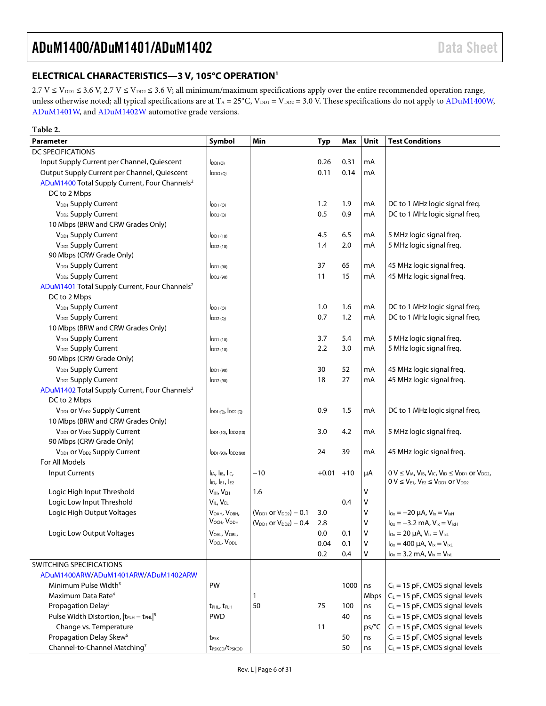### <span id="page-5-0"></span>**ELECTRICAL CHARACTERISTICS—3 V, 105°C OPERATIO[N1](#page-6-0)**

 $2.7 V \le V_{\text{DD1}} \le 3.6 V$ ,  $2.7 V \le V_{\text{DD2}} \le 3.6 V$ ; all minimum/maximum specifications apply over the entire recommended operation range, unless otherwise noted; all typical specifications are at  $T_A = 25^{\circ}C$ ,  $V_{DD1} = V_{DD2} = 3.0$  V. These specifications do not apply to [ADuM1400W,](http://www.analog.com/ADuM1400?doc=ADuM1400_1401_1402.pdf) [ADuM1401W,](http://www.analog.com/ADuM1401?doc=ADuM1400_1401_1402.pdf) and [ADuM1402W](http://www.analog.com/ADuM1402?doc=ADuM1400_1401_1402.pdf) automotive grade versions.

| Table 2.                                                        |                                        |                                |            |       |             |                                                                                |
|-----------------------------------------------------------------|----------------------------------------|--------------------------------|------------|-------|-------------|--------------------------------------------------------------------------------|
| <b>Parameter</b>                                                | Symbol                                 | Min                            | <b>Typ</b> | Max   | Unit        | <b>Test Conditions</b>                                                         |
| <b>DC SPECIFICATIONS</b>                                        |                                        |                                |            |       |             |                                                                                |
| Input Supply Current per Channel, Quiescent                     | $I_{DDI(O)}$                           |                                | 0.26       | 0.31  | mA          |                                                                                |
| Output Supply Current per Channel, Quiescent                    | $I_{DDO(Q)}$                           |                                | 0.11       | 0.14  | mA          |                                                                                |
| ADuM1400 Total Supply Current, Four Channels <sup>2</sup>       |                                        |                                |            |       |             |                                                                                |
| DC to 2 Mbps                                                    |                                        |                                |            |       |             |                                                                                |
| V <sub>DD1</sub> Supply Current                                 | $I_{DD1(0)}$                           |                                | 1.2        | 1.9   | mA          | DC to 1 MHz logic signal freq.                                                 |
| V <sub>DD2</sub> Supply Current                                 | $I_{DD2(Q)}$                           |                                | 0.5        | 0.9   | mA          | DC to 1 MHz logic signal freq.                                                 |
| 10 Mbps (BRW and CRW Grades Only)                               |                                        |                                |            |       |             |                                                                                |
| V <sub>DD1</sub> Supply Current                                 | $I_{DD1(10)}$                          |                                | 4.5        | 6.5   | mA          | 5 MHz logic signal freq.                                                       |
| V <sub>DD2</sub> Supply Current                                 | $I_{DD2(10)}$                          |                                | 1.4        | 2.0   | mA          | 5 MHz logic signal freq.                                                       |
| 90 Mbps (CRW Grade Only)                                        |                                        |                                |            |       |             |                                                                                |
| V <sub>DD1</sub> Supply Current                                 | $IDD1$ (90)                            |                                | 37         | 65    | mA          | 45 MHz logic signal freq.                                                      |
| V <sub>DD2</sub> Supply Current                                 | $I_{DD2(90)}$                          |                                | 11         | 15    | mA          | 45 MHz logic signal freq.                                                      |
| ADuM1401 Total Supply Current, Four Channels <sup>2</sup>       |                                        |                                |            |       |             |                                                                                |
| DC to 2 Mbps                                                    |                                        |                                |            |       |             |                                                                                |
| V <sub>DD1</sub> Supply Current                                 | $I_{DD1(Q)}$                           |                                | 1.0        | 1.6   | mA          | DC to 1 MHz logic signal freq.                                                 |
| V <sub>DD2</sub> Supply Current                                 | $I_{DD2(Q)}$                           |                                | 0.7        | 1.2   | mA          | DC to 1 MHz logic signal freq.                                                 |
| 10 Mbps (BRW and CRW Grades Only)                               |                                        |                                |            |       |             |                                                                                |
| V <sub>DD1</sub> Supply Current                                 | $I$ <sub>DD1</sub> $(10)$              |                                | 3.7        | 5.4   | mA          | 5 MHz logic signal freq.                                                       |
| V <sub>DD2</sub> Supply Current                                 | $I_{DD2(10)}$                          |                                | 2.2        | 3.0   | mA          | 5 MHz logic signal freq.                                                       |
| 90 Mbps (CRW Grade Only)                                        |                                        |                                |            |       |             |                                                                                |
| V <sub>DD1</sub> Supply Current                                 | $I_{DD1(90)}$                          |                                | 30         | 52    | mA          | 45 MHz logic signal freq.                                                      |
| V <sub>DD2</sub> Supply Current                                 | $I_{DD2(90)}$                          |                                | 18         | 27    | mA          | 45 MHz logic signal freq.                                                      |
| ADuM1402 Total Supply Current, Four Channels <sup>2</sup>       |                                        |                                |            |       |             |                                                                                |
| DC to 2 Mbps                                                    |                                        |                                |            |       |             |                                                                                |
| V <sub>DD1</sub> or V <sub>DD2</sub> Supply Current             | $I_{DD1(Q)}$ , $I_{DD2(Q)}$            |                                | 0.9        | 1.5   | mA          | DC to 1 MHz logic signal freq.                                                 |
| 10 Mbps (BRW and CRW Grades Only)                               |                                        |                                |            |       |             |                                                                                |
| V <sub>DD1</sub> or V <sub>DD2</sub> Supply Current             | $I_{DD1(10)}$ , $I_{DD2(10)}$          |                                | 3.0        | 4.2   | mA          | 5 MHz logic signal freq.                                                       |
| 90 Mbps (CRW Grade Only)                                        |                                        |                                |            |       |             |                                                                                |
| V <sub>DD1</sub> or V <sub>DD2</sub> Supply Current             | $I_{DD1(90)}$ , $I_{DD2(90)}$          |                                | 24         | 39    | mA          | 45 MHz logic signal freq.                                                      |
| For All Models                                                  |                                        |                                |            |       |             |                                                                                |
| <b>Input Currents</b>                                           | $IIA, IIB, IIC,$                       | $-10$                          | $+0.01$    | $+10$ | μA          | $0 V \leq V_{IA}$ , $V_{IB}$ , $V_{IC}$ , $V_{ID} \leq V_{DD1}$ or $V_{DD2}$ , |
|                                                                 | $I_{ID}$ , $I_{E1}$ , $I_{E2}$         |                                |            |       |             | $0 V \leq V_{E1}$ , $V_{E2} \leq V_{DD1}$ or $V_{DD2}$                         |
| Logic High Input Threshold                                      | V <sub>IH</sub> , V <sub>EH</sub>      | 1.6                            |            |       | ٧           |                                                                                |
| Logic Low Input Threshold                                       | VIL, VEL                               |                                |            | 0.4   | V           |                                                                                |
| Logic High Output Voltages                                      | V <sub>OAH</sub> , V <sub>OBH</sub> ,  | $(V_{DD1}$ or $V_{DD2}) - 0.1$ | 3.0        |       | V           | $I_{Ox} = -20 \mu A$ , $V_{1x} = V_{1xH}$                                      |
|                                                                 | $V_{OCH}$ , $V_{ODH}$                  | $(V_{DD1}$ or $V_{DD2}) - 0.4$ | 2.8        |       | $\vee$      | $I_{0x} = -3.2$ mA, $V_{1x} = V_{1xH}$                                         |
| Logic Low Output Voltages                                       | VOAL, VOBL,                            |                                | 0.0        | 0.1   | $\mathsf V$ | $I_{0x} = 20 \mu A$ , $V_{1x} = V_{1xL}$                                       |
|                                                                 | VOCL, VODL                             |                                | 0.04       | 0.1   | V           | $I_{0x} = 400 \mu A$ , $V_{1x} = V_{1xL}$                                      |
|                                                                 |                                        |                                | 0.2        | 0.4   | V           | $I_{0x} = 3.2$ mA, $V_{1x} = V_{1xL}$                                          |
| SWITCHING SPECIFICATIONS                                        |                                        |                                |            |       |             |                                                                                |
| ADuM1400ARW/ADuM1401ARW/ADuM1402ARW                             |                                        |                                |            |       |             |                                                                                |
| Minimum Pulse Width <sup>3</sup>                                | PW                                     |                                |            | 1000  | ns          | $C_L = 15$ pF, CMOS signal levels                                              |
| Maximum Data Rate <sup>4</sup>                                  |                                        | 1                              |            |       | Mbps        | $C_L$ = 15 pF, CMOS signal levels                                              |
| Propagation Delay <sup>5</sup>                                  | t <sub>PHL</sub> , t <sub>PLH</sub>    | 50                             | 75         | 100   | ns          | $C_L$ = 15 pF, CMOS signal levels                                              |
| Pulse Width Distortion,  t <sub>PLH</sub> - t <sub>PHL</sub>  5 | <b>PWD</b>                             |                                |            | 40    | ns          | $C_L = 15$ pF, CMOS signal levels                                              |
| Change vs. Temperature                                          |                                        |                                | 11         |       | ps/°C       | $C_L = 15$ pF, CMOS signal levels                                              |
| Propagation Delay Skew <sup>6</sup>                             | t <sub>PSK</sub>                       |                                |            | 50    | ns          | $C_L = 15$ pF, CMOS signal levels                                              |
| Channel-to-Channel Matching7                                    | t <sub>PSKCD</sub> /t <sub>PSKOD</sub> |                                |            | 50    | ns          | $C_L = 15$ pF, CMOS signal levels                                              |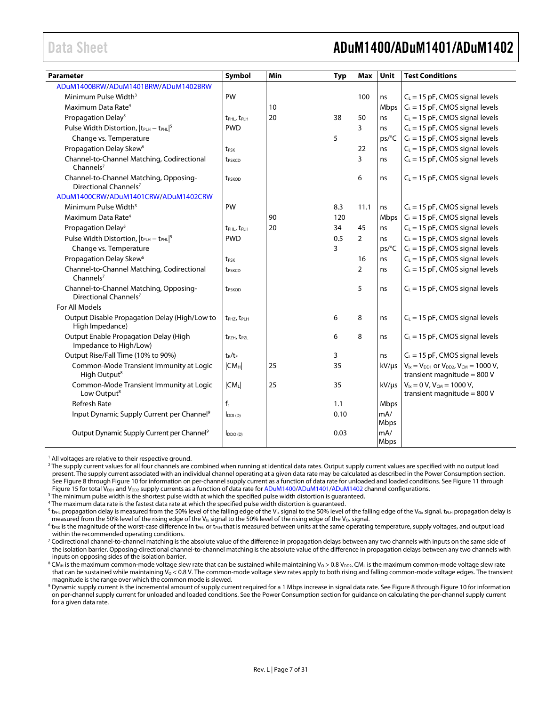### <span id="page-6-0"></span>Data Sheet **ADuM1400/ADuM1401/ADuM1402**

| Parameter                                                                   | Symbol                               | Min | <b>Typ</b> | <b>Max</b>     | Unit               | <b>Test Conditions</b>                                                                |
|-----------------------------------------------------------------------------|--------------------------------------|-----|------------|----------------|--------------------|---------------------------------------------------------------------------------------|
| ADuM1400BRW/ADuM1401BRW/ADuM1402BRW                                         |                                      |     |            |                |                    |                                                                                       |
| Minimum Pulse Width <sup>3</sup>                                            | PW                                   |     |            | 100            | ns                 | $C_L = 15$ pF, CMOS signal levels                                                     |
| Maximum Data Rate <sup>4</sup>                                              |                                      | 10  |            |                | Mbps               | $C_L = 15$ pF, CMOS signal levels                                                     |
| Propagation Delay <sup>5</sup>                                              | t <sub>PHL</sub> , t <sub>PLH</sub>  | 20  | 38         | 50             | ns                 | $C_L = 15$ pF, CMOS signal levels                                                     |
| Pulse Width Distortion, $ t_{\text{PLH}} - t_{\text{PHL}} ^5$               | <b>PWD</b>                           |     |            | 3              | ns                 | $C_L$ = 15 pF, CMOS signal levels                                                     |
| Change vs. Temperature                                                      |                                      |     | 5          |                | ps/C               | $C_L$ = 15 pF, CMOS signal levels                                                     |
| Propagation Delay Skew <sup>6</sup>                                         | t <sub>PSK</sub>                     |     |            | 22             | ns                 | $C_L = 15$ pF, CMOS signal levels                                                     |
| Channel-to-Channel Matching, Codirectional<br>Channels <sup>7</sup>         | t <sub>PSKCD</sub>                   |     |            | 3              | ns                 | $C_L = 15$ pF, CMOS signal levels                                                     |
| Channel-to-Channel Matching, Opposing-<br>Directional Channels <sup>7</sup> | t <sub>PSKOD</sub>                   |     |            | 6              | ns                 | $C_L$ = 15 pF, CMOS signal levels                                                     |
| ADuM1400CRW/ADuM1401CRW/ADuM1402CRW                                         |                                      |     |            |                |                    |                                                                                       |
| Minimum Pulse Width <sup>3</sup>                                            | PW                                   |     | 8.3        | 11.1           | ns                 | $C_L$ = 15 pF, CMOS signal levels                                                     |
| Maximum Data Rate <sup>4</sup>                                              |                                      | 90  | 120        |                | Mbps               | $C_L$ = 15 pF, CMOS signal levels                                                     |
| Propagation Delay <sup>5</sup>                                              | t <sub>PHL</sub> , t <sub>PLH</sub>  | 20  | 34         | 45             | ns                 | $C_L = 15$ pF, CMOS signal levels                                                     |
| Pulse Width Distortion, $ t_{PLH} - t_{PHL} ^5$                             | <b>PWD</b>                           |     | 0.5        | $\overline{2}$ | ns                 | $C_L$ = 15 pF, CMOS signal levels                                                     |
| Change vs. Temperature                                                      |                                      |     | 3          |                | ps/C               | $C_L$ = 15 pF, CMOS signal levels                                                     |
| Propagation Delay Skew <sup>6</sup>                                         | t <sub>PSK</sub>                     |     |            | 16             | ns                 | $C_L = 15$ pF, CMOS signal levels                                                     |
| Channel-to-Channel Matching, Codirectional<br>Channels $7$                  | t <sub>PSKCD</sub>                   |     |            | $\overline{2}$ | ns                 | $C_L$ = 15 pF, CMOS signal levels                                                     |
| Channel-to-Channel Matching, Opposing-<br>Directional Channels <sup>7</sup> | t <sub>PSKOD</sub>                   |     |            | 5              | ns                 | $C_L$ = 15 pF, CMOS signal levels                                                     |
| For All Models                                                              |                                      |     |            |                |                    |                                                                                       |
| Output Disable Propagation Delay (High/Low to<br>High Impedance)            | t <sub>PH7</sub> , t <sub>PI H</sub> |     | 6          | 8              | ns                 | $C_L$ = 15 pF, CMOS signal levels                                                     |
| Output Enable Propagation Delay (High<br>Impedance to High/Low)             | t <sub>PZH</sub> , t <sub>PZL</sub>  |     | 6          | 8              | ns                 | $C_L$ = 15 pF, CMOS signal levels                                                     |
| Output Rise/Fall Time (10% to 90%)                                          | $t_R/t_F$                            |     | 3          |                | ns                 | $C_L$ = 15 pF, CMOS signal levels                                                     |
| Common-Mode Transient Immunity at Logic<br>High Output <sup>8</sup>         | $ CM_H $                             | 25  | 35         |                | $kV/\mu s$         | $V_{1x} = V_{DD1}$ or $V_{DD2}$ , $V_{CM} = 1000 V$ ,<br>transient magnitude = $800V$ |
| Common-Mode Transient Immunity at Logic<br>Low Output <sup>8</sup>          | CM <sub>L</sub>                      | 25  | 35         |                | $kV/\mu s$         | $V_{1x} = 0 V$ , $V_{CM} = 1000 V$ ,<br>transient magnitude = $800$ V                 |
| <b>Refresh Rate</b>                                                         | $f_r$                                |     | 1.1        |                | Mbps               |                                                                                       |
| Input Dynamic Supply Current per Channel <sup>9</sup>                       | $I_{DDI(D)}$                         |     | 0.10       |                | mA/<br><b>Mbps</b> |                                                                                       |
| Output Dynamic Supply Current per Channel <sup>9</sup>                      | $I_{DDO(D)}$                         |     | 0.03       |                | mA/<br><b>Mbps</b> |                                                                                       |

<sup>1</sup> All voltages are relative to their respective ground.

<sup>2</sup> The supply current values for all four channels are combined when running at identical data rates. Output supply current values are specified with no output load present. The supply current associated with an individual channel operating at a given data rate may be calculated as described in th[e Power Consumption](#page-27-0) section. Se[e Figure 8](#page-24-1) throug[h Figure 10](#page-24-2) for information on per-channel supply current as a function of data rate for unloaded and loaded conditions. Se[e Figure 11](#page-24-3) through [Figure 15](#page-25-0) for total V<sub>DD1</sub> and V<sub>DD2</sub> supply currents as a function of data rate fo[r ADuM1400/](http://www.analog.com/ADuM1400?doc=ADuM1400_1401_1402.pdf)[ADuM1401](http://www.analog.com/ADuM1401?doc=ADuM1400_1401_1402.pdf)[/ADuM1402](http://www.analog.com/ADuM1402?doc=ADuM1400_1401_1402.pdf) channel configurations.

<sup>3</sup> The minimum pulse width is the shortest pulse width at which the specified pulse width distortion is guaranteed.

<sup>4</sup> The maximum data rate is the fastest data rate at which the specified pulse width distortion is guaranteed.

<sup>5</sup> t<sub>PHL</sub> propagation delay is measured from the 50% level of the falling edge of the V<sub>Ix</sub> signal to the 50% level of the falling edge of the V<sub>Ox</sub> signal. t<sub>PLH</sub> propagation delay is measured from the 50% level of the rising edge of the V<sub>Ix</sub> signal to the 50% level of the rising edge of the V<sub>Ox</sub> signal.

 $6$  t<sub>PSK</sub> is the magnitude of the worst-case difference in t<sub>PHL</sub> or t<sub>PLH</sub> that is measured between units at the same operating temperature, supply voltages, and output load within the recommended operating conditions.

<sup>7</sup> Codirectional channel-to-channel matching is the absolute value of the difference in propagation delays between any two channels with inputs on the same side of the isolation barrier. Opposing-directional channel-to-channel matching is the absolute value of the difference in propagation delays between any two channels with inputs on opposing sides of the isolation barrier.

<sup>8</sup> CM<sub>H</sub> is the maximum common-mode voltage slew rate that can be sustained while maintaining V<sub>0</sub> > 0.8 V<sub>DD2</sub>. CM<sub>L</sub> is the maximum common-mode voltage slew rate that can be sustained while maintaining  $V_0 < 0.8$  V. The common-mode voltage slew rates apply to both rising and falling common-mode voltage edges. The transient magnitude is the range over which the common mode is slewed.

 $^9$  Dynamic supply current is the incremental amount of supply current required for a 1 Mbps increase in signal data rate. Se[e Figure 8](#page-24-1) throug[h Figure 10](#page-24-2) for information on per-channel supply current for unloaded and loaded conditions. See th[e Power Consumption](#page-27-0) section for guidance on calculating the per-channel supply current for a given data rate.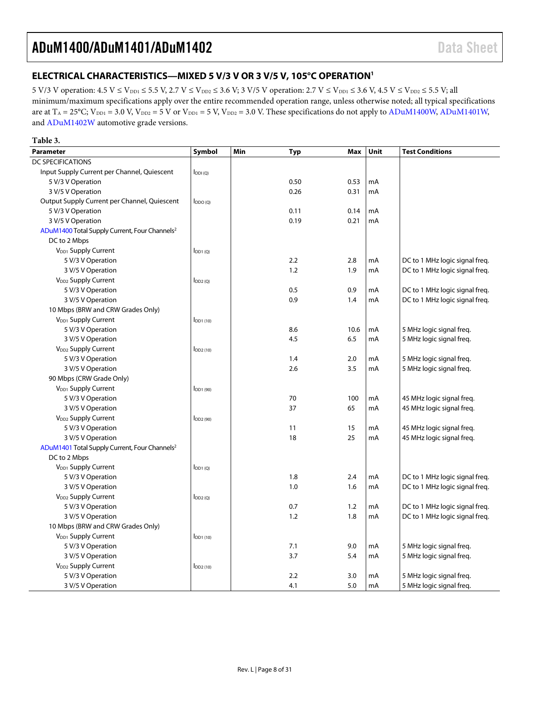### <span id="page-7-0"></span>**ELECTRICAL CHARACTERISTICS—MIXED 5 V/3 V OR 3 V/5 V, 105°C OPERATIO[N1](#page-9-0)**

5 V/3 V operation:  $4.5$  V  $\leq$  V<sub>DD1</sub>  $\leq$  5.5 V, 2.7 V  $\leq$  V<sub>DD2</sub>  $\leq$  3.6 V; 3 V/5 V operation: 2.7 V  $\leq$  V<sub>DD1</sub>  $\leq$  3.6 V, 4.5 V  $\leq$  V<sub>DD2</sub>  $\leq$  5.5 V; all minimum/maximum specifications apply over the entire recommended operation range, unless otherwise noted; all typical specifications are at  $T_A = 25^{\circ}$ C;  $V_{DD1} = 3.0$  V,  $V_{DD2} = 5$  V or  $V_{DD1} = 5$  V,  $V_{DD2} = 3.0$  V. These specifications do not apply to [ADuM1400W,](http://www.analog.com/ADuM1400?doc=ADuM1400_1401_1402.pdf) [ADuM1401W,](http://www.analog.com/ADuM1401?doc=ADuM1400_1401_1402.pdf) an[d ADuM1402W](http://www.analog.com/ADuM1402?doc=ADuM1400_1401_1402.pdf) automotive grade versions.

#### **Table 3.**

| Parameter                                                 | Symbol        | Min | <b>Typ</b> | Max  | Unit | <b>Test Conditions</b>         |
|-----------------------------------------------------------|---------------|-----|------------|------|------|--------------------------------|
| <b>DC SPECIFICATIONS</b>                                  |               |     |            |      |      |                                |
| Input Supply Current per Channel, Quiescent               | $I_{DDI(Q)}$  |     |            |      |      |                                |
| 5 V/3 V Operation                                         |               |     | 0.50       | 0.53 | mA   |                                |
| 3 V/5 V Operation                                         |               |     | 0.26       | 0.31 | mA   |                                |
| Output Supply Current per Channel, Quiescent              | $I_{DDO(O)}$  |     |            |      |      |                                |
| 5 V/3 V Operation                                         |               |     | 0.11       | 0.14 | mA   |                                |
| 3 V/5 V Operation                                         |               |     | 0.19       | 0.21 | mA   |                                |
| ADuM1400 Total Supply Current, Four Channels <sup>2</sup> |               |     |            |      |      |                                |
| DC to 2 Mbps                                              |               |     |            |      |      |                                |
| V <sub>DD1</sub> Supply Current                           | $I_{DD1(Q)}$  |     |            |      |      |                                |
| 5 V/3 V Operation                                         |               |     | 2.2        | 2.8  | mA   | DC to 1 MHz logic signal freq. |
| 3 V/5 V Operation                                         |               |     | 1.2        | 1.9  | mA   | DC to 1 MHz logic signal freq. |
| V <sub>DD2</sub> Supply Current                           | $I_{DD2(Q)}$  |     |            |      |      |                                |
| 5 V/3 V Operation                                         |               |     | 0.5        | 0.9  | mA   | DC to 1 MHz logic signal freq. |
| 3 V/5 V Operation                                         |               |     | 0.9        | 1.4  | mA   | DC to 1 MHz logic signal freq. |
| 10 Mbps (BRW and CRW Grades Only)                         |               |     |            |      |      |                                |
| V <sub>DD1</sub> Supply Current                           | $IDD1$ (10)   |     |            |      |      |                                |
| 5 V/3 V Operation                                         |               |     | 8.6        | 10.6 | mA   | 5 MHz logic signal freq.       |
| 3 V/5 V Operation                                         |               |     | 4.5        | 6.5  | mA   | 5 MHz logic signal freq.       |
| V <sub>DD2</sub> Supply Current                           | $I_{DD2(10)}$ |     |            |      |      |                                |
| 5 V/3 V Operation                                         |               |     | 1.4        | 2.0  | mA   | 5 MHz logic signal freq.       |
| 3 V/5 V Operation                                         |               |     | 2.6        | 3.5  | mA   | 5 MHz logic signal freg.       |
| 90 Mbps (CRW Grade Only)                                  |               |     |            |      |      |                                |
| V <sub>DD1</sub> Supply Current                           | $I_{DD1(90)}$ |     |            |      |      |                                |
| 5 V/3 V Operation                                         |               |     | 70         | 100  | mA   | 45 MHz logic signal freq.      |
| 3 V/5 V Operation                                         |               |     | 37         | 65   | mA   | 45 MHz logic signal freq.      |
| V <sub>DD2</sub> Supply Current                           | $I_{DD2(90)}$ |     |            |      |      |                                |
| 5 V/3 V Operation                                         |               |     | 11         | 15   | mA   | 45 MHz logic signal freq.      |
| 3 V/5 V Operation                                         |               |     | 18         | 25   | mA   | 45 MHz logic signal freg.      |
| ADuM1401 Total Supply Current, Four Channels <sup>2</sup> |               |     |            |      |      |                                |
| DC to 2 Mbps                                              |               |     |            |      |      |                                |
| V <sub>DD1</sub> Supply Current                           | $I_{DD1(Q)}$  |     |            |      |      |                                |
| 5 V/3 V Operation                                         |               |     | 1.8        | 2.4  | mA   | DC to 1 MHz logic signal freq. |
| 3 V/5 V Operation                                         |               |     | 1.0        | 1.6  | mA   | DC to 1 MHz logic signal freq. |
| V <sub>DD2</sub> Supply Current                           | $I_{DD2(0)}$  |     |            |      |      |                                |
| 5 V/3 V Operation                                         |               |     | 0.7        | 1.2  | mA   | DC to 1 MHz logic signal freq. |
| 3 V/5 V Operation                                         |               |     | 1.2        | 1.8  | mA   | DC to 1 MHz logic signal freq. |
| 10 Mbps (BRW and CRW Grades Only)                         |               |     |            |      |      |                                |
| V <sub>DD1</sub> Supply Current                           | $IDD1$ (10)   |     |            |      |      |                                |
| 5 V/3 V Operation                                         |               |     | 7.1        | 9.0  | mA   | 5 MHz logic signal freg.       |
| 3 V/5 V Operation                                         |               |     | 3.7        | 5.4  | mA   | 5 MHz logic signal freq.       |
| V <sub>DD2</sub> Supply Current                           | $I_{DD2(10)}$ |     |            |      |      |                                |
| 5 V/3 V Operation                                         |               |     | 2.2        | 3.0  | mA   | 5 MHz logic signal freq.       |
| 3 V/5 V Operation                                         |               |     | 4.1        | 5.0  | mA   | 5 MHz logic signal freq.       |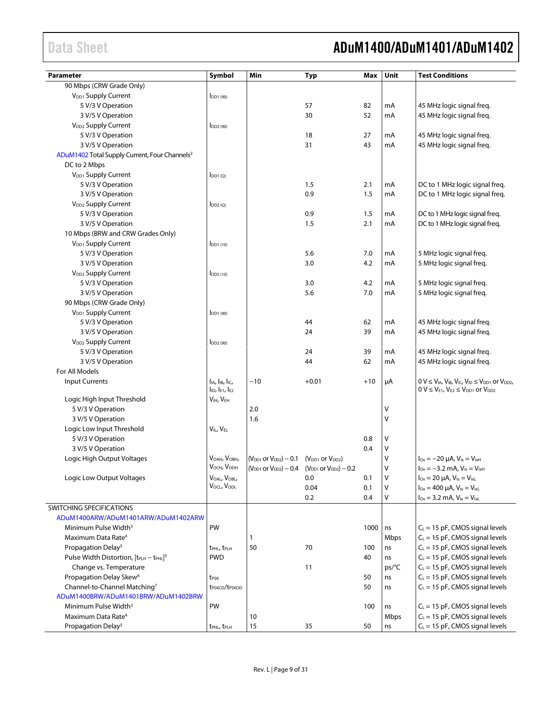### Data Sheet **ADuM1400/ADuM1401/ADuM1402**

| <b>Parameter</b>                                                | Symbol                                           | Min                                                       | Typ                                                             | Max   | Unit  | <b>Test Conditions</b>                                                                                                                   |
|-----------------------------------------------------------------|--------------------------------------------------|-----------------------------------------------------------|-----------------------------------------------------------------|-------|-------|------------------------------------------------------------------------------------------------------------------------------------------|
| 90 Mbps (CRW Grade Only)                                        |                                                  |                                                           |                                                                 |       |       |                                                                                                                                          |
| V <sub>DD1</sub> Supply Current                                 | $I$ DD <sub>1</sub> $(90)$                       |                                                           |                                                                 |       |       |                                                                                                                                          |
| 5 V/3 V Operation                                               |                                                  |                                                           | 57                                                              | 82    | mA    | 45 MHz logic signal freq.                                                                                                                |
| 3 V/5 V Operation                                               |                                                  |                                                           | 30                                                              | 52    | mA    | 45 MHz logic signal freq.                                                                                                                |
| V <sub>DD2</sub> Supply Current                                 | $I_{DD2(90)}$                                    |                                                           |                                                                 |       |       |                                                                                                                                          |
| 5 V/3 V Operation                                               |                                                  |                                                           | 18                                                              | 27    | mA    | 45 MHz logic signal freq.                                                                                                                |
| 3 V/5 V Operation                                               |                                                  |                                                           | 31                                                              | 43    | mA    | 45 MHz logic signal freq.                                                                                                                |
| ADuM1402 Total Supply Current, Four Channels <sup>2</sup>       |                                                  |                                                           |                                                                 |       |       |                                                                                                                                          |
| DC to 2 Mbps                                                    |                                                  |                                                           |                                                                 |       |       |                                                                                                                                          |
| V <sub>DD1</sub> Supply Current                                 | $I_{DD1(Q)}$                                     |                                                           |                                                                 |       |       |                                                                                                                                          |
| 5 V/3 V Operation                                               |                                                  |                                                           | 1.5                                                             | 2.1   | mA    | DC to 1 MHz logic signal freq.                                                                                                           |
| 3 V/5 V Operation                                               |                                                  |                                                           | 0.9                                                             | 1.5   | mA    | DC to 1 MHz logic signal freq.                                                                                                           |
| V <sub>DD2</sub> Supply Current                                 | $I_{DD2(Q)}$                                     |                                                           |                                                                 |       |       |                                                                                                                                          |
| 5 V/3 V Operation                                               |                                                  |                                                           | 0.9                                                             | 1.5   | mA    | DC to 1 MHz logic signal freq.                                                                                                           |
| 3 V/5 V Operation                                               |                                                  |                                                           | 1.5                                                             | 2.1   | mA    | DC to 1 MHz logic signal freq.                                                                                                           |
| 10 Mbps (BRW and CRW Grades Only)                               |                                                  |                                                           |                                                                 |       |       |                                                                                                                                          |
| V <sub>DD1</sub> Supply Current                                 | $I$ <sub>DD1</sub> $(10)$                        |                                                           |                                                                 |       |       |                                                                                                                                          |
| 5 V/3 V Operation                                               |                                                  |                                                           | 5.6                                                             | 7.0   | mA    | 5 MHz logic signal freq.                                                                                                                 |
| 3 V/5 V Operation                                               |                                                  |                                                           | 3.0                                                             | 4.2   | mA    | 5 MHz logic signal freq.                                                                                                                 |
| V <sub>DD2</sub> Supply Current                                 |                                                  |                                                           |                                                                 |       |       |                                                                                                                                          |
| 5 V/3 V Operation                                               | $I_{DD2(10)}$                                    |                                                           | 3.0                                                             | 4.2   | mA    | 5 MHz logic signal freq.                                                                                                                 |
| 3 V/5 V Operation                                               |                                                  |                                                           | 5.6                                                             | 7.0   | mA    | 5 MHz logic signal freq.                                                                                                                 |
| 90 Mbps (CRW Grade Only)                                        |                                                  |                                                           |                                                                 |       |       |                                                                                                                                          |
| V <sub>DD1</sub> Supply Current                                 |                                                  |                                                           |                                                                 |       |       |                                                                                                                                          |
|                                                                 | $I$ DD <sub>1</sub> $(90)$                       |                                                           | 44                                                              | 62    | mA    |                                                                                                                                          |
| 5 V/3 V Operation                                               |                                                  |                                                           | 24                                                              | 39    | mA    | 45 MHz logic signal freq.                                                                                                                |
| 3 V/5 V Operation                                               |                                                  |                                                           |                                                                 |       |       | 45 MHz logic signal freq.                                                                                                                |
| V <sub>DD2</sub> Supply Current                                 | $I_{DD2(90)}$                                    |                                                           |                                                                 |       |       |                                                                                                                                          |
| 5 V/3 V Operation                                               |                                                  |                                                           | 24<br>44                                                        | 39    | mA    | 45 MHz logic signal freq.                                                                                                                |
| 3 V/5 V Operation<br>For All Models                             |                                                  |                                                           |                                                                 | 62    | mA    | 45 MHz logic signal freq.                                                                                                                |
|                                                                 |                                                  |                                                           |                                                                 |       |       |                                                                                                                                          |
| <b>Input Currents</b>                                           | lia, lib, lic,<br>$I_{ID}$ , $I_{E1}$ , $I_{E2}$ | $-10$                                                     | $+0.01$                                                         | $+10$ | μA    | $0 V \leq V_{IA}$ , $V_{IB}$ , $V_{IC}$ , $V_{ID} \leq V_{DD1}$ or $V_{DD2}$ ,<br>$0 V \leq V_{E1}$ , $V_{E2} \leq V_{DD1}$ or $V_{DD2}$ |
| Logic High Input Threshold                                      | VIH, VEH                                         |                                                           |                                                                 |       |       |                                                                                                                                          |
| 5 V/3 V Operation                                               |                                                  | 2.0                                                       |                                                                 |       | ٧     |                                                                                                                                          |
| 3 V/5 V Operation                                               |                                                  | 1.6                                                       |                                                                 |       | ٧     |                                                                                                                                          |
| Logic Low Input Threshold                                       | VIL, V <sub>EL</sub>                             |                                                           |                                                                 |       |       |                                                                                                                                          |
| 5 V/3 V Operation                                               |                                                  |                                                           |                                                                 | 0.8   | ٧     |                                                                                                                                          |
| 3 V/5 V Operation                                               |                                                  |                                                           |                                                                 | 0.4   | ٧     |                                                                                                                                          |
| Logic High Output Voltages                                      | V <sub>OAH</sub> , V <sub>OBH</sub> ,            | $(V_{DD1}$ or $V_{DD2}$ ) – 0.1 $(V_{DD1}$ or $V_{DD2}$ ) |                                                                 |       | ٧     | $I_{Ox} = -20 \mu A$ , $V_{1x} = V_{1xH}$                                                                                                |
|                                                                 | V <sub>OCH</sub> , V <sub>ODH</sub>              |                                                           | $(V_{DD1}$ or $V_{DD2}$ ) – 0.4 $(V_{DD1}$ or $V_{DD2}$ ) – 0.2 |       | ٧     | $I_{0x} = -3.2$ mA, $V_{1x} = V_{1xH}$                                                                                                   |
| Logic Low Output Voltages                                       | VOAL, VOBL,                                      |                                                           | 0.0                                                             | 0.1   | V     | $I_{Ox} = 20 \mu A$ , $V_{1x} = V_{1xL}$                                                                                                 |
|                                                                 | VOCL, VODL                                       |                                                           | 0.04                                                            | 0.1   | ٧     | $I_{Ox} = 400 \mu A$ , $V_{ix} = V_{ixL}$                                                                                                |
|                                                                 |                                                  |                                                           | 0.2                                                             | 0.4   | V     | $I_{Ox} = 3.2$ mA, $V_{lx} = V_{lxL}$                                                                                                    |
| SWITCHING SPECIFICATIONS                                        |                                                  |                                                           |                                                                 |       |       |                                                                                                                                          |
| ADuM1400ARW/ADuM1401ARW/ADuM1402ARW                             |                                                  |                                                           |                                                                 |       |       |                                                                                                                                          |
| Minimum Pulse Width <sup>3</sup>                                | PW                                               |                                                           |                                                                 | 1000  | ns    | $C_L$ = 15 pF, CMOS signal levels                                                                                                        |
| Maximum Data Rate <sup>4</sup>                                  |                                                  | 1                                                         |                                                                 |       | Mbps  | $C_L$ = 15 pF, CMOS signal levels                                                                                                        |
| Propagation Delay <sup>5</sup>                                  | t <sub>PHL</sub> , t <sub>PLH</sub>              | 50                                                        | 70                                                              | 100   | ns    | $C_L = 15$ pF, CMOS signal levels                                                                                                        |
| Pulse Width Distortion,  t <sub>PLH</sub> - t <sub>PHL</sub>  5 | <b>PWD</b>                                       |                                                           |                                                                 | 40    | ns    | $C_L = 15$ pF, CMOS signal levels                                                                                                        |
| Change vs. Temperature                                          |                                                  |                                                           | 11                                                              |       | ps/°C | $C_L = 15$ pF, CMOS signal levels                                                                                                        |
| Propagation Delay Skew <sup>6</sup>                             | t <sub>PSK</sub>                                 |                                                           |                                                                 | 50    | ns    | $C_L = 15$ pF, CMOS signal levels                                                                                                        |
| Channel-to-Channel Matching7                                    | t <sub>PSKCD</sub> /t <sub>PSKOD</sub>           |                                                           |                                                                 | 50    | ns    | $C_L = 15$ pF, CMOS signal levels                                                                                                        |
| ADuM1400BRW/ADuM1401BRW/ADuM1402BRW                             |                                                  |                                                           |                                                                 |       |       |                                                                                                                                          |
| Minimum Pulse Width <sup>3</sup>                                | PW                                               |                                                           |                                                                 | 100   | ns    | $C_L = 15$ pF, CMOS signal levels                                                                                                        |
| Maximum Data Rate <sup>4</sup>                                  |                                                  | 10                                                        |                                                                 |       | Mbps  | $C_L = 15$ pF, CMOS signal levels                                                                                                        |
| Propagation Delay <sup>5</sup>                                  | t <sub>PHL</sub> , t <sub>PLH</sub>              | 15                                                        | 35                                                              | 50    | ns    | $C_L = 15$ pF, CMOS signal levels                                                                                                        |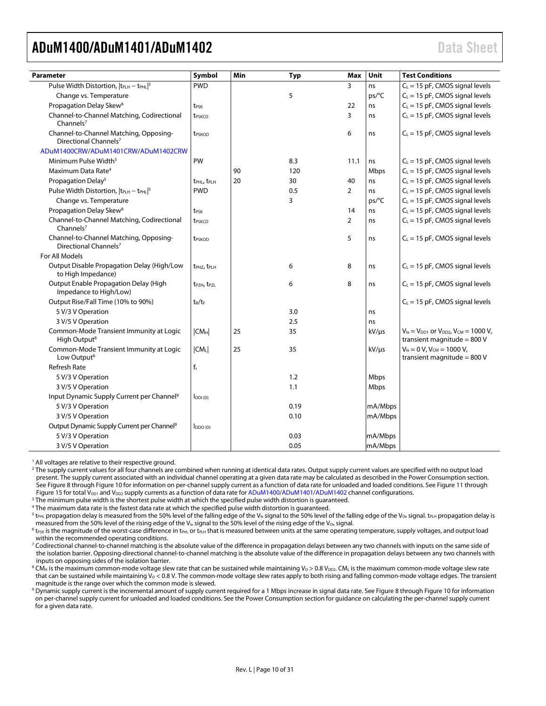<span id="page-9-0"></span>

| Parameter                                                                   | Symbol                              | Min | <b>Typ</b> | Max            | Unit       | <b>Test Conditions</b>                                                                 |
|-----------------------------------------------------------------------------|-------------------------------------|-----|------------|----------------|------------|----------------------------------------------------------------------------------------|
| Pulse Width Distortion, $ t_{\text{PLH}} - t_{\text{PHL}} ^5$               | <b>PWD</b>                          |     |            | 3              | ns         | $C_L = 15$ pF, CMOS signal levels                                                      |
| Change vs. Temperature                                                      |                                     |     | 5          |                | ps/°C      | $C_L$ = 15 pF, CMOS signal levels                                                      |
| Propagation Delay Skew <sup>6</sup>                                         | t <sub>PSK</sub>                    |     |            | 22             | ns         | $C_L$ = 15 pF, CMOS signal levels                                                      |
| Channel-to-Channel Matching, Codirectional<br>Channels <sup>7</sup>         | t <sub>PSKCD</sub>                  |     |            | 3              | ns         | $C_L$ = 15 pF, CMOS signal levels                                                      |
| Channel-to-Channel Matching, Opposing-<br>Directional Channels <sup>7</sup> | t <sub>PSKOD</sub>                  |     |            | 6              | ns         | $C_L$ = 15 pF, CMOS signal levels                                                      |
| ADuM1400CRW/ADuM1401CRW/ADuM1402CRW                                         |                                     |     |            |                |            |                                                                                        |
| Minimum Pulse Width <sup>3</sup>                                            | PW                                  |     | 8.3        | 11.1           | ns         | $C_L$ = 15 pF, CMOS signal levels                                                      |
| Maximum Data Rate <sup>4</sup>                                              |                                     | 90  | 120        |                | Mbps       | $C_L$ = 15 pF, CMOS signal levels                                                      |
| Propagation Delay <sup>5</sup>                                              | t <sub>PHL</sub> , t <sub>PLH</sub> | 20  | 30         | 40             | ns         | $C_L$ = 15 pF, CMOS signal levels                                                      |
| Pulse Width Distortion, $ t_{\text{PLH}} - t_{\text{PHL}} ^5$               | <b>PWD</b>                          |     | 0.5        | 2              | ns         | $C_L$ = 15 pF, CMOS signal levels                                                      |
| Change vs. Temperature                                                      |                                     |     | 3          |                | ps/°C      | $C_L$ = 15 pF, CMOS signal levels                                                      |
| Propagation Delay Skew <sup>6</sup>                                         | t <sub>PSK</sub>                    |     |            | 14             | ns         | $C_L$ = 15 pF, CMOS signal levels                                                      |
| Channel-to-Channel Matching, Codirectional<br>Channels <sup>7</sup>         | t <sub>PSKCD</sub>                  |     |            | $\overline{2}$ | ns         | $C_L$ = 15 pF, CMOS signal levels                                                      |
| Channel-to-Channel Matching, Opposing-<br>Directional Channels <sup>7</sup> | t <sub>PSKOD</sub>                  |     |            | 5              | ns         | $C_L$ = 15 pF, CMOS signal levels                                                      |
| For All Models                                                              |                                     |     |            |                |            |                                                                                        |
| Output Disable Propagation Delay (High/Low<br>to High Impedance)            | t <sub>PHZ</sub> , t <sub>PLH</sub> |     | 6          | 8              | ns         | $C_L$ = 15 pF, CMOS signal levels                                                      |
| Output Enable Propagation Delay (High<br>Impedance to High/Low)             | t <sub>PZH</sub> , t <sub>PZL</sub> |     | 6          | 8              | ns         | $C_L$ = 15 pF, CMOS signal levels                                                      |
| Output Rise/Fall Time (10% to 90%)                                          | $t_R/t_F$                           |     |            |                |            | $C_L$ = 15 pF, CMOS signal levels                                                      |
| 5 V/3 V Operation                                                           |                                     |     | 3.0        |                | ns         |                                                                                        |
| 3 V/5 V Operation                                                           |                                     |     | 2.5        |                | ns         |                                                                                        |
| Common-Mode Transient Immunity at Logic<br>High Output <sup>8</sup>         | $ CM_H $                            | 25  | 35         |                | $kV/\mu s$ | $V_{1x} = V_{DD1}$ or $V_{DD2}$ , $V_{CM} = 1000 V$ ,<br>transient magnitude = $800$ V |
| Common-Mode Transient Immunity at Logic<br>Low Output <sup>8</sup>          | CM <sub>L</sub>                     | 25  | 35         |                | $kV/\mu s$ | $V_{ix} = 0 V$ , $V_{CM} = 1000 V$ ,<br>transient magnitude = $800$ V                  |
| <b>Refresh Rate</b>                                                         | $f_r$                               |     |            |                |            |                                                                                        |
| 5 V/3 V Operation                                                           |                                     |     | 1.2        |                | Mbps       |                                                                                        |
| 3 V/5 V Operation                                                           |                                     |     | 1.1        |                | Mbps       |                                                                                        |
| Input Dynamic Supply Current per Channel <sup>9</sup>                       | I <sub>DDI(D)</sub>                 |     |            |                |            |                                                                                        |
| 5 V/3 V Operation                                                           |                                     |     | 0.19       |                | mA/Mbps    |                                                                                        |
| 3 V/5 V Operation                                                           |                                     |     | 0.10       |                | mA/Mbps    |                                                                                        |
| Output Dynamic Supply Current per Channel <sup>9</sup>                      | DDO (D)                             |     |            |                |            |                                                                                        |
| 5 V/3 V Operation                                                           |                                     |     | 0.03       |                | mA/Mbps    |                                                                                        |
| 3 V/5 V Operation                                                           |                                     |     | 0.05       |                | mA/Mbps    |                                                                                        |

<sup>1</sup> All voltages are relative to their respective ground.

<sup>2</sup> The supply current values for all four channels are combined when running at identical data rates. Output supply current values are specified with no output load present. The supply current associated with an individual channel operating at a given data rate may be calculated as described in the [Power Consumption](#page-27-0) section. Se[e Figure 8](#page-24-1) throug[h Figure 10](#page-24-2) for information on per-channel supply current as a function of data rate for unloaded and loaded conditions. Se[e Figure 11](#page-24-3) through [Figure 15](#page-25-0) for total  $V_{DD1}$  and  $V_{DD2}$  supply currents as a function of data rate fo[r ADuM1400/](http://www.analog.com/ADuM1400?doc=ADuM1400_1401_1402.pdf)[ADuM1401](http://www.analog.com/ADuM1401?doc=ADuM1400_1401_1402.pdf)[/ADuM1402](http://www.analog.com/ADuM1402?doc=ADuM1400_1401_1402.pdf) channel configurations.

<sup>3</sup> The minimum pulse width is the shortest pulse width at which the specified pulse width distortion is guaranteed.

<sup>4</sup> The maximum data rate is the fastest data rate at which the specified pulse width distortion is guaranteed.

<sup>5</sup> t<sub>PHL</sub> propagation delay is measured from the 50% level of the falling edge of the V<sub>Ix</sub> signal to the 50% level of the falling edge of the V<sub>Ox</sub> signal. t<sub>PLH</sub> propagation delay is measured from the 50% level of the rising edge of the V<sub>Ix</sub> signal to the 50% level of the rising edge of the V<sub>Ox</sub> signal.

 $6$  t<sub>PSK</sub> is the magnitude of the worst-case difference in t<sub>PHL</sub> or t<sub>PLH</sub> that is measured between units at the same operating temperature, supply voltages, and output load within the recommended operating conditions.

<sup>7</sup> Codirectional channel-to-channel matching is the absolute value of the difference in propagation delays between any two channels with inputs on the same side of the isolation barrier. Opposing-directional channel-to-channel matching is the absolute value of the difference in propagation delays between any two channels with inputs on opposing sides of the isolation barrier.

 $8$  CM<sub>H</sub> is the maximum common-mode voltage slew rate that can be sustained while maintaining V<sub>0</sub> > 0.8 V<sub>DD2</sub>. CML is the maximum common-mode voltage slew rate that can be sustained while maintaining  $V_0 < 0.8$  V. The common-mode voltage slew rates apply to both rising and falling common-mode voltage edges. The transient magnitude is the range over which the common mode is slewed.

<sup>9</sup> Dynamic supply current is the incremental amount of supply current required for a 1 Mbps increase in signal data rate. Se[e Figure 8](#page-24-1) throug[h Figure 10](#page-24-2) for information on per-channel supply current for unloaded and loaded conditions. See th[e Power Consumption](#page-27-0) section for guidance on calculating the per-channel supply current for a given data rate.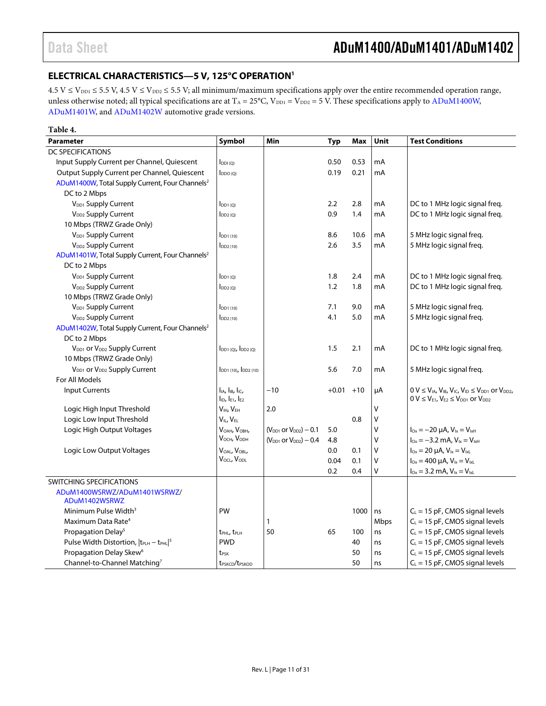### <span id="page-10-0"></span>**ELECTRICAL CHARACTERISTICS—5 V, 125°C OPERATI[ON1](#page-11-0)**

 $4.5$  V  $\le$  V<sub>DD1</sub>  $\le$  5.5 V, 4.5 V  $\le$  V<sub>DD2</sub>  $\le$  5.5 V; all minimum/maximum specifications apply over the entire recommended operation range, unless otherwise noted; all typical specifications are at  $T_A = 25^{\circ}$ C, V<sub>DD1</sub> = V<sub>DD2</sub> = 5 V. These specifications apply to ADuM1400W, [ADuM1401W,](http://www.analog.com/ADuM1401?doc=ADuM1400_1401_1402.pdf) and [ADuM1402W](http://www.analog.com/ADuM1402?doc=ADuM1400_1401_1402.pdf) automotive grade versions.

| Table 4.                                                    |                                                                    |                                |            |       |      |                                                                                                                                        |
|-------------------------------------------------------------|--------------------------------------------------------------------|--------------------------------|------------|-------|------|----------------------------------------------------------------------------------------------------------------------------------------|
| <b>Parameter</b>                                            | Symbol                                                             | Min                            | <b>Typ</b> | Max   | Unit | <b>Test Conditions</b>                                                                                                                 |
| DC SPECIFICATIONS                                           |                                                                    |                                |            |       |      |                                                                                                                                        |
| Input Supply Current per Channel, Quiescent                 | $I_{DDI(O)}$                                                       |                                | 0.50       | 0.53  | mA   |                                                                                                                                        |
| Output Supply Current per Channel, Quiescent                | $I_{DDO(O)}$                                                       |                                | 0.19       | 0.21  | mA   |                                                                                                                                        |
| ADuM1400W, Total Supply Current, Four Channels <sup>2</sup> |                                                                    |                                |            |       |      |                                                                                                                                        |
| DC to 2 Mbps                                                |                                                                    |                                |            |       |      |                                                                                                                                        |
| V <sub>DD1</sub> Supply Current                             | $I_{DD1(Q)}$                                                       |                                | 2.2        | 2.8   | mA   | DC to 1 MHz logic signal freg.                                                                                                         |
| V <sub>DD2</sub> Supply Current                             | $I_{DD2(0)}$                                                       |                                | 0.9        | 1.4   | mA   | DC to 1 MHz logic signal freq.                                                                                                         |
| 10 Mbps (TRWZ Grade Only)                                   |                                                                    |                                |            |       |      |                                                                                                                                        |
| V <sub>DD1</sub> Supply Current                             | $I_{DD1(10)}$                                                      |                                | 8.6        | 10.6  | mA   | 5 MHz logic signal freq.                                                                                                               |
| V <sub>DD2</sub> Supply Current                             | $I_{DD2(10)}$                                                      |                                | 2.6        | 3.5   | mA   | 5 MHz logic signal freq.                                                                                                               |
| ADuM1401W, Total Supply Current, Four Channels <sup>2</sup> |                                                                    |                                |            |       |      |                                                                                                                                        |
| DC to 2 Mbps                                                |                                                                    |                                |            |       |      |                                                                                                                                        |
| V <sub>DD1</sub> Supply Current                             | $I_{DD1(0)}$                                                       |                                | 1.8        | 2.4   | mA   | DC to 1 MHz logic signal freq.                                                                                                         |
| V <sub>DD2</sub> Supply Current                             | $I_{DD2(0)}$                                                       |                                | 1.2        | 1.8   | mA   | DC to 1 MHz logic signal freg.                                                                                                         |
| 10 Mbps (TRWZ Grade Only)                                   |                                                                    |                                |            |       |      |                                                                                                                                        |
| V <sub>DD1</sub> Supply Current                             | $I_{DD1(10)}$                                                      |                                | 7.1        | 9.0   | mA   | 5 MHz logic signal freq.                                                                                                               |
| V <sub>DD2</sub> Supply Current                             | $I_{DD2(10)}$                                                      |                                | 4.1        | 5.0   | mA   | 5 MHz logic signal freq.                                                                                                               |
| ADuM1402W, Total Supply Current, Four Channels <sup>2</sup> |                                                                    |                                |            |       |      |                                                                                                                                        |
| DC to 2 Mbps                                                |                                                                    |                                |            |       |      |                                                                                                                                        |
| $V_{DD1}$ or $V_{DD2}$ Supply Current                       | $I_{DD1(0)}$ , $I_{DD2(0)}$                                        |                                | 1.5        | 2.1   | mA   | DC to 1 MHz logic signal freg.                                                                                                         |
| 10 Mbps (TRWZ Grade Only)                                   |                                                                    |                                |            |       |      |                                                                                                                                        |
| $V_{DD1}$ or $V_{DD2}$ Supply Current                       | $I_{DD1(10)}$ , $I_{DD2(10)}$                                      |                                | 5.6        | 7.0   | mA   | 5 MHz logic signal freq.                                                                                                               |
| For All Models                                              |                                                                    |                                |            |       |      |                                                                                                                                        |
| <b>Input Currents</b>                                       | $I_{IA}$ , $I_{IB}$ , $I_{IC}$ ,<br>$I_{ID}$ , $I_{E1}$ , $I_{E2}$ | $-10$                          | $+0.01$    | $+10$ | μA   | $0 V \le V_{IA}$ , $V_{IB}$ , $V_{IC}$ , $V_{ID} \le V_{DD1}$ or $V_{DD2}$ ,<br>$0 V \leq V_{E1}$ , $V_{E2} \leq V_{DD1}$ or $V_{DD2}$ |
| Logic High Input Threshold                                  | V <sub>IH</sub> , V <sub>EH</sub>                                  | 2.0                            |            |       | V    |                                                                                                                                        |
| Logic Low Input Threshold                                   | $V_{II}$ , $V_{FI}$                                                |                                |            | 0.8   | v    |                                                                                                                                        |
| Logic High Output Voltages                                  | VOAH, VOBH,                                                        | $(V_{DD1}$ or $V_{DD2}) - 0.1$ | 5.0        |       | V    | $I_{\text{Ox}} = -20 \mu A$ , $V_{\text{lx}} = V_{\text{lxH}}$                                                                         |
|                                                             | $V_{OCH}$ , $V_{ODH}$                                              | $(V_{DD1}$ or $V_{DD2}) - 0.4$ | 4.8        |       | V    | $I_{0x} = -3.2$ mA, $V_{1x} = V_{1xH}$                                                                                                 |
| Logic Low Output Voltages                                   | VOAL, VOBL,                                                        |                                | 0.0        | 0.1   | V    | $I_{\text{Ox}} = 20 \mu A$ , $V_{\text{lx}} = V_{\text{lx}}$                                                                           |
|                                                             | V <sub>OCL</sub> , V <sub>ODL</sub>                                |                                | 0.04       | 0.1   | v    | $I_{0x} = 400 \mu A$ , $V_{1x} = V_{1xL}$                                                                                              |
|                                                             |                                                                    |                                | 0.2        | 0.4   | v    | $I_{0x} = 3.2$ mA, $V_{1x} = V_{1xL}$                                                                                                  |
| SWITCHING SPECIFICATIONS                                    |                                                                    |                                |            |       |      |                                                                                                                                        |
| ADuM1400WSRWZ/ADuM1401WSRWZ/                                |                                                                    |                                |            |       |      |                                                                                                                                        |
| ADuM1402WSRWZ                                               |                                                                    |                                |            |       |      |                                                                                                                                        |
| Minimum Pulse Width <sup>3</sup>                            | PW                                                                 |                                |            | 1000  | ns   | $C_L$ = 15 pF, CMOS signal levels                                                                                                      |
| Maximum Data Rate <sup>4</sup>                              |                                                                    | 1                              |            |       | Mbps | $C_L = 15$ pF, CMOS signal levels                                                                                                      |
| Propagation Delay <sup>5</sup>                              | t <sub>PHL</sub> , t <sub>PLH</sub>                                | 50                             | 65         | 100   | ns   | $C_L$ = 15 pF, CMOS signal levels                                                                                                      |
| Pulse Width Distortion, $ t_{PLH} - t_{PHL} ^5$             | <b>PWD</b>                                                         |                                |            | 40    | ns   | $C_L$ = 15 pF, CMOS signal levels                                                                                                      |
| Propagation Delay Skew <sup>6</sup>                         | t <sub>PSK</sub>                                                   |                                |            | 50    | ns   | $C_L$ = 15 pF, CMOS signal levels                                                                                                      |
| Channel-to-Channel Matching <sup>7</sup>                    | t <sub>PSKCD</sub> /t <sub>PSKOD</sub>                             |                                |            | 50    | ns   | $C_L = 15$ pF, CMOS signal levels                                                                                                      |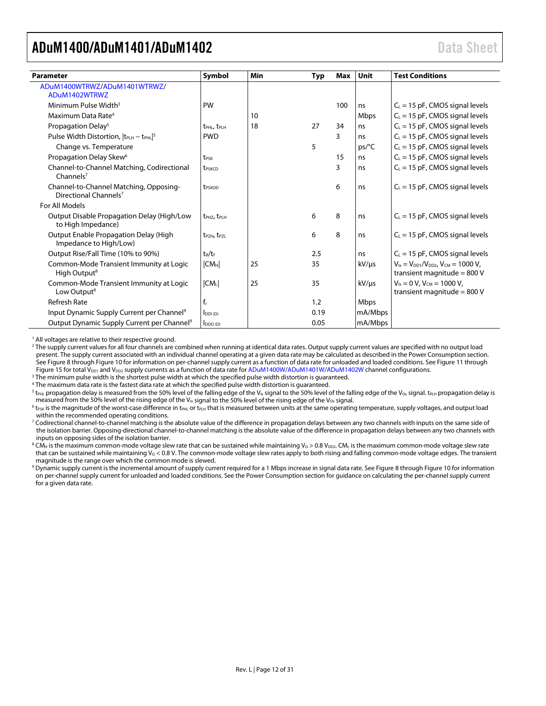<span id="page-11-0"></span>

| <b>Parameter</b>                                                            | Symbol                              | Min | Typ  | Max | Unit       | <b>Test Conditions</b>                                                            |
|-----------------------------------------------------------------------------|-------------------------------------|-----|------|-----|------------|-----------------------------------------------------------------------------------|
| ADuM1400WTRWZ/ADuM1401WTRWZ/                                                |                                     |     |      |     |            |                                                                                   |
| ADuM1402WTRWZ                                                               |                                     |     |      |     |            |                                                                                   |
| Minimum Pulse Width <sup>3</sup>                                            | PW                                  |     |      | 100 | ns         | $C_{L}$ = 15 pF, CMOS signal levels                                               |
| Maximum Data Rate <sup>4</sup>                                              |                                     | 10  |      |     | Mbps       | $C_L$ = 15 pF, CMOS signal levels                                                 |
| Propagation Delay <sup>5</sup>                                              | t <sub>PHL</sub> , t <sub>PLH</sub> | 18  | 27   | 34  | ns         | $C_L$ = 15 pF, CMOS signal levels                                                 |
| Pulse Width Distortion, $ t_{PLH} - t_{PHL} ^5$                             | <b>PWD</b>                          |     |      | 3   | ns         | $C_L$ = 15 pF, CMOS signal levels                                                 |
| Change vs. Temperature                                                      |                                     |     | 5    |     | ps/C       | $C_L$ = 15 pF, CMOS signal levels                                                 |
| Propagation Delay Skew <sup>6</sup>                                         | t <sub>PSK</sub>                    |     |      | 15  | ns         | $C_L$ = 15 pF, CMOS signal levels                                                 |
| Channel-to-Channel Matching, Codirectional<br>Channels <sup>7</sup>         | t <sub>PSKCD</sub>                  |     |      | 3   | ns         | $C_L$ = 15 pF, CMOS signal levels                                                 |
| Channel-to-Channel Matching, Opposing-<br>Directional Channels <sup>7</sup> | t <sub>PSKOD</sub>                  |     |      | 6   | ns         | $C_L$ = 15 pF, CMOS signal levels                                                 |
| For All Models                                                              |                                     |     |      |     |            |                                                                                   |
| Output Disable Propagation Delay (High/Low<br>to High Impedance)            | t <sub>PHZ</sub> , t <sub>PLH</sub> |     | 6    | 8   | ns         | $C_{L}$ = 15 pF, CMOS signal levels                                               |
| Output Enable Propagation Delay (High<br>Impedance to High/Low)             | t <sub>P7H</sub> , t <sub>P7I</sub> |     | 6    | 8   | ns         | $C_L$ = 15 pF, CMOS signal levels                                                 |
| Output Rise/Fall Time (10% to 90%)                                          | $t_R/t_F$                           |     | 2.5  |     | ns         | $C_L$ = 15 pF, CMOS signal levels                                                 |
| Common-Mode Transient Immunity at Logic<br>High Output <sup>8</sup>         | CM <sub>H</sub>                     | 25  | 35   |     | $kV/\mu s$ | $V_{1x} = V_{DD1}/V_{DD2}$ , $V_{CM} = 1000 V$ ,<br>transient magnitude = $800$ V |
| Common-Mode Transient Immunity at Logic<br>Low Output <sup>8</sup>          | $ CM_L $                            | 25  | 35   |     | $kV/\mu s$ | $V_{ix} = 0 V$ , $V_{CM} = 1000 V$ ,<br>transient magnitude = $800$ V             |
| <b>Refresh Rate</b>                                                         | $f_r$                               |     | 1.2  |     | Mbps       |                                                                                   |
| Input Dynamic Supply Current per Channel <sup>9</sup>                       | $I_{DDI(D)}$                        |     | 0.19 |     | mA/Mbps    |                                                                                   |
| Output Dynamic Supply Current per Channel <sup>9</sup>                      | $I_{DDO(D)}$                        |     | 0.05 |     | mA/Mbps    |                                                                                   |

<sup>1</sup> All voltages are relative to their respective ground.

<sup>2</sup> The supply current values for all four channels are combined when running at identical data rates. Output supply current values are specified with no output load present. The supply current associated with an individual channel operating at a given data rate may be calculated as described in th[e Power Consumption](#page-27-0) section. Se[e Figure 8](#page-24-1) throug[h Figure 10](#page-24-2) for information on per-channel supply current as a function of data rate for unloaded and loaded conditions. Se[e Figure 11](#page-24-3) through [Figure 15](#page-25-0) for total  $V_{DD1}$  and  $V_{DD2}$  supply currents as a function of data rate fo[r ADuM1400W](http://www.analog.com/ADuM1400?doc=ADuM1400_1401_1402.pdf)[/ADuM1401W](http://www.analog.com/ADuM1401?doc=ADuM1400_1401_1402.pdf)[/ADuM1402W](http://www.analog.com/ADuM1402?doc=ADuM1400_1401_1402.pdf) channel configurations.

<sup>3</sup> The minimum pulse width is the shortest pulse width at which the specified pulse width distortion is guaranteed.

<sup>4</sup> The maximum data rate is the fastest data rate at which the specified pulse width distortion is guaranteed.

<sup>5</sup> t<sub>PHL</sub> propagation delay is measured from the 50% level of the falling edge of the V<sub>Ix</sub> signal to the 50% level of the falling edge of the V<sub>Ox</sub> signal. t<sub>PLH</sub> propagation delay is measured from the 50% level of the rising edge of the V<sub>Ix</sub> signal to the 50% level of the rising edge of the V<sub>ox</sub> signal.

 $^6$  t<sub>PSK</sub> is the magnitude of the worst-case difference in t<sub>PH</sub> or t<sub>PH</sub> that is measured between units at the same operating temperature, supply voltages, and output load within the recommended operating conditions.

<sup>7</sup> Codirectional channel-to-channel matching is the absolute value of the difference in propagation delays between any two channels with inputs on the same side of the isolation barrier. Opposing-directional channel-to-channel matching is the absolute value of the difference in propagation delays between any two channels with inputs on opposing sides of the isolation barrier.

 $^8$  CM<sub>H</sub> is the maximum common-mode voltage slew rate that can be sustained while maintaining V<sub>0</sub> > 0.8 V<sub>DD2</sub>. CM<sub>L</sub> is the maximum common-mode voltage slew rate that can be sustained while maintaining  $V_0 < 0.8$  V. The common-mode voltage slew rates apply to both rising and falling common-mode voltage edges. The transient magnitude is the range over which the common mode is slewed.

<sup>9</sup> Dynamic supply current is the incremental amount of supply current required for a 1 Mbps increase in signal data rate. Se[e Figure 8](#page-24-1) throug[h Figure 10](#page-24-2) for information on per-channel supply current for unloaded and loaded conditions. See th[e Power Consumption](#page-27-0) section for guidance on calculating the per-channel supply current for a given data rate.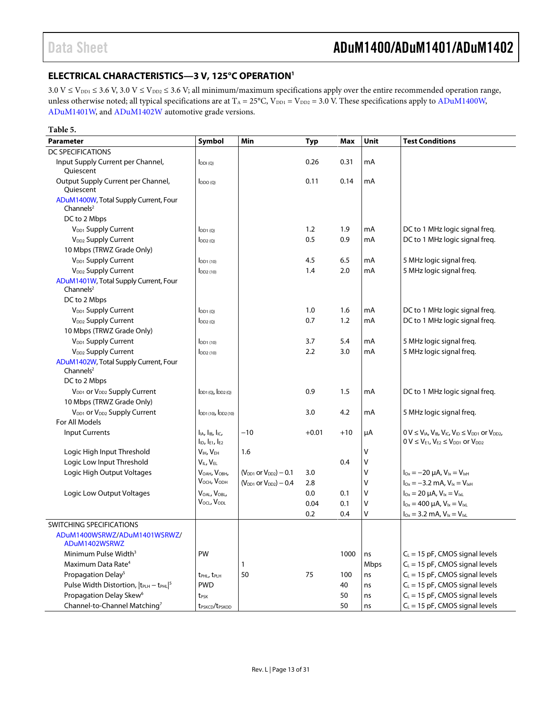### <span id="page-12-0"></span>**ELECTRICAL CHARACTERISTICS—3 V, 125°C OPERATIO[N1](#page-13-0)**

 $3.0 \text{ V} \leq \text{V}_{\text{DD1}} \leq 3.6 \text{ V}, 3.0 \text{ V} \leq \text{V}_{\text{DD2}} \leq 3.6 \text{ V};$  all minimum/maximum specifications apply over the entire recommended operation range, unless otherwise noted; all typical specifications are at T<sub>A</sub> = 25°C, V<sub>DD1</sub> = V<sub>DD2</sub> = 3.0 V. These specifications apply to [ADuM1400W,](http://www.analog.com/ADuM1400?doc=ADuM1400_1401_1402.pdf) [ADuM1401W,](http://www.analog.com/ADuM1401?doc=ADuM1400_1401_1402.pdf) and [ADuM1402W](http://www.analog.com/ADuM1402?doc=ADuM1400_1401_1402.pdf) automotive grade versions.

| Table 5.                                                        |                                                                    |                                 |            |       |      |                                                                                                                                      |
|-----------------------------------------------------------------|--------------------------------------------------------------------|---------------------------------|------------|-------|------|--------------------------------------------------------------------------------------------------------------------------------------|
| <b>Parameter</b>                                                | Symbol                                                             | Min                             | <b>Typ</b> | Max   | Unit | <b>Test Conditions</b>                                                                                                               |
| <b>DC SPECIFICATIONS</b>                                        |                                                                    |                                 |            |       |      |                                                                                                                                      |
| Input Supply Current per Channel,<br>Quiescent                  | $I_{DDI(Q)}$                                                       |                                 | 0.26       | 0.31  | mA   |                                                                                                                                      |
| Output Supply Current per Channel,<br>Quiescent                 | $I_{DDO(Q)}$                                                       |                                 | 0.11       | 0.14  | mA   |                                                                                                                                      |
| ADuM1400W, Total Supply Current, Four<br>Channels <sup>2</sup>  |                                                                    |                                 |            |       |      |                                                                                                                                      |
| DC to 2 Mbps                                                    |                                                                    |                                 |            |       |      |                                                                                                                                      |
| V <sub>DD1</sub> Supply Current                                 | $I_{DD1(0)}$                                                       |                                 | 1.2        | 1.9   | mA   | DC to 1 MHz logic signal freq.                                                                                                       |
| V <sub>DD2</sub> Supply Current                                 | $I_{DD2(Q)}$                                                       |                                 | 0.5        | 0.9   | mA   | DC to 1 MHz logic signal freq.                                                                                                       |
| 10 Mbps (TRWZ Grade Only)                                       |                                                                    |                                 |            |       |      |                                                                                                                                      |
| V <sub>DD1</sub> Supply Current                                 | $IDD1$ (10)                                                        |                                 | 4.5        | 6.5   | mA   | 5 MHz logic signal freq.                                                                                                             |
| V <sub>DD2</sub> Supply Current                                 | $\mathsf{IDD2}\left(10\right)$                                     |                                 | 1.4        | 2.0   | mA   | 5 MHz logic signal freq.                                                                                                             |
| ADuM1401W, Total Supply Current, Four<br>Channels $2$           |                                                                    |                                 |            |       |      |                                                                                                                                      |
| DC to 2 Mbps                                                    |                                                                    |                                 |            |       |      |                                                                                                                                      |
| V <sub>DD1</sub> Supply Current                                 | $I_{DD1(Q)}$                                                       |                                 | 1.0        | 1.6   | mA   | DC to 1 MHz logic signal freq.                                                                                                       |
| V <sub>DD2</sub> Supply Current                                 | $I_{DD2(Q)}$                                                       |                                 | 0.7        | 1.2   | mA   | DC to 1 MHz logic signal freq.                                                                                                       |
| 10 Mbps (TRWZ Grade Only)                                       |                                                                    |                                 |            |       |      |                                                                                                                                      |
| V <sub>DD1</sub> Supply Current                                 | $I_{DD1(10)}$                                                      |                                 | 3.7        | 5.4   | mA   | 5 MHz logic signal freq.                                                                                                             |
| V <sub>DD2</sub> Supply Current                                 | $\mathsf{IDD2}\left(10\right)$                                     |                                 | 2.2        | 3.0   | mA   | 5 MHz logic signal freq.                                                                                                             |
| ADuM1402W, Total Supply Current, Four<br>Channels $2$           |                                                                    |                                 |            |       |      |                                                                                                                                      |
| DC to 2 Mbps                                                    |                                                                    |                                 |            |       |      |                                                                                                                                      |
| V <sub>DD1</sub> or V <sub>DD2</sub> Supply Current             | $I_{DD1(Q)}$ , $I_{DD2(Q)}$                                        |                                 | 0.9        | 1.5   | mA   | DC to 1 MHz logic signal freq.                                                                                                       |
| 10 Mbps (TRWZ Grade Only)                                       |                                                                    |                                 |            |       |      |                                                                                                                                      |
| V <sub>DD1</sub> or V <sub>DD2</sub> Supply Current             | $I_{DD1(10)}$ , $I_{DD2(10)}$                                      |                                 | 3.0        | 4.2   | mA   | 5 MHz logic signal freq.                                                                                                             |
| For All Models                                                  |                                                                    |                                 |            |       |      |                                                                                                                                      |
| <b>Input Currents</b>                                           | $I_{IA}$ , $I_{IB}$ , $I_{IC}$ ,<br>$I_{ID}$ , $I_{E1}$ , $I_{E2}$ | $-10$                           | $+0.01$    | $+10$ | μA   | $0 V \le V_{IA}$ , $V_{IB}$ , $V_{IC}$ , $V_{ID} \le V_{DD1}$ or $V_{DD2}$ ,<br>$0 V \le V_{E1}$ , $V_{E2} \le V_{DD1}$ or $V_{DD2}$ |
| Logic High Input Threshold                                      | V <sub>IH</sub> , V <sub>EH</sub>                                  | 1.6                             |            |       | V    |                                                                                                                                      |
| Logic Low Input Threshold                                       | VIL, VEL                                                           |                                 |            | 0.4   | v    |                                                                                                                                      |
| Logic High Output Voltages                                      | VOAH, VOBH,                                                        | $(V_{DD1}$ or $V_{DD2}) - 0.1$  | 3.0        |       | V    | $I_{Ox} = -20 \mu A$ , $V_{1x} = V_{1xH}$                                                                                            |
|                                                                 | VOCH, VODH                                                         | $(V_{DD1}$ or $V_{DD2}$ ) – 0.4 | 2.8        |       | V    | $I_{\text{Ox}} = -3.2 \text{ mA}$ , $V_{\text{Ix}} = V_{\text{IxH}}$                                                                 |
| Logic Low Output Voltages                                       | VOAL, VOBL,                                                        |                                 | 0.0        | 0.1   | V    | $I_{\text{Ox}} = 20 \mu A$ , $V_{\text{lx}} = V_{\text{lx}}$                                                                         |
|                                                                 | VOCL, VODL                                                         |                                 | 0.04       | 0.1   | V    | $I_{0x} = 400$ uA, $V_{1x} = V_{1x1}$                                                                                                |
|                                                                 |                                                                    |                                 | 0.2        | 0.4   | V    | $I_{0x} = 3.2$ mA, $V_{1x} = V_{1xL}$                                                                                                |
| SWITCHING SPECIFICATIONS                                        |                                                                    |                                 |            |       |      |                                                                                                                                      |
| ADuM1400WSRWZ/ADuM1401WSRWZ/<br>ADuM1402WSRWZ                   |                                                                    |                                 |            |       |      |                                                                                                                                      |
| Minimum Pulse Width <sup>3</sup>                                | PW                                                                 |                                 |            | 1000  | ns   | $C_L$ = 15 pF, CMOS signal levels                                                                                                    |
| Maximum Data Rate <sup>4</sup>                                  |                                                                    | 1                               |            |       | Mbps | $C_L = 15$ pF, CMOS signal levels                                                                                                    |
| Propagation Delay <sup>5</sup>                                  | t <sub>PHL</sub> , t <sub>PLH</sub>                                | 50                              | 75         | 100   | ns   | $C_L = 15$ pF, CMOS signal levels                                                                                                    |
| Pulse Width Distortion,  t <sub>PLH</sub> - t <sub>PHL</sub>  5 | <b>PWD</b>                                                         |                                 |            | 40    | ns   | $C_L = 15$ pF, CMOS signal levels                                                                                                    |
| Propagation Delay Skew <sup>6</sup>                             | t <sub>PSK</sub>                                                   |                                 |            | 50    | ns   | $C_L$ = 15 pF, CMOS signal levels                                                                                                    |
| Channel-to-Channel Matching <sup>7</sup>                        | t <sub>PSKCD</sub> /t <sub>PSKOD</sub>                             |                                 |            | 50    | ns   | $C_L = 15$ pF, CMOS signal levels                                                                                                    |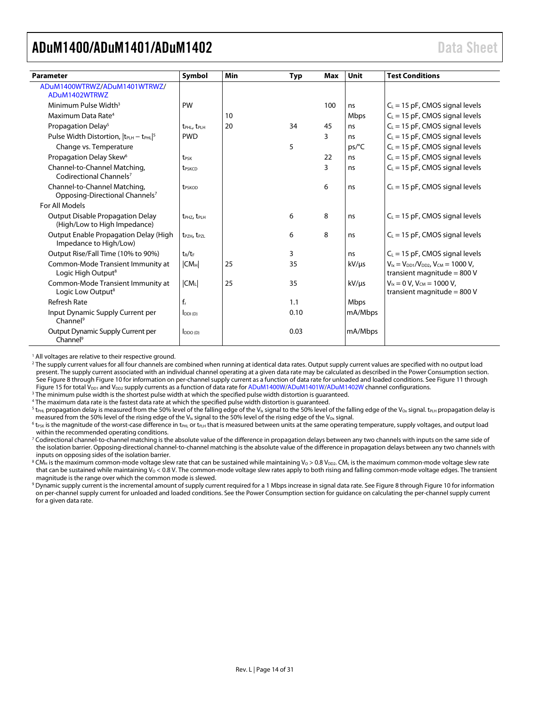<span id="page-13-0"></span>

| <b>Parameter</b>                                                           | Symbol                              | <b>Min</b> | Typ  | <b>Max</b> | Unit        | <b>Test Conditions</b>                                                            |
|----------------------------------------------------------------------------|-------------------------------------|------------|------|------------|-------------|-----------------------------------------------------------------------------------|
| ADuM1400WTRWZ/ADuM1401WTRWZ/                                               |                                     |            |      |            |             |                                                                                   |
| ADuM1402WTRWZ                                                              |                                     |            |      |            |             |                                                                                   |
| Minimum Pulse Width <sup>3</sup>                                           | PW                                  |            |      | 100        | ns          | $C_L = 15$ pF, CMOS signal levels                                                 |
| Maximum Data Rate <sup>4</sup>                                             |                                     | 10         |      |            | <b>Mbps</b> | $C_L$ = 15 pF, CMOS signal levels                                                 |
| Propagation Delay <sup>5</sup>                                             | t <sub>PHL</sub> , t <sub>PLH</sub> | 20         | 34   | 45         | ns          | $C_L = 15$ pF, CMOS signal levels                                                 |
| Pulse Width Distortion, $ t_{PLH} - t_{PHL} ^5$                            | <b>PWD</b>                          |            |      | 3          | ns          | $C_L = 15$ pF, CMOS signal levels                                                 |
| Change vs. Temperature                                                     |                                     |            | 5    |            | ps/C        | $C_L = 15$ pF, CMOS signal levels                                                 |
| Propagation Delay Skew <sup>6</sup>                                        | t <sub>PSK</sub>                    |            |      | 22         | ns          | $C_L$ = 15 pF, CMOS signal levels                                                 |
| Channel-to-Channel Matching,<br>Codirectional Channels <sup>7</sup>        | <b>t</b> <sub>PSKCD</sub>           |            |      | 3          | ns          | $C_L$ = 15 pF, CMOS signal levels                                                 |
| Channel-to-Channel Matching,<br>Opposing-Directional Channels <sup>7</sup> | <b>t</b> <sub>PSKOD</sub>           |            |      | 6          | ns          | $C_L = 15$ pF, CMOS signal levels                                                 |
| For All Models                                                             |                                     |            |      |            |             |                                                                                   |
| <b>Output Disable Propagation Delay</b><br>(High/Low to High Impedance)    | t <sub>PHZ</sub> , t <sub>PLH</sub> |            | 6    | 8          | ns          | $C_L = 15$ pF, CMOS signal levels                                                 |
| Output Enable Propagation Delay (High<br>Impedance to High/Low)            | $t_{P7H}$ , $t_{P7I}$               |            | 6    | 8          | ns          | $C_L$ = 15 pF, CMOS signal levels                                                 |
| Output Rise/Fall Time (10% to 90%)                                         | $t_R/t_F$                           |            | 3    |            | ns          | $C_L = 15$ pF, CMOS signal levels                                                 |
| Common-Mode Transient Immunity at<br>Logic High Output <sup>8</sup>        | CM <sub>H</sub>                     | 25         | 35   |            | kV/µs       | $V_{1x} = V_{DD1}/V_{DD2}$ , $V_{CM} = 1000 V$ ,<br>transient magnitude = $800$ V |
| Common-Mode Transient Immunity at<br>Logic Low Output <sup>8</sup>         | $ CM_L $                            | 25         | 35   |            | $kV/\mu s$  | $V_{ix} = 0 V$ , $V_{CM} = 1000 V$ ,<br>transient magnitude = 800 V               |
| Refresh Rate                                                               | $f_r$                               |            | 1.1  |            | <b>Mbps</b> |                                                                                   |
| Input Dynamic Supply Current per<br>Channel <sup>9</sup>                   | $I_{DDI(D)}$                        |            | 0.10 |            | mA/Mbps     |                                                                                   |
| Output Dynamic Supply Current per<br>Channel <sup>9</sup>                  | $I_{DDO(D)}$                        |            | 0.03 |            | mA/Mbps     |                                                                                   |

<sup>1</sup> All voltages are relative to their respective ground.

<sup>2</sup> The supply current values for all four channels are combined when running at identical data rates. Output supply current values are specified with no output load present. The supply current associated with an individual channel operating at a given data rate may be calculated as described in th[e Power Consumption](#page-27-0) section. Se[e Figure 8](#page-24-1) throug[h Figure 10](#page-24-2) for information on per-channel supply current as a function of data rate for unloaded and loaded conditions. Se[e Figure 11](#page-24-3) through [Figure 15](#page-25-0) for total V<sub>DD1</sub> and V<sub>DD2</sub> supply currents as a function of data rate fo[r ADuM1400W](http://www.analog.com/ADuM1400?doc=ADuM1400_1401_1402.pdf)[/ADuM1401W](http://www.analog.com/ADuM1401?doc=ADuM1400_1401_1402.pdf)[/ADuM1402W](http://www.analog.com/ADuM1402?doc=ADuM1400_1401_1402.pdf) channel configurations.

<sup>3</sup> The minimum pulse width is the shortest pulse width at which the specified pulse width distortion is guaranteed.

<sup>4</sup> The maximum data rate is the fastest data rate at which the specified pulse width distortion is guaranteed.

<sup>5</sup> t<sub>PHL</sub> propagation delay is measured from the 50% level of the falling edge of the V<sub>Ix</sub> signal to the 50% level of the falling edge of the V<sub>Ox</sub> signal. t<sub>PLH</sub> propagation delay is measured from the 50% level of the rising edge of the V<sub>Ix</sub> signal to the 50% level of the rising edge of the V<sub>Ox</sub> signal.

 $6$  t<sub>PSK</sub> is the magnitude of the worst-case difference in t<sub>PHL</sub> or t<sub>PLH</sub> that is measured between units at the same operating temperature, supply voltages, and output load within the recommended operating conditions.

<sup>7</sup> Codirectional channel-to-channel matching is the absolute value of the difference in propagation delays between any two channels with inputs on the same side of the isolation barrier. Opposing-directional channel-to-channel matching is the absolute value of the difference in propagation delays between any two channels with inputs on opposing sides of the isolation barrier.

 $8$ CM<sub>H</sub> is the maximum common-mode voltage slew rate that can be sustained while maintaining V<sub>O</sub> > 0.8 V<sub>DD2</sub>. CM<sub>L</sub> is the maximum common-mode voltage slew rate that can be sustained while maintaining  $V_0 < 0.8$  V. The common-mode voltage slew rates apply to both rising and falling common-mode voltage edges. The transient magnitude is the range over which the common mode is slewed.

<sup>9</sup> Dynamic supply current is the incremental amount of supply current required for a 1 Mbps increase in signal data rate. Se[e Figure 8](#page-24-1) throug[h Figure 10](#page-24-2) for information on per-channel supply current for unloaded and loaded conditions. See th[e Power Consumption](#page-27-0) section for guidance on calculating the per-channel supply current for a given data rate.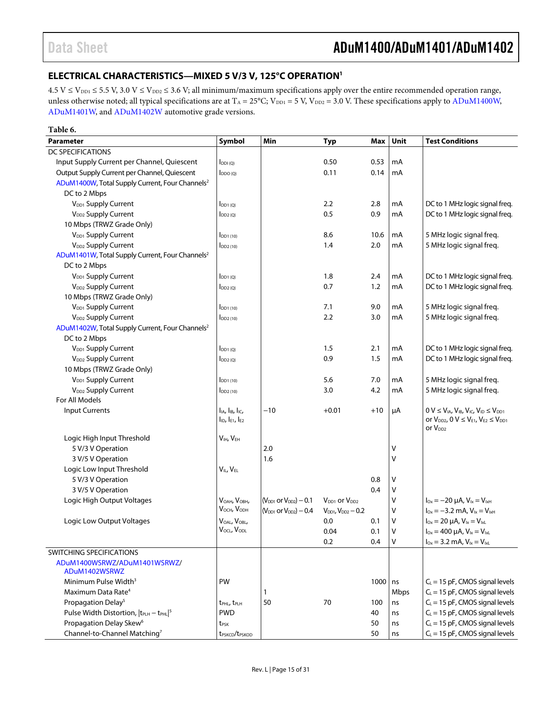### <span id="page-14-0"></span>**ELECTRICAL CHARACTERISTICS—MIXED 5 V/3 V, 125°C OPERATIO[N1](#page-15-0)**

 $4.5$  V  $\le$  V<sub>DD1</sub>  $\le$  5.5 V, 3.0 V  $\le$  V<sub>DD2</sub>  $\le$  3.6 V; all minimum/maximum specifications apply over the entire recommended operation range, unless otherwise noted; all typical specifications are at  $T_A = 25^{\circ}$ C; V<sub>DD1</sub> = 5 V, V<sub>DD2</sub> = 3.0 V. These specifications apply to ADuM1400W, [ADuM1401W,](http://www.analog.com/ADuM1401?doc=ADuM1400_1401_1402.pdf) and [ADuM1402W](http://www.analog.com/ADuM1402?doc=ADuM1400_1401_1402.pdf) automotive grade versions.

| Table 6.                                                                    |                                        |                                |                             |       |      |                                                                 |
|-----------------------------------------------------------------------------|----------------------------------------|--------------------------------|-----------------------------|-------|------|-----------------------------------------------------------------|
| <b>Parameter</b>                                                            | Symbol                                 | Min                            | <b>Typ</b>                  | Max   | Unit | <b>Test Conditions</b>                                          |
| <b>DC SPECIFICATIONS</b>                                                    |                                        |                                |                             |       |      |                                                                 |
| Input Supply Current per Channel, Quiescent                                 | $I_{DDI(Q)}$                           |                                | 0.50                        | 0.53  | mA   |                                                                 |
| Output Supply Current per Channel, Quiescent                                | $I_{DDO(Q)}$                           |                                | 0.11                        | 0.14  | mA   |                                                                 |
| ADuM1400W, Total Supply Current, Four Channels <sup>2</sup>                 |                                        |                                |                             |       |      |                                                                 |
| DC to 2 Mbps                                                                |                                        |                                |                             |       |      |                                                                 |
| V <sub>DD1</sub> Supply Current                                             | $I_{DD1(0)}$                           |                                | 2.2                         | 2.8   | mA   | DC to 1 MHz logic signal freq.                                  |
| V <sub>DD2</sub> Supply Current                                             | $I_{DD2(Q)}$                           |                                | 0.5                         | 0.9   | mA   | DC to 1 MHz logic signal freq.                                  |
| 10 Mbps (TRWZ Grade Only)                                                   |                                        |                                |                             |       |      |                                                                 |
| V <sub>DD1</sub> Supply Current                                             | I <sub>DD1(10)</sub>                   |                                | 8.6                         | 10.6  | mA   | 5 MHz logic signal freq.                                        |
| V <sub>DD2</sub> Supply Current                                             | $\mathsf{IDD2}(10)$                    |                                | 1.4                         | 2.0   | mA   | 5 MHz logic signal freq.                                        |
| ADuM1401W, Total Supply Current, Four Channels <sup>2</sup>                 |                                        |                                |                             |       |      |                                                                 |
| DC to 2 Mbps                                                                |                                        |                                |                             |       |      |                                                                 |
| V <sub>DD1</sub> Supply Current                                             | $I_{DD1(Q)}$                           |                                | 1.8                         | 2.4   | mA   | DC to 1 MHz logic signal freq.                                  |
| V <sub>DD2</sub> Supply Current                                             | $I_{DD2(Q)}$                           |                                | 0.7                         | 1.2   | mA   | DC to 1 MHz logic signal freq.                                  |
| 10 Mbps (TRWZ Grade Only)                                                   |                                        |                                |                             |       |      |                                                                 |
| V <sub>DD1</sub> Supply Current                                             | $I_{DD1(10)}$                          |                                | 7.1                         | 9.0   | mA   | 5 MHz logic signal freq.                                        |
| V <sub>DD2</sub> Supply Current                                             | $I_{DD2(10)}$                          |                                | 2.2                         | 3.0   | mA   | 5 MHz logic signal freq.                                        |
| ADuM1402W, Total Supply Current, Four Channels <sup>2</sup>                 |                                        |                                |                             |       |      |                                                                 |
| DC to 2 Mbps                                                                |                                        |                                |                             |       |      |                                                                 |
| V <sub>DD1</sub> Supply Current                                             | $I_{DD1(Q)}$                           |                                | 1.5                         | 2.1   | mA   | DC to 1 MHz logic signal freq.                                  |
| V <sub>DD2</sub> Supply Current                                             | $I_{DD2(Q)}$                           |                                | 0.9                         | 1.5   | mA   | DC to 1 MHz logic signal freq.                                  |
| 10 Mbps (TRWZ Grade Only)                                                   |                                        |                                |                             |       |      |                                                                 |
| V <sub>DD1</sub> Supply Current                                             | $I_{DD1(10)}$                          |                                | 5.6                         | 7.0   | mA   | 5 MHz logic signal freq.                                        |
| V <sub>DD2</sub> Supply Current                                             | $I_{DD2(10)}$                          |                                | 3.0                         | 4.2   | mA   | 5 MHz logic signal freq.                                        |
| For All Models                                                              |                                        |                                |                             |       |      |                                                                 |
| <b>Input Currents</b>                                                       | $IIA, IIB, IIC,$                       | $-10$                          | $+0.01$                     | $+10$ | μA   | $0 V \leq V_{IA}$ , $V_{IB}$ , $V_{IC}$ , $V_{ID} \leq V_{DD1}$ |
|                                                                             | $I_{ID}$ , $I_{E1}$ , $I_{E2}$         |                                |                             |       |      | or $V_{DD2}$ , $0 \vee \leq V_{E1}$ , $V_{E2} \leq V_{DD1}$     |
|                                                                             |                                        |                                |                             |       |      | or V <sub>DD2</sub>                                             |
| Logic High Input Threshold                                                  | $V_{IH}$ , $V_{EH}$                    |                                |                             |       |      |                                                                 |
| 5 V/3 V Operation                                                           |                                        | 2.0                            |                             |       | ٧    |                                                                 |
| 3 V/5 V Operation                                                           |                                        | 1.6                            |                             |       | V    |                                                                 |
| Logic Low Input Threshold                                                   | VIL, VEL                               |                                |                             |       |      |                                                                 |
| 5 V/3 V Operation                                                           |                                        |                                |                             | 0.8   | ٧    |                                                                 |
| 3 V/5 V Operation                                                           |                                        |                                |                             | 0.4   | V    |                                                                 |
| Logic High Output Voltages                                                  | $V_{OAH}$ , $V_{OBH}$                  | $(V_{DD1}$ or $V_{DD2}) - 0.1$ | $V_{DD1}$ or $V_{DD2}$      |       | V    | $I_{Ox} = -20 \mu A$ , $V_{1x} = V_{1xH}$                       |
|                                                                             | VOCH, VODH                             | $(V_{DD1}$ or $V_{DD2}) - 0.4$ | $V_{DD1}$ , $V_{DD2} - 0.2$ |       | ٧    | $I_{0x} = -3.2$ mA, $V_{1x} = V_{1xH}$                          |
| Logic Low Output Voltages                                                   | VOAL, VOBL,                            |                                | 0.0                         | 0.1   | v    | $I_{0x} = 20 \mu A$ , $V_{1x} = V_{1xL}$                        |
|                                                                             | VOCL, VODL                             |                                | 0.04                        | 0.1   | v    | $I_{0x} = 400 \mu A$ , $V_{1x} = V_{1xL}$                       |
|                                                                             |                                        |                                | 0.2                         | 0.4   | v    | $I_{0x} = 3.2$ mA, $V_{1x} = V_{1xL}$                           |
| <b>SWITCHING SPECIFICATIONS</b>                                             |                                        |                                |                             |       |      |                                                                 |
| ADuM1400WSRWZ/ADuM1401WSRWZ/<br>ADuM1402WSRWZ                               |                                        |                                |                             |       |      |                                                                 |
| Minimum Pulse Width <sup>3</sup>                                            | PW                                     |                                |                             | 1000  | ns   | $C_L = 15$ pF, CMOS signal levels                               |
| Maximum Data Rate <sup>4</sup>                                              |                                        | $\mathbf{1}$                   |                             |       | Mbps | $C_L = 15$ pF, CMOS signal levels                               |
| Propagation Delay <sup>5</sup>                                              | t <sub>PHL</sub> , t <sub>PLH</sub>    | 50                             | 70                          | 100   | ns   | $C_L$ = 15 pF, CMOS signal levels                               |
| Pulse Width Distortion,  t <sub>PLH</sub> - t <sub>PHL</sub>   <sup>5</sup> | <b>PWD</b>                             |                                |                             | 40    | ns   | $C_L = 15$ pF, CMOS signal levels                               |
| Propagation Delay Skew <sup>6</sup>                                         | t <sub>PSK</sub>                       |                                |                             | 50    | ns   | $C_L = 15$ pF, CMOS signal levels                               |
| Channel-to-Channel Matching7                                                | t <sub>PSKCD</sub> /t <sub>PSKOD</sub> |                                |                             | 50    | ns   | $C_L = 15$ pF, CMOS signal levels                               |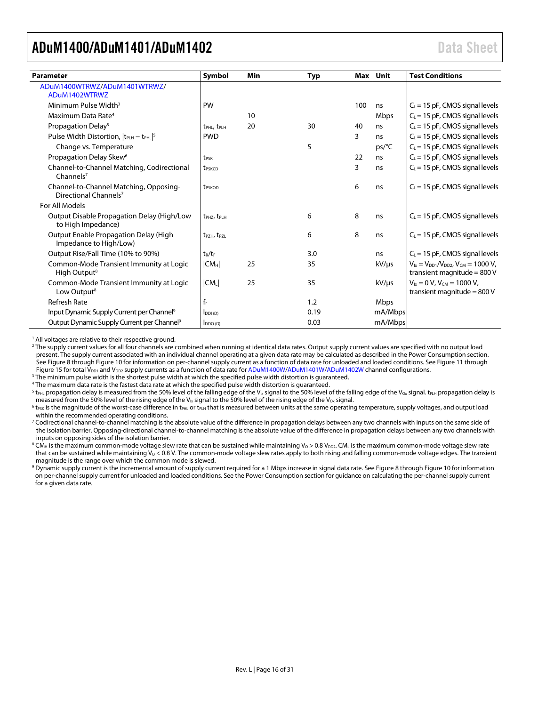<span id="page-15-0"></span>

| <b>Parameter</b>                                                            | Symbol                              | Min | Typ  | <b>Max</b> | Unit       | <b>Test Conditions</b>                                                           |
|-----------------------------------------------------------------------------|-------------------------------------|-----|------|------------|------------|----------------------------------------------------------------------------------|
| ADuM1400WTRWZ/ADuM1401WTRWZ/                                                |                                     |     |      |            |            |                                                                                  |
| ADuM1402WTRWZ                                                               |                                     |     |      |            |            |                                                                                  |
| Minimum Pulse Width <sup>3</sup>                                            | PW                                  |     |      | 100        | ns         | $C_L$ = 15 pF, CMOS signal levels                                                |
| Maximum Data Rate <sup>4</sup>                                              |                                     | 10  |      |            | Mbps       | $C_L$ = 15 pF, CMOS signal levels                                                |
| Propagation Delay <sup>5</sup>                                              | t <sub>PHL</sub> , t <sub>PLH</sub> | 20  | 30   | 40         | ns         | $C_L$ = 15 pF, CMOS signal levels                                                |
| Pulse Width Distortion, $ t_{\text{PLH}} - t_{\text{PHL}} ^5$               | <b>PWD</b>                          |     |      | 3          | ns         | $C_L$ = 15 pF, CMOS signal levels                                                |
| Change vs. Temperature                                                      |                                     |     | 5    |            | ps/C       | $C_L$ = 15 pF, CMOS signal levels                                                |
| Propagation Delay Skew <sup>6</sup>                                         | t <sub>PSK</sub>                    |     |      | 22         | ns         | $C_L$ = 15 pF, CMOS signal levels                                                |
| Channel-to-Channel Matching, Codirectional<br>Channels $7$                  | t <sub>PSKCD</sub>                  |     |      | 3          | ns         | $C_L$ = 15 pF, CMOS signal levels                                                |
| Channel-to-Channel Matching, Opposing-<br>Directional Channels <sup>7</sup> | t <sub>PSKOD</sub>                  |     |      | 6          | ns         | $C_L$ = 15 pF, CMOS signal levels                                                |
| For All Models                                                              |                                     |     |      |            |            |                                                                                  |
| Output Disable Propagation Delay (High/Low<br>to High Impedance)            | t <sub>PHZ</sub> , t <sub>PLH</sub> |     | 6    | 8          | ns         | $C_L$ = 15 pF, CMOS signal levels                                                |
| Output Enable Propagation Delay (High<br>Impedance to High/Low)             | t <sub>PZH</sub> , t <sub>PZL</sub> |     | 6    | 8          | ns         | $C_l$ = 15 pF, CMOS signal levels                                                |
| Output Rise/Fall Time (10% to 90%)                                          | $t_R/t_F$                           |     | 3.0  |            | ns         | $C_L$ = 15 pF, CMOS signal levels                                                |
| Common-Mode Transient Immunity at Logic<br>High Output <sup>8</sup>         | CM <sub>H</sub>                     | 25  | 35   |            | $kV/\mu s$ | $V_{1x} = V_{DD1}/V_{DD2}$ , $V_{CM} = 1000 V$ ,<br>transient magnitude = $800V$ |
| Common-Mode Transient Immunity at Logic<br>Low Output <sup>8</sup>          | $ CM_L $                            | 25  | 35   |            | $kV/\mu s$ | $V_{ix} = 0 V$ , $V_{CM} = 1000 V$ ,<br>transient magnitude = $800V$             |
| <b>Refresh Rate</b>                                                         | $f_r$                               |     | 1.2  |            | Mbps       |                                                                                  |
| Input Dynamic Supply Current per Channel <sup>9</sup>                       | $I_{DDI(D)}$                        |     | 0.19 |            | mA/Mbps    |                                                                                  |
| Output Dynamic Supply Current per Channel <sup>9</sup>                      | $I_{DDO(D)}$                        |     | 0.03 |            | mA/Mbps    |                                                                                  |

<sup>1</sup> All voltages are relative to their respective ground.

<sup>2</sup> The supply current values for all four channels are combined when running at identical data rates. Output supply current values are specified with no output load present. The supply current associated with an individual channel operating at a given data rate may be calculated as described in th[e Power Consumption](#page-27-0) section. Se[e Figure 8](#page-24-1) throug[h Figure 10](#page-24-2) for information on per-channel supply current as a function of data rate for unloaded and loaded conditions. Se[e Figure 11](#page-24-3) through [Figure 15](#page-25-0) for total  $V_{DD1}$  and  $V_{DD2}$  supply currents as a function of data rate fo[r ADuM1400W](http://www.analog.com/ADuM1400?doc=ADuM1400_1401_1402.pdf)[/ADuM1401W](http://www.analog.com/ADuM1401?doc=ADuM1400_1401_1402.pdf)[/ADuM1402W](http://www.analog.com/ADuM1402?doc=ADuM1400_1401_1402.pdf) channel configurations.

<sup>3</sup> The minimum pulse width is the shortest pulse width at which the specified pulse width distortion is guaranteed.

<sup>4</sup> The maximum data rate is the fastest data rate at which the specified pulse width distortion is guaranteed.

<sup>5</sup> t<sub>PHL</sub> propagation delay is measured from the 50% level of the falling edge of the V<sub>Ix</sub> signal to the 50% level of the falling edge of the V<sub>Ox</sub> signal. t<sub>RH</sub> propagation delay is measured from the 50% level of the rising edge of the V<sub>Ix</sub> signal to the 50% level of the rising edge of the V<sub>ox</sub> signal.

 $6$  t<sub>PSK</sub> is the magnitude of the worst-case difference in t<sub>PHL</sub> or t<sub>PLH</sub> that is measured between units at the same operating temperature, supply voltages, and output load within the recommended operating conditions.

<sup>7</sup> Codirectional channel-to-channel matching is the absolute value of the difference in propagation delays between any two channels with inputs on the same side of the isolation barrier. Opposing-directional channel-to-channel matching is the absolute value of the difference in propagation delays between any two channels with inputs on opposing sides of the isolation barrier.

<sup>8</sup> CM<sub>H</sub> is the maximum common-mode voltage slew rate that can be sustained while maintaining V<sub>0</sub> > 0.8 V<sub>DD2</sub>. CML is the maximum common-mode voltage slew rate that can be sustained while maintaining  $V_0 < 0.8$  V. The common-mode voltage slew rates apply to both rising and falling common-mode voltage edges. The transient magnitude is the range over which the common mode is slewed.

<sup>9</sup> Dynamic supply current is the incremental amount of supply current required for a 1 Mbps increase in signal data rate. Se[e Figure 8](#page-24-1) throug[h Figure 10](#page-24-2) for information on per-channel supply current for unloaded and loaded conditions. See th[e Power Consumption](#page-27-0) section for guidance on calculating the per-channel supply current for a given data rate.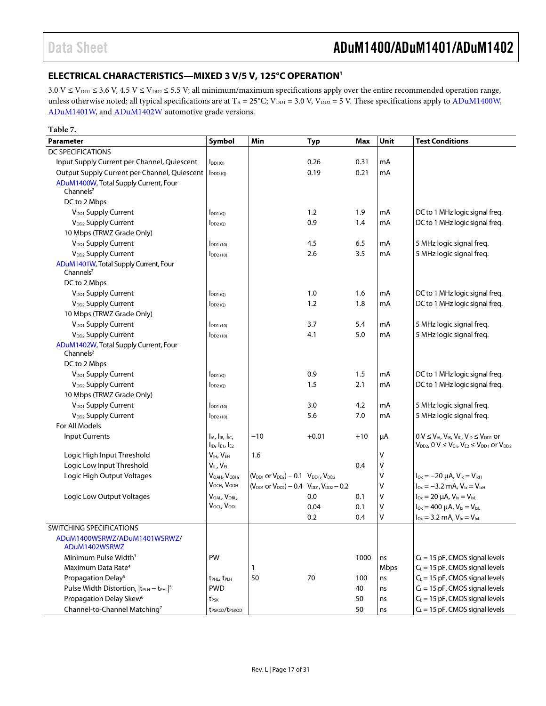### <span id="page-16-0"></span>**ELECTRICAL CHARACTERISTICS—MIXED 3 V/5 V, 125°C OPERATIO[N1](#page-17-0)**

 $3.0 \text{ V} \leq \text{V}_{\text{DD1}} \leq 3.6 \text{ V}, 4.5 \text{ V} \leq \text{V}_{\text{DD2}} \leq 5.5 \text{ V};$  all minimum/maximum specifications apply over the entire recommended operation range, unless otherwise noted; all typical specifications are at  $T_A = 25^{\circ}$ C; V<sub>DD1</sub> = 3.0 V, V<sub>DD2</sub> = 5 V. These specifications apply to ADuM1400W, [ADuM1401W,](http://www.analog.com/ADuM1401?doc=ADuM1400_1401_1402.pdf) and [ADuM1402W](http://www.analog.com/ADuM1402?doc=ADuM1400_1401_1402.pdf) automotive grade versions.

| Table 7.                                                       |                                                  |                                                             |            |       |        |                                                                                                                                                  |
|----------------------------------------------------------------|--------------------------------------------------|-------------------------------------------------------------|------------|-------|--------|--------------------------------------------------------------------------------------------------------------------------------------------------|
| <b>Parameter</b>                                               | Symbol                                           | Min                                                         | <b>Typ</b> | Max   | Unit   | <b>Test Conditions</b>                                                                                                                           |
| DC SPECIFICATIONS                                              |                                                  |                                                             |            |       |        |                                                                                                                                                  |
| Input Supply Current per Channel, Quiescent                    | $I_{DDI(Q)}$                                     |                                                             | 0.26       | 0.31  | mA     |                                                                                                                                                  |
| Output Supply Current per Channel, Quiescent                   | $I_{DDO(O)}$                                     |                                                             | 0.19       | 0.21  | mA     |                                                                                                                                                  |
| ADuM1400W, Total Supply Current, Four<br>Channels $2$          |                                                  |                                                             |            |       |        |                                                                                                                                                  |
| DC to 2 Mbps                                                   |                                                  |                                                             |            |       |        |                                                                                                                                                  |
| V <sub>DD1</sub> Supply Current                                | $I_{DD1(0)}$                                     |                                                             | 1.2        | 1.9   | mA     | DC to 1 MHz logic signal freq.                                                                                                                   |
| V <sub>DD2</sub> Supply Current                                | $I_{DD2(Q)}$                                     |                                                             | 0.9        | 1.4   | mA     | DC to 1 MHz logic signal freq.                                                                                                                   |
| 10 Mbps (TRWZ Grade Only)                                      |                                                  |                                                             |            |       |        |                                                                                                                                                  |
| V <sub>DD1</sub> Supply Current                                | $I_{DD1(10)}$                                    |                                                             | 4.5        | 6.5   | mA     | 5 MHz logic signal freq.                                                                                                                         |
| V <sub>DD2</sub> Supply Current                                | $I_{DD2(10)}$                                    |                                                             | 2.6        | 3.5   | mA     | 5 MHz logic signal freq.                                                                                                                         |
| ADuM1401W, Total Supply Current, Four<br>Channels $2$          |                                                  |                                                             |            |       |        |                                                                                                                                                  |
| DC to 2 Mbps                                                   |                                                  |                                                             |            |       |        |                                                                                                                                                  |
| V <sub>DD1</sub> Supply Current                                | $I_{DD1(Q)}$                                     |                                                             | 1.0        | 1.6   | mA     | DC to 1 MHz logic signal freq.                                                                                                                   |
| V <sub>DD2</sub> Supply Current                                | $I_{DD2(Q)}$                                     |                                                             | 1.2        | 1.8   | mA     | DC to 1 MHz logic signal freq.                                                                                                                   |
| 10 Mbps (TRWZ Grade Only)                                      |                                                  |                                                             |            |       |        |                                                                                                                                                  |
| V <sub>DD1</sub> Supply Current                                | $I_{DD1(10)}$                                    |                                                             | 3.7        | 5.4   | mA     | 5 MHz logic signal freq.                                                                                                                         |
| V <sub>DD2</sub> Supply Current                                | $\mathsf{IDD2}\left(10\right)$                   |                                                             | 4.1        | 5.0   | mA     | 5 MHz logic signal freg.                                                                                                                         |
| ADuM1402W, Total Supply Current, Four<br>Channels <sup>2</sup> |                                                  |                                                             |            |       |        |                                                                                                                                                  |
| DC to 2 Mbps                                                   |                                                  |                                                             |            |       |        |                                                                                                                                                  |
| V <sub>DD1</sub> Supply Current                                | $I_{DD1(0)}$                                     |                                                             | 0.9        | 1.5   | mA     | DC to 1 MHz logic signal freq.                                                                                                                   |
| V <sub>DD2</sub> Supply Current                                | $I_{DD2(0)}$                                     |                                                             | 1.5        | 2.1   | mA     | DC to 1 MHz logic signal freq.                                                                                                                   |
| 10 Mbps (TRWZ Grade Only)                                      |                                                  |                                                             |            |       |        |                                                                                                                                                  |
| V <sub>DD1</sub> Supply Current                                | $I_{DD1(10)}$                                    |                                                             | 3.0        | 4.2   | mA     | 5 MHz logic signal freq.                                                                                                                         |
| V <sub>DD2</sub> Supply Current                                | $I_{DD2(10)}$                                    |                                                             | 5.6        | 7.0   | mA     | 5 MHz logic signal freq.                                                                                                                         |
| For All Models                                                 |                                                  |                                                             |            |       |        |                                                                                                                                                  |
| <b>Input Currents</b>                                          | lia, lib, lic,<br>$I_{ID}$ , $I_{E1}$ , $I_{E2}$ | $-10$                                                       | $+0.01$    | $+10$ | μA     | $0 V \leq V_{IA}$ , $V_{IB}$ , $V_{IC}$ , $V_{ID} \leq V_{DD1}$ or<br>$V_{DD2}$ , $0 \text{ V} \leq V_{E1}$ , $V_{E2} \leq V_{DD1}$ or $V_{DD2}$ |
| Logic High Input Threshold                                     | V <sub>IH</sub> , V <sub>EH</sub>                | 1.6                                                         |            |       | V      |                                                                                                                                                  |
| Logic Low Input Threshold                                      | $V_{IL}$ , $V_{EL}$                              |                                                             |            | 0.4   | v      |                                                                                                                                                  |
| Logic High Output Voltages                                     | VOAH, VOBH,                                      | $(V_{DD1}$ or $V_{DD2}) - 0.1$ $V_{DD1}$ , $V_{DD2}$        |            |       | ٧      | $I_{\text{Ox}} = -20 \mu A$ , $V_{\text{Ix}} = V_{\text{IxH}}$                                                                                   |
|                                                                | V <sub>OCH</sub> , V <sub>ODH</sub>              | $(V_{DD1}$ or $V_{DD2}$ ) – 0.4 $V_{DD1}$ , $V_{DD2}$ – 0.2 |            |       | ٧      | $I_{0x} = -3.2$ mA, $V_{1x} = V_{1xH}$                                                                                                           |
| Logic Low Output Voltages                                      | VOAL, VOBL,                                      |                                                             | 0.0        | 0.1   | v      | $I_{Ox} = 20 \mu A$ , $V_{1x} = V_{1xL}$                                                                                                         |
|                                                                | $V_{\text{OCL}}$ , $V_{\text{ODL}}$              |                                                             | 0.04       | 0.1   | v      | $I_{Ox} = 400 \mu A$ , $V_{1x} = V_{1xL}$                                                                                                        |
|                                                                |                                                  |                                                             | 0.2        | 0.4   | $\vee$ | $I_{0x} = 3.2$ mA, $V_{1x} = V_{1xL}$                                                                                                            |
| SWITCHING SPECIFICATIONS                                       |                                                  |                                                             |            |       |        |                                                                                                                                                  |
| ADuM1400WSRWZ/ADuM1401WSRWZ/<br>ADuM1402WSRWZ                  |                                                  |                                                             |            |       |        |                                                                                                                                                  |
| Minimum Pulse Width <sup>3</sup>                               | PW                                               |                                                             |            | 1000  | ns     | $C_L$ = 15 pF, CMOS signal levels                                                                                                                |
| Maximum Data Rate <sup>4</sup>                                 |                                                  | 1                                                           |            |       | Mbps   | $C_L = 15$ pF, CMOS signal levels                                                                                                                |
| Propagation Delay <sup>5</sup>                                 | t <sub>PHL</sub> , t <sub>PLH</sub>              | 50                                                          | 70         | 100   | ns     | $C_L = 15$ pF, CMOS signal levels                                                                                                                |
| Pulse Width Distortion, $ t_{PLH} - t_{PHL} ^5$                | <b>PWD</b>                                       |                                                             |            | 40    | ns     | $C_L$ = 15 pF, CMOS signal levels                                                                                                                |
| Propagation Delay Skew <sup>6</sup>                            | t <sub>PSK</sub>                                 |                                                             |            | 50    | ns     | $C_L = 15$ pF, CMOS signal levels                                                                                                                |
| Channel-to-Channel Matching7                                   | t <sub>PSKCD</sub> /t <sub>PSKOD</sub>           |                                                             |            | 50    | ns     | $C_L = 15$ pF, CMOS signal levels                                                                                                                |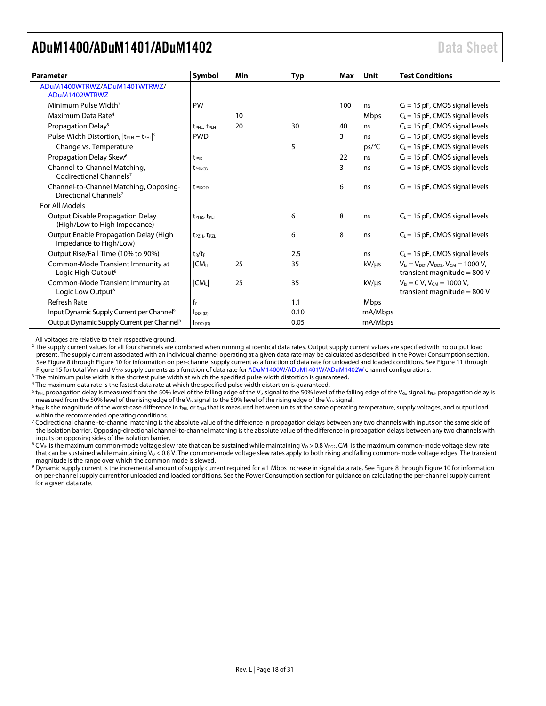<span id="page-17-0"></span>

| <b>Parameter</b>                                                            | Symbol                              | Min | Typ  | Max | Unit    | <b>Test Conditions</b>                                                            |
|-----------------------------------------------------------------------------|-------------------------------------|-----|------|-----|---------|-----------------------------------------------------------------------------------|
| ADuM1400WTRWZ/ADuM1401WTRWZ/<br>ADuM1402WTRWZ                               |                                     |     |      |     |         |                                                                                   |
| Minimum Pulse Width <sup>3</sup>                                            | PW                                  |     |      | 100 | ns      | $C_L$ = 15 pF, CMOS signal levels                                                 |
| Maximum Data Rate <sup>4</sup>                                              |                                     | 10  |      |     | Mbps    | $C_L$ = 15 pF, CMOS signal levels                                                 |
| Propagation Delay <sup>5</sup>                                              | t <sub>PHL</sub> , t <sub>PLH</sub> | 20  | 30   | 40  | ns      | $C_L$ = 15 pF, CMOS signal levels                                                 |
| Pulse Width Distortion, $ t_{\text{PLH}} - t_{\text{PHL}} ^5$               | <b>PWD</b>                          |     |      | 3   | ns      | $C_L$ = 15 pF, CMOS signal levels                                                 |
| Change vs. Temperature                                                      |                                     |     | 5    |     | ps/°C   | $C_L$ = 15 pF, CMOS signal levels                                                 |
| Propagation Delay Skew <sup>6</sup>                                         | t <sub>PSK</sub>                    |     |      | 22  | ns      | $C_L$ = 15 pF, CMOS signal levels                                                 |
| Channel-to-Channel Matching,<br>Codirectional Channels <sup>7</sup>         | t <sub>PSKCD</sub>                  |     |      | 3   | ns      | $C_L$ = 15 pF, CMOS signal levels                                                 |
| Channel-to-Channel Matching, Opposing-<br>Directional Channels <sup>7</sup> | <b>t</b> <sub>PSKOD</sub>           |     |      | 6   | ns      | $C_L$ = 15 pF, CMOS signal levels                                                 |
| For All Models                                                              |                                     |     |      |     |         |                                                                                   |
| <b>Output Disable Propagation Delay</b><br>(High/Low to High Impedance)     | $t_{PHZ}$ , $t_{PHH}$               |     | 6    | 8   | ns      | $C_L$ = 15 pF, CMOS signal levels                                                 |
| Output Enable Propagation Delay (High<br>Impedance to High/Low)             | t <sub>PZH</sub> , t <sub>PZL</sub> |     | 6    | 8   | ns      | $C_L$ = 15 pF, CMOS signal levels                                                 |
| Output Rise/Fall Time (10% to 90%)                                          | $t_R/t_F$                           |     | 2.5  |     | ns      | $C_L$ = 15 pF, CMOS signal levels                                                 |
| Common-Mode Transient Immunity at<br>Logic High Output <sup>8</sup>         | CM <sub>H</sub>                     | 25  | 35   |     | kV/µs   | $V_{1x} = V_{DD1}/V_{DD2}$ , $V_{CM} = 1000 V$ ,<br>transient magnitude = $800$ V |
| Common-Mode Transient Immunity at<br>Logic Low Output <sup>8</sup>          | $ CM_L $                            | 25  | 35   |     | kV/µs   | $V_{ix} = 0 V$ , $V_{CM} = 1000 V$ ,<br>transient magnitude = $800$ V             |
| <b>Refresh Rate</b>                                                         | $f_r$                               |     | 1.1  |     | Mbps    |                                                                                   |
| Input Dynamic Supply Current per Channel <sup>9</sup>                       | $I_{DDI(D)}$                        |     | 0.10 |     | mA/Mbps |                                                                                   |
| Output Dynamic Supply Current per Channel <sup>9</sup>                      | $I_{DDO(D)}$                        |     | 0.05 |     | mA/Mbps |                                                                                   |

<sup>1</sup> All voltages are relative to their respective ground.

<sup>2</sup> The supply current values for all four channels are combined when running at identical data rates. Output supply current values are specified with no output load present. The supply current associated with an individual channel operating at a given data rate may be calculated as described in the Power Consumption section. See [Figure 8](#page-24-1) throug[h Figure 10](#page-24-2) for information on per-channel supply current as a function of data rate for unloaded and loaded conditions. Se[e Figure 11](#page-24-3) through [Figure 15](#page-25-0) for total  $V_{DD1}$  and  $V_{DD2}$  supply currents as a function of data rate fo[r ADuM1400W](http://www.analog.com/ADuM1400?doc=ADuM1400_1401_1402.pdf)[/ADuM1401W](http://www.analog.com/ADuM1401?doc=ADuM1400_1401_1402.pdf)[/ADuM1402W](http://www.analog.com/ADuM1402?doc=ADuM1400_1401_1402.pdf) channel configurations.

<sup>3</sup> The minimum pulse width is the shortest pulse width at which the specified pulse width distortion is guaranteed.

<sup>4</sup> The maximum data rate is the fastest data rate at which the specified pulse width distortion is guaranteed.

<sup>5</sup> t<sub>PHL</sub> propagation delay is measured from the 50% level of the falling edge of the V<sub>Ix</sub> signal to the 50% level of the falling edge of the V<sub>Ox</sub> signal. t<sub>PLH</sub> propagation delay is measured from the 50% level of the rising edge of the V<sub>Ix</sub> signal to the 50% level of the rising edge of the V<sub>ox</sub> signal.

 $^6$  t<sub>PSK</sub> is the magnitude of the worst-case difference in t<sub>PHL</sub> or t<sub>PLH</sub> that is measured between units at the same operating temperature, supply voltages, and output load within the recommended operating conditions.

<sup>7</sup> Codirectional channel-to-channel matching is the absolute value of the difference in propagation delays between any two channels with inputs on the same side of the isolation barrier. Opposing-directional channel-to-channel matching is the absolute value of the difference in propagation delays between any two channels with inputs on opposing sides of the isolation barrier.

<sup>8</sup> CM<sub>H</sub> is the maximum common-mode voltage slew rate that can be sustained while maintaining V<sub>0</sub> > 0.8 V<sub>DD2</sub>. CML is the maximum common-mode voltage slew rate that can be sustained while maintaining  $V_0 < 0.8$  V. The common-mode voltage slew rates apply to both rising and falling common-mode voltage edges. The transient magnitude is the range over which the common mode is slewed.

<sup>9</sup> Dynamic supply current is the incremental amount of supply current required for a 1 Mbps increase in signal data rate. Se[e Figure 8](#page-24-1) throug[h Figure 10](#page-24-2) for information on per-channel supply current for unloaded and loaded conditions. See th[e Power Consumption](#page-27-0) section for guidance on calculating the per-channel supply current for a given data rate.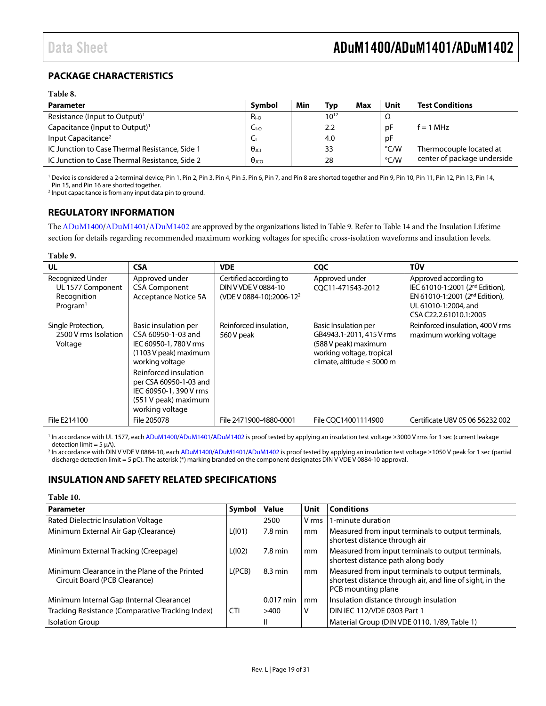### <span id="page-18-0"></span>**PACKAGE CHARACTERISTICS**

#### **Table 8.**

| <b>Parameter</b>                               | Symbol             | Min | Typ       | Max | Unit          | <b>Test Conditions</b>      |
|------------------------------------------------|--------------------|-----|-----------|-----|---------------|-----------------------------|
| Resistance (Input to Output) <sup>1</sup>      | $R_{I-O}$          |     | $10^{12}$ |     | Ω             |                             |
| Capacitance (Input to Output) <sup>1</sup>     | $C_{\text{LO}}$    |     | 2.2       |     | рF            | $f = 1$ MHz                 |
| Input Capacitance <sup>2</sup>                 | u                  |     | 4.0       |     | рF            |                             |
| IC Junction to Case Thermal Resistance, Side 1 | $\theta$ JCI       |     | 33        |     | $\degree$ C/W | Thermocouple located at     |
| IC Junction to Case Thermal Resistance, Side 2 | $\theta_{\rm JCO}$ |     | 28        |     | $\degree$ C/W | center of package underside |

<sup>1</sup> Device is considered a 2-terminal device; Pin 1, Pin 2, Pin 3, Pin 4, Pin 5, Pin 6, Pin 7, and Pin 8 are shorted together and Pin 9, Pin 10, Pin 11, Pin 12, Pin 13, Pin 14, Pin 15, and Pin 16 are shorted together.

<sup>2</sup> Input capacitance is from any input data pin to ground.

### <span id="page-18-1"></span>**REGULATORY INFORMATION**

Th[e ADuM1400/](http://www.analog.com/ADuM1400?doc=ADuM1400_1401_1402.pdf)[ADuM1401](http://www.analog.com/ADuM1401?doc=ADuM1400_1401_1402.pdf)[/ADuM1402](http://www.analog.com/ADuM1402?doc=ADuM1400_1401_1402.pdf) are approved by the organizations listed i[n Table 9.](#page-18-3) Refer to [Table 14](#page-20-2) and the [Insulation Lifetime](#page-28-0) section for details regarding recommended maximum working voltages for specific cross-isolation waveforms and insulation levels.

#### <span id="page-18-3"></span>**Table 9.**

| <b>UL</b>                                                                    | <b>CSA</b>                                                                                                           | <b>VDE</b>                                                                            | <b>COC</b>                                                                                                                                      | TÜV                                                                                                                                                                  |
|------------------------------------------------------------------------------|----------------------------------------------------------------------------------------------------------------------|---------------------------------------------------------------------------------------|-------------------------------------------------------------------------------------------------------------------------------------------------|----------------------------------------------------------------------------------------------------------------------------------------------------------------------|
| Recognized Under<br>UL 1577 Component<br>Recognition<br>Program <sup>1</sup> | Approved under<br><b>CSA Component</b><br><b>Acceptance Notice 5A</b>                                                | Certified according to<br>DIN V VDE V 0884-10<br>(VDE V 0884-10):2006-12 <sup>2</sup> | Approved under<br>COC11-471543-2012                                                                                                             | Approved according to<br>IEC 61010-1:2001 (2 <sup>nd</sup> Edition),<br>EN 61010-1:2001 (2 <sup>nd</sup> Edition),<br>UL 61010-1:2004, and<br>CSA C22.2.61010.1:2005 |
| Single Protection,<br>2500 V rms Isolation<br>Voltage                        | Basic insulation per<br>CSA 60950-1-03 and<br>IEC 60950-1, 780 V rms<br>(1103 V peak) maximum<br>working voltage     | Reinforced insulation.<br>560 V peak                                                  | <b>Basic Insulation per</b><br>GB4943.1-2011, 415 V rms<br>(588 V peak) maximum<br>working voltage, tropical<br>climate, altitude $\leq 5000$ m | Reinforced insulation, 400 V rms<br>maximum working voltage                                                                                                          |
|                                                                              | Reinforced insulation<br>per CSA 60950-1-03 and<br>IEC 60950-1, 390 V rms<br>(551 V peak) maximum<br>working voltage |                                                                                       |                                                                                                                                                 |                                                                                                                                                                      |
| File E214100                                                                 | File 205078                                                                                                          | File 2471900-4880-0001                                                                | File COC14001114900                                                                                                                             | Certificate U8V 05 06 56232 002                                                                                                                                      |

<sup>1</sup> In accordance with UL 1577, eac[h ADuM1400](http://www.analog.com/ADuM1400?doc?=ADuM1400_1401_1402.PDF)[/ADuM1401/](http://www.analog.com/ADuM1401?doc?=ADuM1400_1401_1402.PDF)[ADuM1402](http://www.analog.com/ADuM1402?doc?=ADuM1400_1401_1402.PDF) is proof tested by applying an insulation test voltage ≥3000 V rms for 1 sec (current leakage detection limit =  $5 \mu$ A).

<sup>2</sup> In accordance with DIN V VDE V 0884-10, eac[h ADuM1400](http://www.analog.com/ADuM1400?doc?=ADuM1400_1401_1402.PDF)[/ADuM1401](http://www.analog.com/ADuM1401?doc?=ADuM1400_1401_1402.PDF)[/ADuM1402](http://www.analog.com/ADuM1402?doc?=ADuM1400_1401_1402.PDF) is proof tested by applying an insulation test voltage ≥1050 V peak for 1 sec (partial discharge detection limit = 5 pC). The asterisk (\*) marking branded on the component designates DIN V VDE V 0884-10 approval.

#### <span id="page-18-2"></span>**INSULATION AND SAFETY RELATED SPECIFICATIONS**

| Table 10.                                                                      |            |              |       |                                                                                                                                      |
|--------------------------------------------------------------------------------|------------|--------------|-------|--------------------------------------------------------------------------------------------------------------------------------------|
| <b>Parameter</b>                                                               | Symbol     | <b>Value</b> | Unit  | <b>Conditions</b>                                                                                                                    |
| Rated Dielectric Insulation Voltage                                            |            | 2500         | V rms | 1-minute duration                                                                                                                    |
| Minimum External Air Gap (Clearance)                                           | L(101)     | 7.8 min      | mm    | Measured from input terminals to output terminals,<br>shortest distance through air                                                  |
| Minimum External Tracking (Creepage)                                           | L(102)     | $7.8$ min    | mm    | Measured from input terminals to output terminals,<br>shortest distance path along body                                              |
| Minimum Clearance in the Plane of the Printed<br>Circuit Board (PCB Clearance) | L(PCB)     | 8.3 min      | mm    | Measured from input terminals to output terminals,<br>shortest distance through air, and line of sight, in the<br>PCB mounting plane |
| Minimum Internal Gap (Internal Clearance)                                      |            | $0.017$ min  | mm    | Insulation distance through insulation                                                                                               |
| Tracking Resistance (Comparative Tracking Index)                               | <b>CTI</b> | >400         | V     | DIN IEC 112/VDE 0303 Part 1                                                                                                          |
| <b>Isolation Group</b>                                                         |            | Ш            |       | Material Group (DIN VDE 0110, 1/89, Table 1)                                                                                         |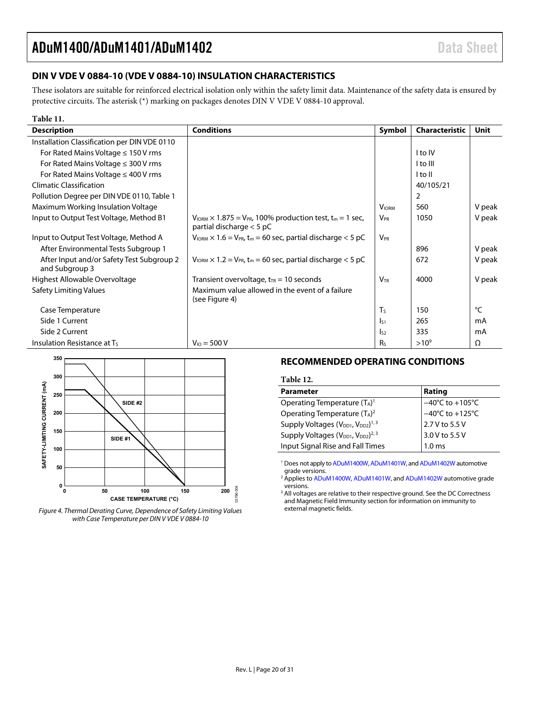### <span id="page-19-0"></span>**DIN V VDE V 0884-10 (VDE V 0884-10) INSULATION CHARACTERISTICS**

These isolators are suitable for reinforced electrical isolation only within the safety limit data. Maintenance of the safety data is ensured by protective circuits. The asterisk (\*) marking on packages denotes DIN V VDE V 0884-10 approval.

| Table 11.                                                   |                                                                                                                              |                       |                |             |
|-------------------------------------------------------------|------------------------------------------------------------------------------------------------------------------------------|-----------------------|----------------|-------------|
| <b>Description</b>                                          | <b>Conditions</b>                                                                                                            | Symbol                | Characteristic | <b>Unit</b> |
| Installation Classification per DIN VDE 0110                |                                                                                                                              |                       |                |             |
| For Rated Mains Voltage $\leq 150$ V rms                    |                                                                                                                              |                       | I to IV        |             |
| For Rated Mains Voltage $\leq$ 300 V rms                    |                                                                                                                              |                       | I to III       |             |
| For Rated Mains Voltage $\leq 400$ V rms                    |                                                                                                                              |                       | I to II        |             |
| <b>Climatic Classification</b>                              |                                                                                                                              |                       | 40/105/21      |             |
| Pollution Degree per DIN VDE 0110, Table 1                  |                                                                                                                              |                       | 2              |             |
| Maximum Working Insulation Voltage                          |                                                                                                                              | <b>VIORM</b>          | 560            | V peak      |
| Input to Output Test Voltage, Method B1                     | $V_{\text{IORM}} \times 1.875 = V_{\text{PR}}$ , 100% production test, t <sub>m</sub> = 1 sec,<br>partial discharge $<$ 5 pC | <b>V<sub>PR</sub></b> | 1050           | V peak      |
| Input to Output Test Voltage, Method A                      | $V_{\text{IORM}} \times 1.6 = V_{\text{PR}}$ , t <sub>m</sub> = 60 sec, partial discharge < 5 pC                             | $V_{PR}$              |                |             |
| After Environmental Tests Subgroup 1                        |                                                                                                                              |                       | 896            | V peak      |
| After Input and/or Safety Test Subgroup 2<br>and Subgroup 3 | $V_{\text{IORM}} \times 1.2 = V_{\text{PR}}$ , t <sub>m</sub> = 60 sec, partial discharge < 5 pC                             |                       | 672            | V peak      |
| Highest Allowable Overvoltage                               | Transient overvoltage, $t_{TR}$ = 10 seconds                                                                                 | $V_{\text{TR}}$       | 4000           | V peak      |
| Safety Limiting Values                                      | Maximum value allowed in the event of a failure<br>(see Figure 4)                                                            |                       |                |             |
| Case Temperature                                            |                                                                                                                              | $T_S$                 | 150            | °C          |
| Side 1 Current                                              |                                                                                                                              | $I_{51}$              | 265            | mA          |
| Side 2 Current                                              |                                                                                                                              | $I_{52}$              | 335            | mA          |
| Insulation Resistance at Ts                                 | $V_{10} = 500 V$                                                                                                             | R <sub>S</sub>        | $>10^{9}$      | Ω           |



<span id="page-19-2"></span>*Figure 4. Thermal Derating Curve, Dependence of Safety Limiting Values with Case Temperature per DIN V VDE V 0884-10*

### <span id="page-19-1"></span>**RECOMMENDED OPERATING CONDITIONS**

#### **Table 12.**

| <b>Parameter</b>                                                       | Rating                                       |
|------------------------------------------------------------------------|----------------------------------------------|
| Operating Temperature $(T_A)^1$                                        |                                              |
| Operating Temperature $(T_A)^2$                                        | $-40^{\circ}$ C to +105°C<br>-40°C to +125°C |
| Supply Voltages (V <sub>DD1</sub> , V <sub>DD2</sub> ) <sup>1,3</sup>  | 2.7 V to 5.5 V                               |
| Supply Voltages (V <sub>DD1</sub> , V <sub>DD2</sub> ) <sup>2, 3</sup> | 3.0 V to 5.5 V                               |
| Input Signal Rise and Fall Times                                       | $1.0 \text{ ms}$                             |

<sup>1</sup> Does not apply t[o ADuM1400W,](http://www.analog.com/ADuM1400?doc=ADuM1400_1401_1402.pdf) [ADuM1401W,](http://www.analog.com/ADuM1401?doc=ADuM1400_1401_1402.pdf) an[d ADuM1402W](http://www.analog.com/ADuM1402?doc=ADuM1400_1401_1402.pdf) automotive grade versions.

<sup>2</sup> Applies t[o ADuM1400W,](http://www.analog.com/ADuM1400?doc=ADuM1400_1401_1402.pdf) [ADuM1401W,](http://www.analog.com/ADuM1401?doc=ADuM1400_1401_1402.pdf) an[d ADuM1402W](http://www.analog.com/ADuM1402?doc=ADuM1400_1401_1402.pdf) automotive grade versions.

<sup>3</sup> All voltages are relative to their respective ground. See the DC Correctness [and Magnetic Field Immunity](#page-26-3) section for information on immunity to external magnetic fields.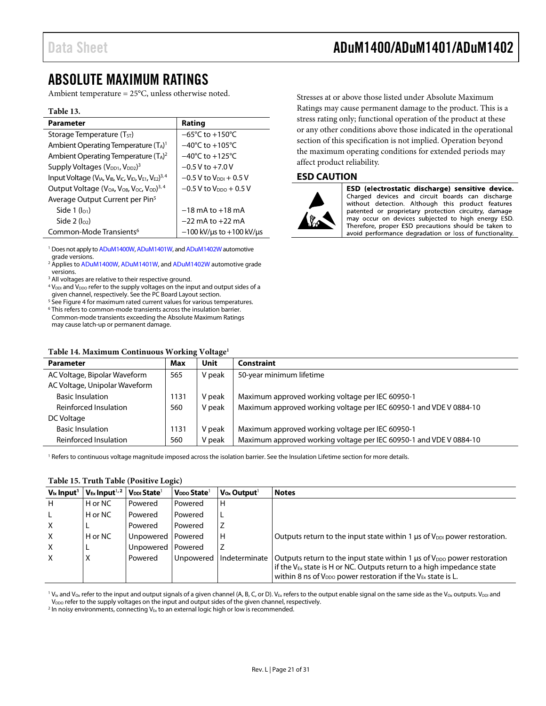### <span id="page-20-0"></span>ABSOLUTE MAXIMUM RATINGS

Ambient temperature = 25°C, unless otherwise noted.

#### **Table 13.**

| <b>Parameter</b>                                                                                 | Rating                                 |
|--------------------------------------------------------------------------------------------------|----------------------------------------|
| Storage Temperature $(T_{ST})$                                                                   | $-65^{\circ}$ C to $+150^{\circ}$ C    |
| Ambient Operating Temperature (TA) <sup>1</sup>                                                  | $-40^{\circ}$ C to $+105^{\circ}$ C    |
| Ambient Operating Temperature $(T_A)^2$                                                          | $-40^{\circ}$ C to $+125^{\circ}$ C    |
| Supply Voltages (V <sub>DD1</sub> , V <sub>DD2</sub> ) <sup>3</sup>                              | $-0.5$ V to $+7.0$ V                   |
| Input Voltage ( $V_{IA}$ , $V_{IB}$ , $V_{IC}$ , $V_{ID}$ , $V_{E1}$ , $V_{E2}$ ) <sup>3,4</sup> | $-0.5$ V to $V_{\text{DDI}} + 0.5$ V   |
| Output Voltage $(V_{OA}, V_{OB}, V_{OC}, V_{OD})^{3,4}$                                          | $-0.5$ V to $V_{DDO}$ + 0.5 V          |
| Average Output Current per Pin <sup>5</sup>                                                      |                                        |
| Side 1 $(I01)$                                                                                   | $-18$ mA to $+18$ mA                   |
| Side $2$ ( $log$ )                                                                               | $-22$ mA to $+22$ mA                   |
| Common-Mode Transients <sup>6</sup>                                                              | $-100$ kV/ $\mu$ s to +100 kV/ $\mu$ s |

<sup>1</sup> Does not apply t[o ADuM1400W,](http://www.analog.com/ADuM1400?doc=ADuM1400_1401_1402.pdf) [ADuM1401W,](http://www.analog.com/ADuM1401?doc=ADuM1400_1401_1402.pdf) an[d ADuM1402W](http://www.analog.com/ADuM1402?doc=ADuM1400_1401_1402.pdf) automotive grade versions.

<sup>2</sup> Applies t[o ADuM1400W,](http://www.analog.com/ADuM1400?doc=ADuM1400_1401_1402.pdf) [ADuM1401W,](http://www.analog.com/ADuM1401?doc=ADuM1400_1401_1402.pdf) an[d ADuM1402W](http://www.analog.com/ADuM1402?doc=ADuM1400_1401_1402.pdf) automotive grade versions.

<sup>3</sup> All voltages are relative to their respective ground.

 $4$  V<sub>DDI</sub> and V<sub>DDO</sub> refer to the supply voltages on the input and output sides of a given channel, respectively. See th[e PC Board Layout](#page-26-1) section.

<sup>5</sup> Se[e Figure 4](#page-19-2) for maximum rated current values for various temperatures. <sup>6</sup> This refers to common-mode transients across the insulation barrier.

Common-mode transients exceeding th[e Absolute Maximum Ratings](#page-20-0) may cause latch-up or permanent damage.

#### <span id="page-20-2"></span>**Table 14. Maximum Continuous Working Voltage1**

Stresses at or above those listed under Absolute Maximum Ratings may cause permanent damage to the product. This is a stress rating only; functional operation of the product at these or any other conditions above those indicated in the operational section of this specification is not implied. Operation beyond the maximum operating conditions for extended periods may affect product reliability.

#### <span id="page-20-1"></span>**ESD CAUTION**



ESD (electrostatic discharge) sensitive device. Charged devices and circuit boards can discharge without detection. Although this product features patented or proprietary protection circuitry, damage may occur on devices subjected to high energy ESD. Therefore, proper ESD precautions should be taken to avoid performance degradation or loss of functionality.

| Tuble I Is muximum Continuous Working Voltage |      |        |                                                                    |  |  |
|-----------------------------------------------|------|--------|--------------------------------------------------------------------|--|--|
| <b>Parameter</b>                              | Max  | Unit   | Constraint                                                         |  |  |
| AC Voltage, Bipolar Waveform                  | 565  | V peak | 50-year minimum lifetime                                           |  |  |
| AC Voltage, Unipolar Waveform                 |      |        |                                                                    |  |  |
| <b>Basic Insulation</b>                       | 1131 | V peak | Maximum approved working voltage per IEC 60950-1                   |  |  |
| Reinforced Insulation                         | 560  | V peak | Maximum approved working voltage per IEC 60950-1 and VDE V 0884-10 |  |  |
| DC Voltage                                    |      |        |                                                                    |  |  |
| <b>Basic Insulation</b>                       | 1131 | V peak | Maximum approved working voltage per IEC 60950-1                   |  |  |
| Reinforced Insulation                         | 560  | V peak | Maximum approved working voltage per IEC 60950-1 and VDE V 0884-10 |  |  |

<sup>1</sup> Refers to continuous voltage magnitude imposed across the isolation barrier. See the [Insulation Lifetime](#page-28-0) section for more details.

#### <span id="page-20-3"></span>**Table 15. Truth Table (Positive Logic)**

| $V_{ix}$ Input <sup>1</sup> | $V_{Ex}$ Input <sup>1,2</sup> | $V_{\text{DDI}}$ State <sup>1</sup> | $V_{DDO}$ State <sup>1</sup> | $\mathsf{V}_{\mathsf{ox}}$ Output <sup>1</sup> | <b>Notes</b>                                                                                                                                                                                                                                     |
|-----------------------------|-------------------------------|-------------------------------------|------------------------------|------------------------------------------------|--------------------------------------------------------------------------------------------------------------------------------------------------------------------------------------------------------------------------------------------------|
| H                           | H or NC                       | Powered                             | Powered                      | lн                                             |                                                                                                                                                                                                                                                  |
|                             | H or NC                       | Powered                             | Powered                      | ١L                                             |                                                                                                                                                                                                                                                  |
| X                           |                               | Powered                             | Powered                      | z                                              |                                                                                                                                                                                                                                                  |
| $\mathsf{X}$                | H or NC                       | Unpowered   Powered                 |                              | lн                                             | Outputs return to the input state within 1 $\mu$ s of V <sub>DDI</sub> power restoration.                                                                                                                                                        |
| X                           | н                             | Unpowered   Powered                 |                              | ΙZ                                             |                                                                                                                                                                                                                                                  |
| $\mathsf{x}$                | X                             | Powered                             |                              | Unpowered   Indeterminate                      | Outputs return to the input state within 1 $\mu$ s of V <sub>DDO</sub> power restoration<br>If the $V_{Fx}$ state is H or NC. Outputs return to a high impedance state<br>within 8 ns of $V_{DDO}$ power restoration if the $V_{Ex}$ state is L. |

 $1$  V<sub>Ix</sub> and V<sub>Ox</sub> refer to the input and output signals of a given channel (A, B, C, or D). V<sub>Ex</sub> refers to the output enable signal on the same side as the V<sub>Ox</sub> outputs. V<sub>DDI</sub> and V<sub>DDO</sub> refer to the supply voltages on the input and output sides of the given channel, respectively.

<sup>2</sup> In noisy environments, connecting  $V_{Ex}$  to an external logic high or low is recommended.

### Data Sheet **ADuM1400/ADuM1401/ADuM1402**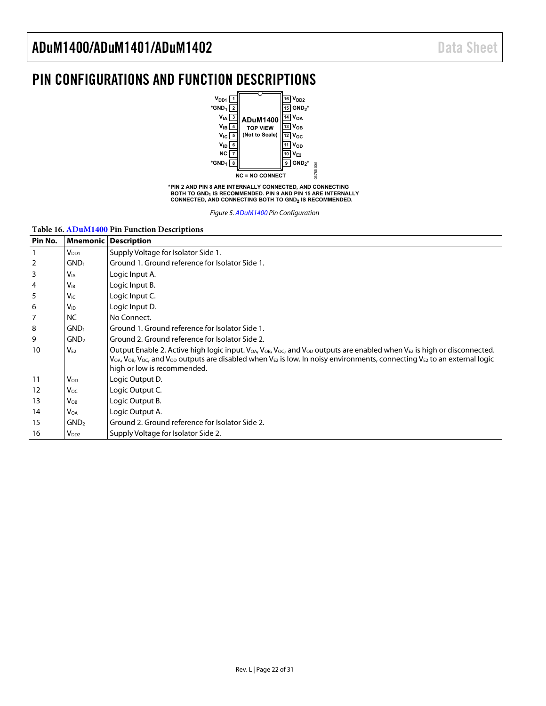### <span id="page-21-0"></span>PIN CONFIGURATIONS AND FUNCTION DESCRIPTIONS



**\*PIN 2 AND PIN 8 ARE INTERNALLY CONNECTED, AND CONNECTING BOTH TO GND1 IS RECOMMENDED. PIN 9 AND PIN 15 ARE INTERNALLY CONNECTED, AND CONNECTING BOTH TO GND2 IS RECOMMENDED.**

*Figure 5[. ADuM1400](http://www.analog.com/ADuM1400?doc=ADuM1400_1401_1402.pdf) Pin Configuration*

#### **Table 16[. ADuM1400](http://www.analog.com/ADuM1400?doc=ADuM1400_1401_1402.pdf) Pin Function Descriptions**

| Pin No. |                       | <b>Mnemonic Description</b>                                                                                                                                                                                                                                                                                                                                                             |  |  |  |  |  |
|---------|-----------------------|-----------------------------------------------------------------------------------------------------------------------------------------------------------------------------------------------------------------------------------------------------------------------------------------------------------------------------------------------------------------------------------------|--|--|--|--|--|
|         | $V_{DD1}$             | Supply Voltage for Isolator Side 1.                                                                                                                                                                                                                                                                                                                                                     |  |  |  |  |  |
| 2       | GND <sub>1</sub>      | Ground 1. Ground reference for Isolator Side 1.                                                                                                                                                                                                                                                                                                                                         |  |  |  |  |  |
| 3       | <b>V<sub>IA</sub></b> | Logic Input A.                                                                                                                                                                                                                                                                                                                                                                          |  |  |  |  |  |
| 4       | $V_{IB}$              | Logic Input B.                                                                                                                                                                                                                                                                                                                                                                          |  |  |  |  |  |
| 5       | V <sub>IC</sub>       | Logic Input C.                                                                                                                                                                                                                                                                                                                                                                          |  |  |  |  |  |
| 6       | <b>V<sub>ID</sub></b> | Logic Input D.                                                                                                                                                                                                                                                                                                                                                                          |  |  |  |  |  |
| 7       | <b>NC</b>             | No Connect.                                                                                                                                                                                                                                                                                                                                                                             |  |  |  |  |  |
| 8       | GND <sub>1</sub>      | Ground 1. Ground reference for Isolator Side 1.                                                                                                                                                                                                                                                                                                                                         |  |  |  |  |  |
| 9       | GND <sub>2</sub>      | Ground 2. Ground reference for Isolator Side 2.                                                                                                                                                                                                                                                                                                                                         |  |  |  |  |  |
| 10      | $V_{F2}$              | Output Enable 2. Active high logic input. $V_{OA}$ , $V_{OB}$ , $V_{OC}$ , and $V_{OD}$ outputs are enabled when $V_{E2}$ is high or disconnected.<br>V <sub>OA</sub> , V <sub>OB</sub> , V <sub>OC</sub> , and V <sub>OD</sub> outputs are disabled when V <sub>E2</sub> is low. In noisy environments, connecting V <sub>E2</sub> to an external logic<br>high or low is recommended. |  |  |  |  |  |
| 11      | $V_{OD}$              | Logic Output D.                                                                                                                                                                                                                                                                                                                                                                         |  |  |  |  |  |
| 12      | Voc                   | Logic Output C.                                                                                                                                                                                                                                                                                                                                                                         |  |  |  |  |  |
| 13      | $V_{OB}$              | Logic Output B.                                                                                                                                                                                                                                                                                                                                                                         |  |  |  |  |  |
| 14      | <b>VOA</b>            | Logic Output A.                                                                                                                                                                                                                                                                                                                                                                         |  |  |  |  |  |
| 15      | GND <sub>2</sub>      | Ground 2. Ground reference for Isolator Side 2.                                                                                                                                                                                                                                                                                                                                         |  |  |  |  |  |
| 16      | V <sub>DD2</sub>      | Supply Voltage for Isolator Side 2.                                                                                                                                                                                                                                                                                                                                                     |  |  |  |  |  |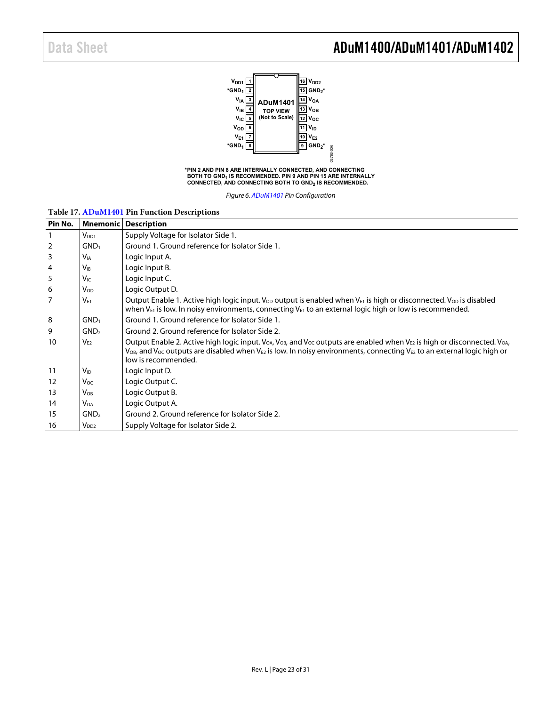### Data Sheet **ADuM1400/ADuM1401/ADuM1402**



**BOTH TO GND1 IS RECOMMENDED. PIN 9 AND PIN 15 ARE INTERNALLY CONNECTED, AND CONNECTING BOTH TO GND2 IS RECOMMENDED.**

*Figure 6[. ADuM1401](http://www.analog.com/ADuM1401?doc=ADuM1400_1401_1402.pdf) Pin Configuration*

#### **Table 17[. ADuM1401](http://www.analog.com/ADuM1401?doc=ADuM1400_1401_1402.pdf) Pin Function Descriptions**

| Pin No. | <b>Mnemonic</b>        | <b>Description</b>                                                                                                                                                                                                                                                                                                                                                                     |  |  |  |  |  |
|---------|------------------------|----------------------------------------------------------------------------------------------------------------------------------------------------------------------------------------------------------------------------------------------------------------------------------------------------------------------------------------------------------------------------------------|--|--|--|--|--|
|         | V <sub>DD1</sub>       | Supply Voltage for Isolator Side 1.                                                                                                                                                                                                                                                                                                                                                    |  |  |  |  |  |
| 2       | GND <sub>1</sub>       | Ground 1. Ground reference for Isolator Side 1.                                                                                                                                                                                                                                                                                                                                        |  |  |  |  |  |
| 3       | <b>V</b> <sub>IA</sub> | Logic Input A.                                                                                                                                                                                                                                                                                                                                                                         |  |  |  |  |  |
| 4       | <b>V<sub>IB</sub></b>  | Logic Input B.                                                                                                                                                                                                                                                                                                                                                                         |  |  |  |  |  |
| 5       | $V_{IC}$               | Logic Input C.                                                                                                                                                                                                                                                                                                                                                                         |  |  |  |  |  |
| 6       | Vop                    | Logic Output D.                                                                                                                                                                                                                                                                                                                                                                        |  |  |  |  |  |
| 7       | $V_{F1}$               | Output Enable 1. Active high logic input. V <sub>op</sub> output is enabled when V <sub>E1</sub> is high or disconnected. V <sub>op</sub> is disabled<br>when $V_{E1}$ is low. In noisy environments, connecting $V_{E1}$ to an external logic high or low is recommended.                                                                                                             |  |  |  |  |  |
| 8       | GND <sub>1</sub>       | Ground 1. Ground reference for Isolator Side 1.                                                                                                                                                                                                                                                                                                                                        |  |  |  |  |  |
| 9       | GND <sub>2</sub>       | Ground 2. Ground reference for Isolator Side 2.                                                                                                                                                                                                                                                                                                                                        |  |  |  |  |  |
| 10      | $V_{F2}$               | Output Enable 2. Active high logic input. V <sub>OA</sub> , V <sub>OB</sub> , and V <sub>OC</sub> outputs are enabled when V <sub>E2</sub> is high or disconnected. V <sub>OA</sub> ,<br>$V_{\text{OB}}$ , and $V_{\text{OC}}$ outputs are disabled when $V_{\text{E2}}$ is low. In noisy environments, connecting $V_{\text{E2}}$ to an external logic high or<br>low is recommended. |  |  |  |  |  |
| 11      | $V_{ID}$               | Logic Input D.                                                                                                                                                                                                                                                                                                                                                                         |  |  |  |  |  |
| 12      | Voc                    | Logic Output C.                                                                                                                                                                                                                                                                                                                                                                        |  |  |  |  |  |
| 13      | $V_{OB}$               | Logic Output B.                                                                                                                                                                                                                                                                                                                                                                        |  |  |  |  |  |
| 14      | <b>V</b> OA            | Logic Output A.                                                                                                                                                                                                                                                                                                                                                                        |  |  |  |  |  |
| 15      | GND <sub>2</sub>       | Ground 2. Ground reference for Isolator Side 2.                                                                                                                                                                                                                                                                                                                                        |  |  |  |  |  |
| 16      | V <sub>DD2</sub>       | Supply Voltage for Isolator Side 2.                                                                                                                                                                                                                                                                                                                                                    |  |  |  |  |  |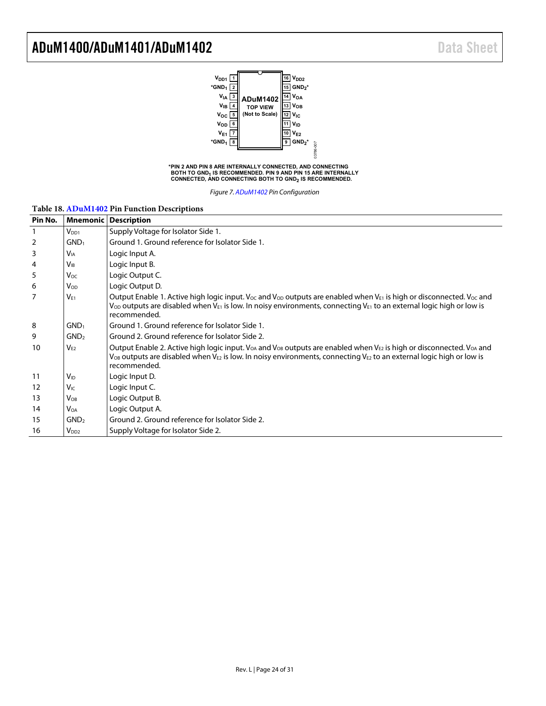

**\*PIN 2 AND PIN 8 ARE INTERNALLY CONNECTED, AND CONNECTING BOTH TO GND1 IS RECOMMENDED. PIN 9 AND PIN 15 ARE INTERNALLY CONNECTED, AND CONNECTING BOTH TO GND2 IS RECOMMENDED.**

*Figure 7[. ADuM1402](http://www.analog.com/ADuM1402?doc=ADuM1400_1401_1402.pdf) Pin Configuration*

| Pin No. | <b>Mnemonic</b>       | <b>Description</b>                                                                                                                                                                                                                                                                                                        |  |  |  |  |  |
|---------|-----------------------|---------------------------------------------------------------------------------------------------------------------------------------------------------------------------------------------------------------------------------------------------------------------------------------------------------------------------|--|--|--|--|--|
| 1       | $V_{DD1}$             | Supply Voltage for Isolator Side 1.                                                                                                                                                                                                                                                                                       |  |  |  |  |  |
| 2       | GND <sub>1</sub>      | Ground 1. Ground reference for Isolator Side 1.                                                                                                                                                                                                                                                                           |  |  |  |  |  |
| 3       | <b>V<sub>IA</sub></b> | Logic Input A.                                                                                                                                                                                                                                                                                                            |  |  |  |  |  |
| 4       | $V_{IB}$              | Logic Input B.                                                                                                                                                                                                                                                                                                            |  |  |  |  |  |
| 5       | Voc                   | Logic Output C.                                                                                                                                                                                                                                                                                                           |  |  |  |  |  |
| 6       | $V_{OD}$              | Logic Output D.                                                                                                                                                                                                                                                                                                           |  |  |  |  |  |
| 7       | $V_{F1}$              | Output Enable 1. Active high logic input. V <sub>oc</sub> and V <sub>op</sub> outputs are enabled when V <sub>E1</sub> is high or disconnected. V <sub>oc</sub> and<br>$V_{OD}$ outputs are disabled when $V_{E1}$ is low. In noisy environments, connecting $V_{E1}$ to an external logic high or low is<br>recommended. |  |  |  |  |  |
| 8       | GND <sub>1</sub>      | Ground 1. Ground reference for Isolator Side 1.                                                                                                                                                                                                                                                                           |  |  |  |  |  |
| 9       | GND <sub>2</sub>      | Ground 2. Ground reference for Isolator Side 2.                                                                                                                                                                                                                                                                           |  |  |  |  |  |
| 10      | $V_{E2}$              | Output Enable 2. Active high logic input. V <sub>OA</sub> and V <sub>OB</sub> outputs are enabled when V <sub>E2</sub> is high or disconnected. V <sub>OA</sub> and<br>$V_{OB}$ outputs are disabled when $V_{E2}$ is low. In noisy environments, connecting $V_{E2}$ to an external logic high or low is<br>recommended. |  |  |  |  |  |
| 11      | $V_{ID}$              | Logic Input D.                                                                                                                                                                                                                                                                                                            |  |  |  |  |  |
| 12      | <b>V<sub>IC</sub></b> | Logic Input C.                                                                                                                                                                                                                                                                                                            |  |  |  |  |  |
| 13      | $V_{OB}$              | Logic Output B.                                                                                                                                                                                                                                                                                                           |  |  |  |  |  |
| 14      | Voa                   | Logic Output A.                                                                                                                                                                                                                                                                                                           |  |  |  |  |  |
| 15      | GND <sub>2</sub>      | Ground 2. Ground reference for Isolator Side 2.                                                                                                                                                                                                                                                                           |  |  |  |  |  |
| 16      | $V_{DD2}$             | Supply Voltage for Isolator Side 2.                                                                                                                                                                                                                                                                                       |  |  |  |  |  |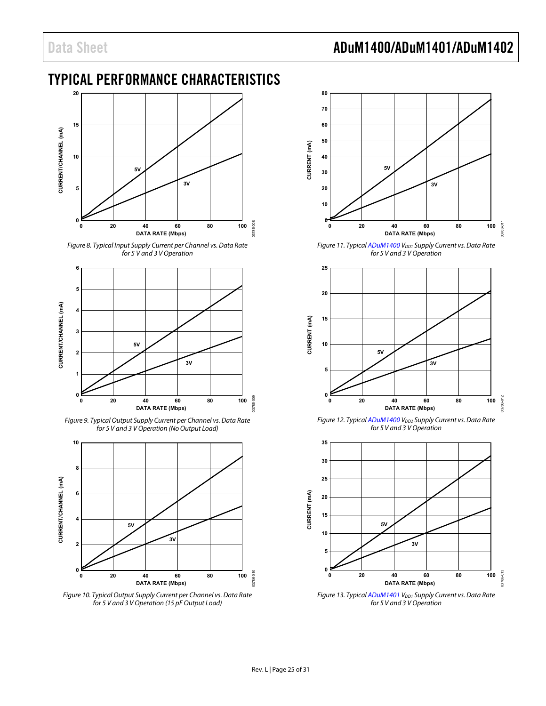### Data Sheet **ADuM1400/ADuM1401/ADuM1402**

### <span id="page-24-0"></span>TYPICAL PERFORMANCE CHARACTERISTICS



<span id="page-24-1"></span>*Figure 8. Typical Input Supply Current per Channel vs. Data Rate for 5 V and 3 V Operation*



<span id="page-24-4"></span>*Figure 9. Typical Output Supply Current per Channel vs. Data Rate for 5 V and 3 V Operation (No Output Load)*



<span id="page-24-2"></span>*Figure 10. Typical Output Supply Current per Channel vs. Data Rate for 5 V and 3 V Operation (15 pF Output Load)*



<span id="page-24-3"></span>*Figure 11. Typica[l ADuM1400](http://www.analog.com/ADuM1400?doc=ADuM1400_1401_1402.pdf) VDD1* Supply Current vs. Data Rate *for 5 V and 3 V Operation*



*Figure 12. Typica[l ADuM1400](http://www.analog.com/ADuM1400?doc=ADuM1400_1401_1402.pdf) V<sub>DD2</sub> Supply Current vs. Data Rate for 5 V and 3 V Operation*



*Figure 13. Typica[l ADuM1401](http://www.analog.com/ADuM1401?doc=ADuM1400_1401_1402.pdf) V<sub>DD1</sub> Supply Current vs. Data Rate for 5 V and 3 V Operation*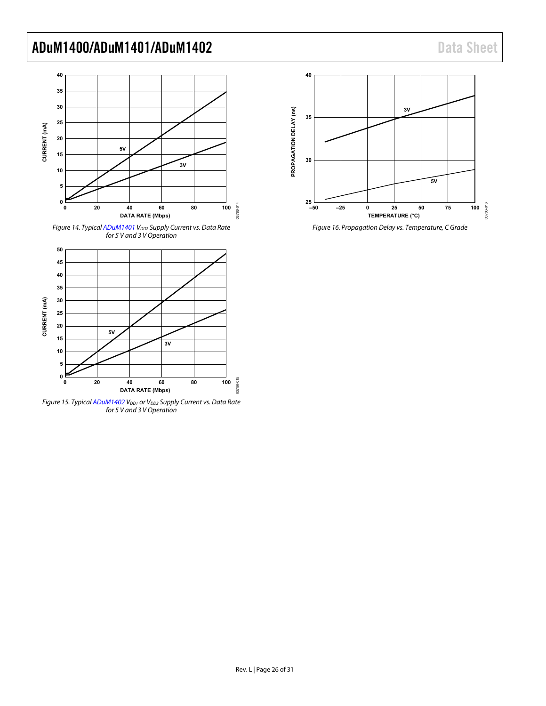

*Figure 14. Typica[l ADuM1401](http://www.analog.com/ADuM1401?doc=ADuM1400_1401_1402.pdf) VDD2 Supply Current vs. Data Rate for 5 V and 3 V Operation*



<span id="page-25-0"></span>*Figure 15. Typica[l ADuM1402](http://www.analog.com/ADuM1402?doc=ADuM1400_1401_1402.pdf) V<sub>DD1</sub> or V<sub>DD2</sub> Supply Current vs. Data Rate for 5 V and 3 V Operation*



*Figure 16. Propagation Delay vs. Temperature, C Grade*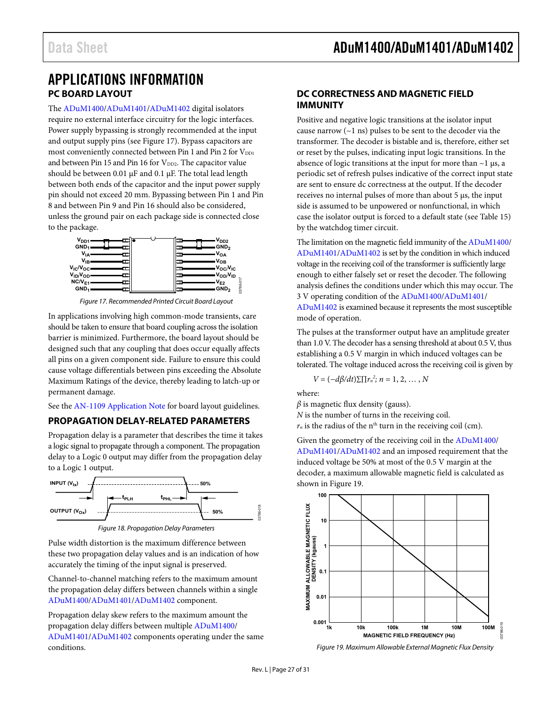### <span id="page-26-1"></span><span id="page-26-0"></span>APPLICATIONS INFORMATION **PC BOARD LAYOUT**

The [ADuM1400/](http://www.analog.com/ADuM1400?doc=ADuM1400_1401_1402.pdf)[ADuM1401/](http://www.analog.com/ADuM1401?doc=ADuM1400_1401_1402.pdf)[ADuM1402](http://www.analog.com/ADuM1402?doc=ADuM1400_1401_1402.pdf) digital isolators require no external interface circuitry for the logic interfaces. Power supply bypassing is strongly recommended at the input and output supply pins (see [Figure 17\)](#page-26-4). Bypass capacitors are most conveniently connected between Pin 1 and Pin 2 for V<sub>DD1</sub> and between Pin 15 and Pin 16 for  $V_{DD2}$ . The capacitor value should be between 0.01 µF and 0.1 µF. The total lead length between both ends of the capacitor and the input power supply pin should not exceed 20 mm. Bypassing between Pin 1 and Pin 8 and between Pin 9 and Pin 16 should also be considered, unless the ground pair on each package side is connected close to the package.



*Figure 17. Recommended Printed Circuit Board Layout*

03786-017

<span id="page-26-4"></span>In applications involving high common-mode transients, care should be taken to ensure that board coupling across the isolation barrier is minimized. Furthermore, the board layout should be designed such that any coupling that does occur equally affects all pins on a given component side. Failure to ensure this could cause voltage differentials between pins exceeding th[e Absolute](#page-20-0)  [Maximum Ratings](#page-20-0) of the device, thereby leading to latch-up or permanent damage.

See the [AN-1109 Application Note](http://www.analog.com/AN-1109?doc=ADuM1400_1401_1402.pdf) for board layout guidelines.

### <span id="page-26-2"></span>**PROPAGATION DELAY-RELATED PARAMETERS**

Propagation delay is a parameter that describes the time it takes a logic signal to propagate through a component. The propagation delay to a Logic 0 output may differ from the propagation delay to a Logic 1 output.



*Figure 18. Propagation Delay Parameters*

Pulse width distortion is the maximum difference between these two propagation delay values and is an indication of how accurately the timing of the input signal is preserved.

Channel-to-channel matching refers to the maximum amount the propagation delay differs between channels within a single [ADuM1400/](http://www.analog.com/ADuM1400?doc=ADuM1400_1401_1402.pdf)[ADuM1401/](http://www.analog.com/ADuM1401?doc=ADuM1400_1401_1402.pdf)[ADuM1402](http://www.analog.com/ADuM1402?doc=ADuM1400_1401_1402.pdf) component.

Propagation delay skew refers to the maximum amount the propagation delay differs between multiple [ADuM1400/](http://www.analog.com/ADuM1400?doc=ADuM1400_1401_1402.pdf) [ADuM1401/](http://www.analog.com/ADuM1401?doc=ADuM1400_1401_1402.pdf)[ADuM1402](http://www.analog.com/ADuM1402?doc=ADuM1400_1401_1402.pdf) components operating under the same conditions.

### <span id="page-26-3"></span>**DC CORRECTNESS AND MAGNETIC FIELD IMMUNITY**

Positive and negative logic transitions at the isolator input cause narrow  $(-1 \text{ ns})$  pulses to be sent to the decoder via the transformer. The decoder is bistable and is, therefore, either set or reset by the pulses, indicating input logic transitions. In the absence of logic transitions at the input for more than  $\sim$ 1 µs, a periodic set of refresh pulses indicative of the correct input state are sent to ensure dc correctness at the output. If the decoder receives no internal pulses of more than about 5 µs, the input side is assumed to be unpowered or nonfunctional, in which case the isolator output is forced to a default state (see [Table 15\)](#page-20-3) by the watchdog timer circuit.

The limitation on the magnetic field immunity of th[e ADuM1400/](http://www.analog.com/ADuM1400?doc=ADuM1400_1401_1402.pdf) [ADuM1401/](http://www.analog.com/ADuM1401?doc=ADuM1400_1401_1402.pdf)[ADuM1402](http://www.analog.com/ADuM1402?doc=ADuM1400_1401_1402.pdf) is set by the condition in which induced voltage in the receiving coil of the transformer is sufficiently large enough to either falsely set or reset the decoder. The following analysis defines the conditions under which this may occur. The 3 V operating condition of the [ADuM1400/](http://www.analog.com/ADuM1400?doc=ADuM1400_1401_1402.pdf)[ADuM1401/](http://www.analog.com/ADuM1401?doc=ADuM1400_1401_1402.pdf) [ADuM1402](http://www.analog.com/ADuM1402?doc=ADuM1400_1401_1402.pdf) is examined because it represents the most susceptible mode of operation.

The pulses at the transformer output have an amplitude greater than 1.0 V. The decoder has a sensing threshold at about 0.5 V, thus establishing a 0.5 V margin in which induced voltages can be tolerated. The voltage induced across the receiving coil is given by

$$
V = (-d\beta/dt)\Sigma \prod r_n^2; n = 1, 2, \ldots, N
$$

where:

*β* is magnetic flux density (gauss).

*N* is the number of turns in the receiving coil.

 $r_n$  is the radius of the n<sup>th</sup> turn in the receiving coil (cm).

Given the geometry of the receiving coil in the [ADuM1400/](http://www.analog.com/ADuM1400?doc=ADuM1400_1401_1402.pdf) [ADuM1401/](http://www.analog.com/ADuM1401?doc=ADuM1400_1401_1402.pdf)[ADuM1402](http://www.analog.com/ADuM1402?doc=ADuM1400_1401_1402.pdf) and an imposed requirement that the induced voltage be 50% at most of the 0.5 V margin at the decoder, a maximum allowable magnetic field is calculated as shown in [Figure 19.](#page-26-5) 



<span id="page-26-5"></span>*Figure 19. Maximum Allowable External Magnetic Flux Density*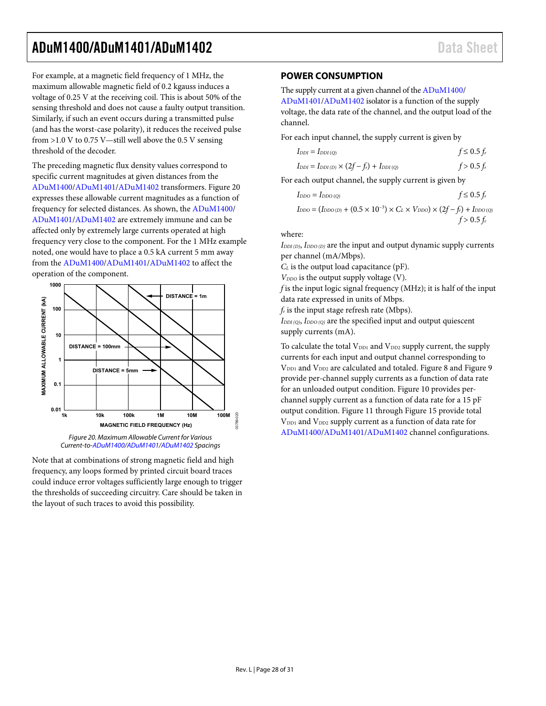For example, at a magnetic field frequency of 1 MHz, the maximum allowable magnetic field of 0.2 kgauss induces a voltage of 0.25 V at the receiving coil. This is about 50% of the sensing threshold and does not cause a faulty output transition. Similarly, if such an event occurs during a transmitted pulse (and has the worst-case polarity), it reduces the received pulse from  $>1.0$  V to 0.75 V—still well above the 0.5 V sensing threshold of the decoder.

The preceding magnetic flux density values correspond to specific current magnitudes at given distances from the [ADuM1400/](http://www.analog.com/ADuM1400?doc=ADuM1400_1401_1402.pdf)[ADuM1401/](http://www.analog.com/ADuM1401?doc=ADuM1400_1401_1402.pdf)[ADuM1402](http://www.analog.com/ADuM1402?doc=ADuM1400_1401_1402.pdf) transformers[. Figure 20](#page-27-1) expresses these allowable current magnitudes as a function of frequency for selected distances. As shown, the [ADuM1400/](http://www.analog.com/ADuM1400?doc=ADuM1400_1401_1402.pdf) [ADuM1401/](http://www.analog.com/ADuM1401?doc=ADuM1400_1401_1402.pdf)[ADuM1402](http://www.analog.com/ADuM1402?doc=ADuM1400_1401_1402.pdf) are extremely immune and can be affected only by extremely large currents operated at high frequency very close to the component. For the 1 MHz example noted, one would have to place a 0.5 kA current 5 mm away from the [ADuM1400/](http://www.analog.com/ADuM1400?doc=ADuM1400_1401_1402.pdf)[ADuM1401](http://www.analog.com/ADuM1401?doc=ADuM1400_1401_1402.pdf)[/ADuM1402](http://www.analog.com/ADuM1402?doc=ADuM1400_1401_1402.pdf) to affect the operation of the component.



*Figure 20. Maximum Allowable Current for Various Current-to[-ADuM1400](http://www.analog.com/ADuM1400?doc=ADuM1400_1401_1402.pdf)[/ADuM1401](http://www.analog.com/ADuM1401?doc=ADuM1400_1401_1402.pdf)[/ADuM1402](http://www.analog.com/ADuM1402?doc=ADuM1400_1401_1402.pdf) Spacings*

<span id="page-27-1"></span>Note that at combinations of strong magnetic field and high frequency, any loops formed by printed circuit board traces could induce error voltages sufficiently large enough to trigger the thresholds of succeeding circuitry. Care should be taken in the layout of such traces to avoid this possibility.

### <span id="page-27-0"></span>**POWER CONSUMPTION**

The supply current at a given channel of th[e ADuM1400/](http://www.analog.com/ADuM1400?doc=ADuM1400_1401_1402.pdf) [ADuM1401/](http://www.analog.com/ADuM1401?doc=ADuM1400_1401_1402.pdf)[ADuM1402](http://www.analog.com/ADuM1402?doc=ADuM1400_1401_1402.pdf) isolator is a function of the supply voltage, the data rate of the channel, and the output load of the channel.

For each input channel, the supply current is given by

$$
I_{DDI} = I_{DDI(Q)} \qquad \qquad f \leq 0.5 f_r
$$

$$
I_{DDI} = I_{DDI(D)} \times (2f - f_r) + I_{DDI(Q)} \qquad f > 0.5 f_r
$$

For each output channel, the supply current is given by

$$
I_{\text{DDO}} = I_{\text{DDO (Q)}} \qquad \qquad f \leq 0.5 f_r
$$

$$
I_{DDO} = (I_{DDO(D)} + (0.5 \times 10^{-3}) \times C_L \times V_{DDO}) \times (2f - f_r) + I_{DDO(Q)}
$$
  
  $f > 0.5 f_r$ 

where:

*IDDI (D)*, *IDDO (D)* are the input and output dynamic supply currents per channel (mA/Mbps).

*C<sub>L</sub>* is the output load capacitance (pF).

 $V_{DDO}$  is the output supply voltage (V).

*f* is the input logic signal frequency (MHz); it is half of the input data rate expressed in units of Mbps.

*fr* is the input stage refresh rate (Mbps).

*IDDI (Q)*, *IDDO (Q)* are the specified input and output quiescent supply currents (mA).

To calculate the total  $V_{DD1}$  and  $V_{DD2}$  supply current, the supply currents for each input and output channel corresponding to V<sub>DD1</sub> and V<sub>DD2</sub> are calculated and totaled[. Figure 8](#page-24-1) and [Figure 9](#page-24-4) provide per-channel supply currents as a function of data rate for an unloaded output condition. [Figure 10](#page-24-2) provides perchannel supply current as a function of data rate for a 15 pF output condition[. Figure 11](#page-24-3) throug[h Figure 15](#page-25-0) provide total V<sub>DD1</sub> and V<sub>DD2</sub> supply current as a function of data rate for [ADuM1400/](http://www.analog.com/ADuM1400?doc=ADuM1400_1401_1402.pdf)[ADuM1401/](http://www.analog.com/ADuM1401?doc=ADuM1400_1401_1402.pdf)[ADuM1402](http://www.analog.com/ADuM1402?doc=ADuM1400_1401_1402.pdf) channel configurations.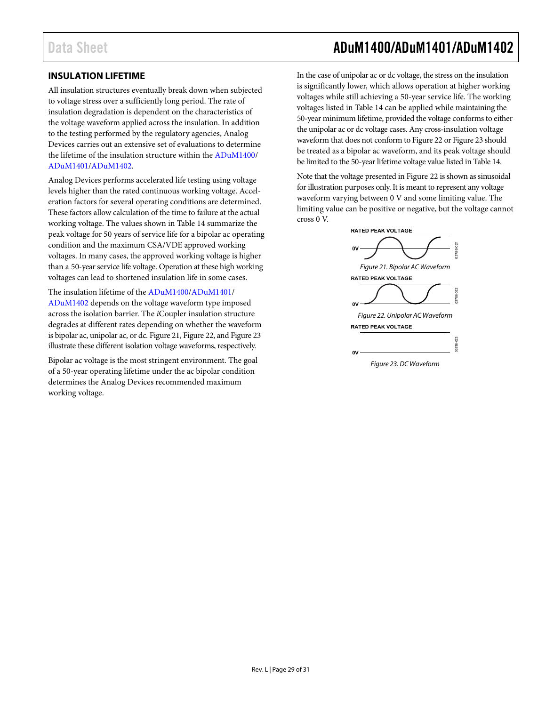### <span id="page-28-0"></span>**INSULATION LIFETIME**

All insulation structures eventually break down when subjected to voltage stress over a sufficiently long period. The rate of insulation degradation is dependent on the characteristics of the voltage waveform applied across the insulation. In addition to the testing performed by the regulatory agencies, Analog Devices carries out an extensive set of evaluations to determine the lifetime of the insulation structure within the [ADuM1400/](http://www.analog.com/ADuM1400?doc=ADuM1400_1401_1402.pdf) [ADuM1401/](http://www.analog.com/ADuM1401?doc=ADuM1400_1401_1402.pdf)[ADuM1402.](http://www.analog.com/ADuM1402?doc=ADuM1400_1401_1402.pdf)

Analog Devices performs accelerated life testing using voltage levels higher than the rated continuous working voltage. Acceleration factors for several operating conditions are determined. These factors allow calculation of the time to failure at the actual working voltage. The values shown in [Table 14](#page-20-2) summarize the peak voltage for 50 years of service life for a bipolar ac operating condition and the maximum CSA/VDE approved working voltages. In many cases, the approved working voltage is higher than a 50-year service life voltage. Operation at these high working voltages can lead to shortened insulation life in some cases.

The insulation lifetime of th[e ADuM1400/](http://www.analog.com/ADuM1400?doc=ADuM1400_1401_1402.pdf)[ADuM1401/](http://www.analog.com/ADuM1401?doc=ADuM1400_1401_1402.pdf) [ADuM1402](http://www.analog.com/ADuM1402?doc=ADuM1400_1401_1402.pdf) depends on the voltage waveform type imposed across the isolation barrier. The *i*Coupler insulation structure degrades at different rates depending on whether the waveform is bipolar ac, unipolar ac, or dc. [Figure 21,](#page-28-1) [Figure 22,](#page-28-2) an[d Figure 23](#page-28-3) illustrate these different isolation voltage waveforms, respectively.

Bipolar ac voltage is the most stringent environment. The goal of a 50-year operating lifetime under the ac bipolar condition determines the Analog Devices recommended maximum working voltage.

### Data Sheet **ADuM1400/ADuM1401/ADuM1402**

In the case of unipolar ac or dc voltage, the stress on the insulation is significantly lower, which allows operation at higher working voltages while still achieving a 50-year service life. The working voltages listed in [Table 14](#page-20-2) can be applied while maintaining the 50-year minimum lifetime, provided the voltage conforms to either the unipolar ac or dc voltage cases. Any cross-insulation voltage waveform that does not conform t[o Figure 22](#page-28-2) o[r Figure 23](#page-28-3) should be treated as a bipolar ac waveform, and its peak voltage should be limited to the 50-year lifetime voltage value listed i[n Table 14.](#page-20-2)

Note that the voltage presented i[n Figure 22](#page-28-2) is shown as sinusoidal for illustration purposes only. It is meant to represent any voltage waveform varying between 0 V and some limiting value. The limiting value can be positive or negative, but the voltage cannot cross 0 V.

<span id="page-28-1"></span>

<span id="page-28-3"></span><span id="page-28-2"></span>*Figure 23. DC Waveform*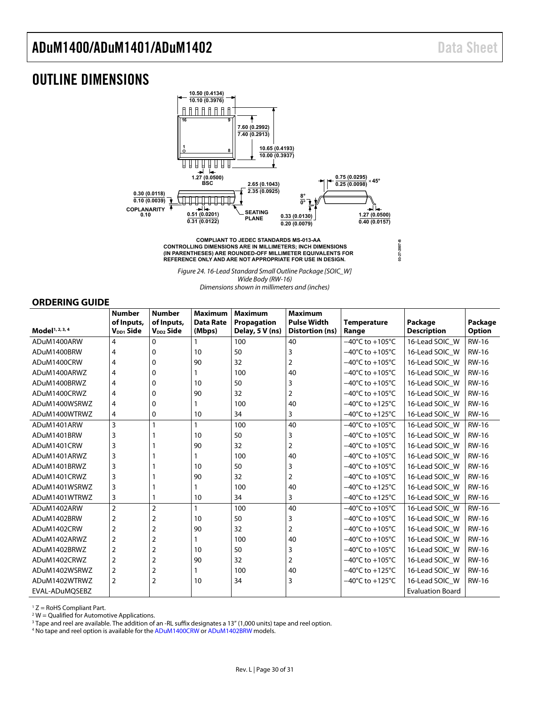### <span id="page-29-1"></span>OUTLINE DIMENSIONS



**CONTROLLING DIMENSIONS ARE IN MILLIMETERS; INCH DIMENSIONS** (IN PARENTHESES) ARE ROUNDED-OFF MILLIMETER EQUIVALENTS FOR<br>REFERENCE ONLY AND ARE NOT APPROPRIATE FOR USE IN DESIGN.

*Figure 24. 16-Lead Standard Small Outline Package [SOIC\_W]*

**03-27-2007-B**

*Wide Body (RW-16)*

*Dimensionsshown in millimeters and (inches)*

### <span id="page-29-0"></span>**ORDERING GUIDE**

|                             | <b>Number</b>                       | <b>Number</b>                       | <b>Maximum</b>             | <b>Maximum</b>                 | <b>Maximum</b>                        |                                      |                               |                          |
|-----------------------------|-------------------------------------|-------------------------------------|----------------------------|--------------------------------|---------------------------------------|--------------------------------------|-------------------------------|--------------------------|
| Model <sup>1, 2, 3, 4</sup> | of Inputs,<br>V <sub>DD1</sub> Side | of Inputs,<br>V <sub>DD2</sub> Side | <b>Data Rate</b><br>(Mbps) | Propagation<br>Delay, 5 V (ns) | <b>Pulse Width</b><br>Distortion (ns) | <b>Temperature</b>                   | Package<br><b>Description</b> | Package<br><b>Option</b> |
|                             |                                     |                                     |                            |                                |                                       | Range                                |                               |                          |
| ADuM1400ARW                 | 4                                   | 0                                   |                            | 100                            | 40                                    | $-40^{\circ}$ C to $+105^{\circ}$ C  | 16-Lead SOIC W                | <b>RW-16</b>             |
| ADuM1400BRW                 | 4                                   | $\Omega$                            | 10                         | 50                             | 3                                     | $-40^{\circ}$ C to $+105^{\circ}$ C  | 16-Lead SOIC W                | <b>RW-16</b>             |
| ADuM1400CRW                 | 4                                   | 0                                   | 90                         | 32                             | $\overline{2}$                        | $-40^{\circ}$ C to $+105^{\circ}$ C  | 16-Lead SOIC W                | <b>RW-16</b>             |
| ADuM1400ARWZ                | 4                                   | $\Omega$                            |                            | 100                            | 40                                    | $-40^{\circ}$ C to $+105^{\circ}$ C  | 16-Lead SOIC W                | <b>RW-16</b>             |
| ADuM1400BRWZ                | 4                                   | 0                                   | 10                         | 50                             | 3                                     | $-40^{\circ}$ C to $+105^{\circ}$ C  | 16-Lead SOIC W                | <b>RW-16</b>             |
| ADuM1400CRWZ                | 4                                   | $\mathbf 0$                         | 90                         | 32                             | $\overline{2}$                        | $-40^{\circ}$ C to $+105^{\circ}$ C  | 16-Lead SOIC W                | <b>RW-16</b>             |
| ADuM1400WSRWZ               | 4                                   | $\Omega$                            |                            | 100                            | 40                                    | $-40^{\circ}$ C to $+125^{\circ}$ C  | 16-Lead SOIC W                | <b>RW-16</b>             |
| ADuM1400WTRWZ               | 4                                   | 0                                   | 10                         | 34                             | 3                                     | $-40^{\circ}$ C to +125 $^{\circ}$ C | 16-Lead SOIC W                | <b>RW-16</b>             |
| ADuM1401ARW                 | 3                                   | $\mathbf{1}$                        | $\mathbf{1}$               | 100                            | 40                                    | $-40^{\circ}$ C to $+105^{\circ}$ C  | 16-Lead SOIC W                | <b>RW-16</b>             |
| ADuM1401BRW                 | 3                                   |                                     | 10                         | 50                             | 3                                     | $-40^{\circ}$ C to $+105^{\circ}$ C  | 16-Lead SOIC W                | <b>RW-16</b>             |
| ADuM1401CRW                 | 3                                   |                                     | 90                         | 32                             | $\overline{2}$                        | $-40^{\circ}$ C to $+105^{\circ}$ C  | 16-Lead SOIC W                | <b>RW-16</b>             |
| ADuM1401ARWZ                | 3                                   |                                     |                            | 100                            | 40                                    | $-40^{\circ}$ C to $+105^{\circ}$ C  | 16-Lead SOIC W                | <b>RW-16</b>             |
| ADuM1401BRWZ                | 3                                   |                                     | 10                         | 50                             | 3                                     | $-40^{\circ}$ C to $+105^{\circ}$ C  | 16-Lead SOIC W                | <b>RW-16</b>             |
| ADuM1401CRWZ                | 3                                   |                                     | 90                         | 32                             | $\overline{2}$                        | $-40^{\circ}$ C to $+105^{\circ}$ C  | 16-Lead SOIC W                | <b>RW-16</b>             |
| ADuM1401WSRWZ               | 3                                   |                                     |                            | 100                            | 40                                    | $-40^{\circ}$ C to $+125^{\circ}$ C  | 16-Lead SOIC W                | <b>RW-16</b>             |
| ADuM1401WTRWZ               | 3                                   |                                     | 10                         | 34                             | 3                                     | $-40^{\circ}$ C to +125 $^{\circ}$ C | 16-Lead SOIC W                | <b>RW-16</b>             |
| ADuM1402ARW                 | $\overline{2}$                      | $\overline{2}$                      | 1                          | 100                            | 40                                    | $-40^{\circ}$ C to $+105^{\circ}$ C  | 16-Lead SOIC W                | <b>RW-16</b>             |
| ADuM1402BRW                 | 2                                   | 2                                   | 10                         | 50                             | 3                                     | $-40^{\circ}$ C to $+105^{\circ}$ C  | 16-Lead SOIC W                | <b>RW-16</b>             |
| ADuM1402CRW                 | $\overline{2}$                      | $\overline{2}$                      | 90                         | 32                             | $\overline{2}$                        | $-40^{\circ}$ C to $+105^{\circ}$ C  | 16-Lead SOIC W                | <b>RW-16</b>             |
| ADuM1402ARWZ                | $\overline{2}$                      | $\overline{2}$                      |                            | 100                            | 40                                    | $-40^{\circ}$ C to $+105^{\circ}$ C  | 16-Lead SOIC W                | <b>RW-16</b>             |
| ADuM1402BRWZ                | 2                                   | $\overline{2}$                      | 10                         | 50                             | 3                                     | $-40^{\circ}$ C to $+105^{\circ}$ C  | 16-Lead SOIC W                | <b>RW-16</b>             |
| ADuM1402CRWZ                | $\overline{2}$                      | $\overline{2}$                      | 90                         | 32                             | $\overline{2}$                        | $-40^{\circ}$ C to $+105^{\circ}$ C  | 16-Lead SOIC W                | <b>RW-16</b>             |
| ADuM1402WSRWZ               | $\overline{2}$                      | 2                                   |                            | 100                            | 40                                    | $-40^{\circ}$ C to +125 $^{\circ}$ C | 16-Lead SOIC W                | <b>RW-16</b>             |
| ADuM1402WTRWZ               | $\overline{2}$                      | $\overline{2}$                      | 10                         | 34                             | 3                                     | $-40^{\circ}$ C to $+125^{\circ}$ C  | 16-Lead SOIC W                | <b>RW-16</b>             |
| EVAL-ADuMQSEBZ              |                                     |                                     |                            |                                |                                       |                                      | <b>Evaluation Board</b>       |                          |

 $1 Z =$  RoHS Compliant Part.

 $2$  W = Qualified for Automotive Applications.

<sup>3</sup> Tape and reel are available. The addition of an -RL suffix designates a 13" (1,000 units) tape and reel option.

<sup>4</sup> No tape and reel option is available for th[e ADuM1400CRW](http://www.analog.com/ADuM1400?doc=ADuM1400_1401_1402.pdf) o[r ADuM1402BRW](http://www.analog.com/adum1402?doc=adum1400_1401_1402.pdf) models.